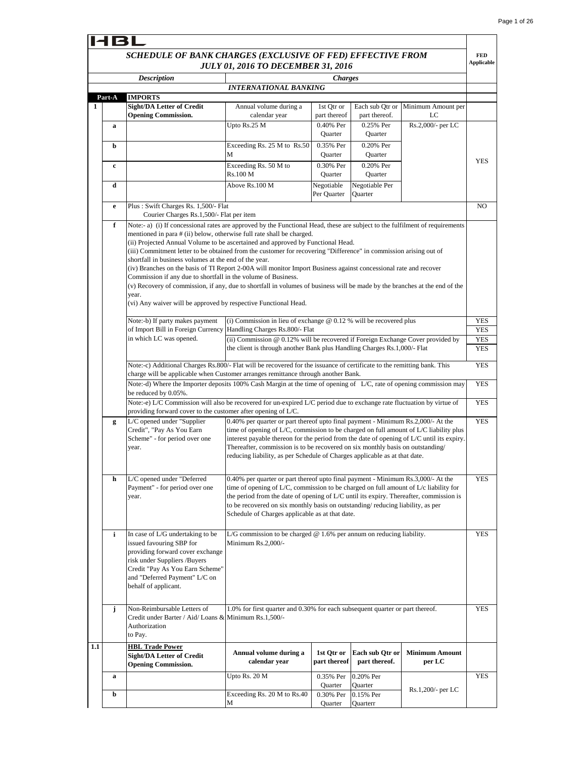|        | <b>Description</b>                                                                                                                                                                                                           | <b>INTERNATIONAL BANKING</b>                                                                                                                                                                                                                                                                                                                                                                                                                                                                                                                                                                                                                                                                                                                                                                                                                                 | <b>Charges</b>              |                                  |                                 |                          |
|--------|------------------------------------------------------------------------------------------------------------------------------------------------------------------------------------------------------------------------------|--------------------------------------------------------------------------------------------------------------------------------------------------------------------------------------------------------------------------------------------------------------------------------------------------------------------------------------------------------------------------------------------------------------------------------------------------------------------------------------------------------------------------------------------------------------------------------------------------------------------------------------------------------------------------------------------------------------------------------------------------------------------------------------------------------------------------------------------------------------|-----------------------------|----------------------------------|---------------------------------|--------------------------|
| Part-A | <b>IMPORTS</b>                                                                                                                                                                                                               |                                                                                                                                                                                                                                                                                                                                                                                                                                                                                                                                                                                                                                                                                                                                                                                                                                                              |                             |                                  |                                 |                          |
|        | <b>Sight/DA Letter of Credit</b><br><b>Opening Commission.</b>                                                                                                                                                               | Annual volume during a<br>calendar year                                                                                                                                                                                                                                                                                                                                                                                                                                                                                                                                                                                                                                                                                                                                                                                                                      | 1st Qtr or<br>part thereof  | Each sub Qtr or<br>part thereof. | Minimum Amount per<br>LC        |                          |
| a      |                                                                                                                                                                                                                              | Upto Rs.25 M                                                                                                                                                                                                                                                                                                                                                                                                                                                                                                                                                                                                                                                                                                                                                                                                                                                 | 0.40% Per<br><b>Ouarter</b> | 0.25% Per<br><b>Ouarter</b>      | Rs.2,000/- per LC               |                          |
| b      |                                                                                                                                                                                                                              | Exceeding Rs. 25 M to Rs.50<br>М                                                                                                                                                                                                                                                                                                                                                                                                                                                                                                                                                                                                                                                                                                                                                                                                                             | 0.35% Per<br>Quarter        | 0.20% Per<br>Quarter             |                                 |                          |
| c      |                                                                                                                                                                                                                              | Exceeding Rs. 50 M to<br>Rs.100 M                                                                                                                                                                                                                                                                                                                                                                                                                                                                                                                                                                                                                                                                                                                                                                                                                            | 0.30% Per<br>Quarter        | 0.20% Per<br>Quarter             |                                 | <b>YES</b>               |
| d      |                                                                                                                                                                                                                              | Above Rs.100 M                                                                                                                                                                                                                                                                                                                                                                                                                                                                                                                                                                                                                                                                                                                                                                                                                                               | Negotiable<br>Per Quarter   | Negotiable Per<br>Quarter        |                                 |                          |
| e      | Plus: Swift Charges Rs. 1,500/- Flat<br>Courier Charges Rs.1,500/- Flat per item                                                                                                                                             |                                                                                                                                                                                                                                                                                                                                                                                                                                                                                                                                                                                                                                                                                                                                                                                                                                                              |                             |                                  |                                 | N <sub>O</sub>           |
|        | year.                                                                                                                                                                                                                        | Note:- a) (i) If concessional rates are approved by the Functional Head, these are subject to the fulfilment of requirements<br>mentioned in para # (ii) below, otherwise full rate shall be charged.<br>(ii) Projected Annual Volume to be ascertained and approved by Functional Head.<br>(iii) Commitment letter to be obtained from the customer for recovering "Difference" in commission arising out of<br>shortfall in business volumes at the end of the year.<br>(iv) Branches on the basis of TI Report 2-00A will monitor Import Business against concessional rate and recover<br>Commission if any due to shortfall in the volume of Business.<br>(v) Recovery of commission, if any, due to shortfall in volumes of business will be made by the branches at the end of the<br>(vi) Any waiver will be approved by respective Functional Head. |                             |                                  |                                 |                          |
|        | Note:-b) If party makes payment                                                                                                                                                                                              | (i) Commission in lieu of exchange @ 0.12 % will be recovered plus                                                                                                                                                                                                                                                                                                                                                                                                                                                                                                                                                                                                                                                                                                                                                                                           |                             |                                  |                                 | <b>YES</b>               |
|        | of Import Bill in Foreign Currency Handling Charges Rs.800/- Flat<br>in which LC was opened.                                                                                                                                 | (ii) Commission $@0.12\%$ will be recovered if Foreign Exchange Cover provided by                                                                                                                                                                                                                                                                                                                                                                                                                                                                                                                                                                                                                                                                                                                                                                            |                             |                                  |                                 | YES<br><b>YES</b>        |
|        |                                                                                                                                                                                                                              | the client is through another Bank plus Handling Charges Rs.1,000/- Flat                                                                                                                                                                                                                                                                                                                                                                                                                                                                                                                                                                                                                                                                                                                                                                                     |                             |                                  |                                 | <b>YES</b><br><b>YES</b> |
|        | Note:-c) Additional Charges Rs.800/- Flat will be recovered for the issuance of certificate to the remitting bank. This<br>charge will be applicable when Customer arranges remittance through another Bank.                 |                                                                                                                                                                                                                                                                                                                                                                                                                                                                                                                                                                                                                                                                                                                                                                                                                                                              |                             |                                  |                                 |                          |
|        | Note:-d) Where the Importer deposits 100% Cash Margin at the time of opening of L/C, rate of opening commission may<br>be reduced by 0.05%.                                                                                  |                                                                                                                                                                                                                                                                                                                                                                                                                                                                                                                                                                                                                                                                                                                                                                                                                                                              |                             |                                  |                                 | <b>YES</b>               |
|        | Note:-e) L/C Commission will also be recovered for un-expired L/C period due to exchange rate fluctuation by virtue of<br>providing forward cover to the customer after opening of L/C.                                      |                                                                                                                                                                                                                                                                                                                                                                                                                                                                                                                                                                                                                                                                                                                                                                                                                                                              |                             |                                  |                                 | <b>YES</b>               |
| g      | L/C opened under "Supplier"<br>Credit", "Pay As You Earn<br>Scheme" - for period over one<br>year.                                                                                                                           | 0.40% per quarter or part thereof upto final payment - Minimum Rs.2,000/- At the<br>time of opening of L/C, commission to be charged on full amount of L/C liability plus<br>interest payable thereon for the period from the date of opening of L/C until its expiry.<br>Thereafter, commission is to be recovered on six monthly basis on outstanding/<br>reducing liability, as per Schedule of Charges applicable as at that date.                                                                                                                                                                                                                                                                                                                                                                                                                       |                             |                                  |                                 | <b>YES</b>               |
| h      | L/C opened under "Deferred<br>Payment" - for period over one<br>year.                                                                                                                                                        | 0.40% per quarter or part thereof upto final payment - Minimum Rs.3,000/- At the<br>time of opening of $L/C$ , commission to be charged on full amount of $L/c$ liability for<br>the period from the date of opening of $L/C$ until its expiry. Thereafter, commission is<br>to be recovered on six monthly basis on outstanding/reducing liability, as per<br>Schedule of Charges applicable as at that date.                                                                                                                                                                                                                                                                                                                                                                                                                                               |                             |                                  |                                 | <b>YES</b>               |
| i      | In case of L/G undertaking to be<br>issued favouring SBP for<br>providing forward cover exchange<br>risk under Suppliers /Buyers<br>Credit "Pay As You Earn Scheme"<br>and "Deferred Payment" L/C on<br>behalf of applicant. | L/G commission to be charged $@$ 1.6% per annum on reducing liability.<br>Minimum Rs.2,000/-                                                                                                                                                                                                                                                                                                                                                                                                                                                                                                                                                                                                                                                                                                                                                                 |                             |                                  |                                 | <b>YES</b>               |
| j      | Non-Reimbursable Letters of<br>Credit under Barter / Aid/ Loans & Minimum Rs.1,500/-<br>Authorization<br>to Pay.                                                                                                             | 1.0% for first quarter and 0.30% for each subsequent quarter or part thereof.                                                                                                                                                                                                                                                                                                                                                                                                                                                                                                                                                                                                                                                                                                                                                                                |                             |                                  |                                 | <b>YES</b>               |
|        | <b>HBL Trade Power</b><br><b>Sight/DA Letter of Credit</b><br><b>Opening Commission.</b>                                                                                                                                     | Annual volume during a<br>calendar year                                                                                                                                                                                                                                                                                                                                                                                                                                                                                                                                                                                                                                                                                                                                                                                                                      | 1st Qtr or<br>part thereof  | Each sub Qtr or<br>part thereof. | <b>Minimum Amount</b><br>per LC |                          |
|        |                                                                                                                                                                                                                              | Upto Rs. 20 M                                                                                                                                                                                                                                                                                                                                                                                                                                                                                                                                                                                                                                                                                                                                                                                                                                                | 0.35% Per                   | 0.20% Per                        |                                 | <b>YES</b>               |
| a      |                                                                                                                                                                                                                              |                                                                                                                                                                                                                                                                                                                                                                                                                                                                                                                                                                                                                                                                                                                                                                                                                                                              |                             |                                  |                                 |                          |
| b      |                                                                                                                                                                                                                              | Exceeding Rs. 20 M to Rs.40                                                                                                                                                                                                                                                                                                                                                                                                                                                                                                                                                                                                                                                                                                                                                                                                                                  | Quarter<br>0.30% Per        | Quarter<br>0.15% Per             | Rs.1,200/- per LC               |                          |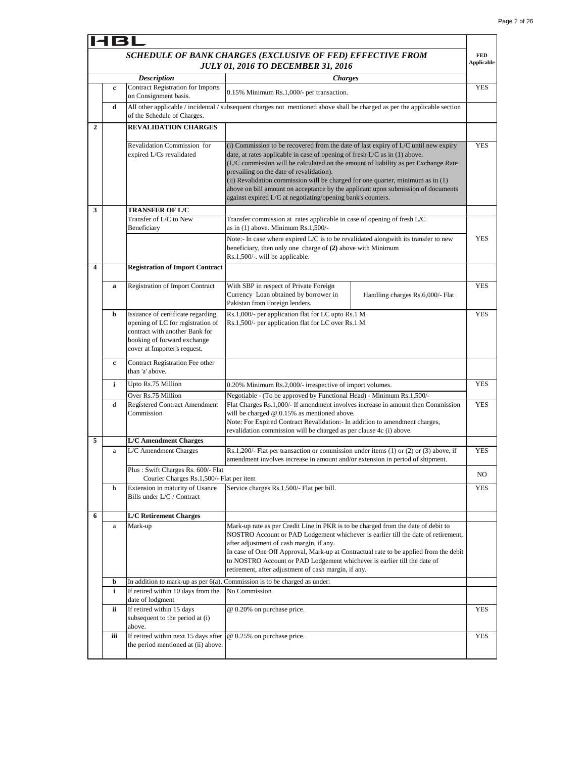|              | 18L          |                                                                                                                                                                         |                                                                                                                                                                                                                                                                                                                                                                                                                                                                                                                                             |                                 |
|--------------|--------------|-------------------------------------------------------------------------------------------------------------------------------------------------------------------------|---------------------------------------------------------------------------------------------------------------------------------------------------------------------------------------------------------------------------------------------------------------------------------------------------------------------------------------------------------------------------------------------------------------------------------------------------------------------------------------------------------------------------------------------|---------------------------------|
|              |              |                                                                                                                                                                         | SCHEDULE OF BANK CHARGES (EXCLUSIVE OF FED) EFFECTIVE FROM<br><b>JULY 01, 2016 TO DECEMBER 31, 2016</b>                                                                                                                                                                                                                                                                                                                                                                                                                                     | <b>FED</b><br><b>Applicable</b> |
|              |              | <b>Description</b>                                                                                                                                                      | <b>Charges</b>                                                                                                                                                                                                                                                                                                                                                                                                                                                                                                                              |                                 |
|              | $\mathbf c$  | <b>Contract Registration for Imports</b><br>on Consignment basis.                                                                                                       | 0.15% Minimum Rs.1,000/- per transaction.                                                                                                                                                                                                                                                                                                                                                                                                                                                                                                   | <b>YES</b>                      |
|              | d            | of the Schedule of Charges.                                                                                                                                             | All other applicable / incidental / subsequent charges not mentioned above shall be charged as per the applicable section                                                                                                                                                                                                                                                                                                                                                                                                                   |                                 |
| $\mathbf{2}$ |              | <b>REVALIDATION CHARGES</b>                                                                                                                                             |                                                                                                                                                                                                                                                                                                                                                                                                                                                                                                                                             |                                 |
|              |              | Revalidation Commission for<br>expired L/Cs revalidated                                                                                                                 | $(i)$ Commission to be recovered from the date of last expiry of L/C until new expiry<br>date, at rates applicable in case of opening of fresh L/C as in (1) above.<br>(L/C commission will be calculated on the amount of liability as per Exchange Rate<br>prevailing on the date of revalidation).<br>(ii) Revalidation commission will be charged for one quarter, minimum as in (1)<br>above on bill amount on acceptance by the applicant upon submission of documents<br>against expired L/C at negotiating/opening bank's counters. | <b>YES</b>                      |
| 3            |              | <b>TRANSFER OF L/C</b>                                                                                                                                                  |                                                                                                                                                                                                                                                                                                                                                                                                                                                                                                                                             |                                 |
|              |              | Transfer of L/C to New<br>Beneficiary                                                                                                                                   | Transfer commission at rates applicable in case of opening of fresh L/C<br>as in $(1)$ above. Minimum Rs.1,500/-                                                                                                                                                                                                                                                                                                                                                                                                                            |                                 |
|              |              |                                                                                                                                                                         | Note:- In case where expired L/C is to be revalidated alongwith its transfer to new<br>beneficiary, then only one charge of (2) above with Minimum<br>Rs.1,500/-. will be applicable.                                                                                                                                                                                                                                                                                                                                                       | <b>YES</b>                      |
| 4            |              | <b>Registration of Import Contract</b>                                                                                                                                  |                                                                                                                                                                                                                                                                                                                                                                                                                                                                                                                                             |                                 |
|              | a            | <b>Registration of Import Contract</b>                                                                                                                                  | With SBP in respect of Private Foreign<br>Currency Loan obtained by borrower in<br>Handling charges Rs.6,000/- Flat<br>Pakistan from Foreign lenders.                                                                                                                                                                                                                                                                                                                                                                                       | <b>YES</b>                      |
|              | b            | Issuance of certificate regarding<br>opening of LC for registration of<br>contract with another Bank for<br>booking of forward exchange<br>cover at Importer's request. | Rs.1,000/- per application flat for LC upto Rs.1 M<br>Rs.1,500/- per application flat for LC over Rs.1 M                                                                                                                                                                                                                                                                                                                                                                                                                                    | <b>YES</b>                      |
|              | c            | Contract Registration Fee other<br>than 'a' above.                                                                                                                      |                                                                                                                                                                                                                                                                                                                                                                                                                                                                                                                                             |                                 |
|              | i            | Upto Rs.75 Million                                                                                                                                                      | 0.20% Minimum Rs.2,000/- irrespective of import volumes.                                                                                                                                                                                                                                                                                                                                                                                                                                                                                    | <b>YES</b>                      |
|              | d            | Over Rs.75 Million<br><b>Registered Contract Amendment</b><br>Commission                                                                                                | Negotiable - (To be approved by Functional Head) - Minimum Rs.1,500/-<br>Flat Charges Rs.1,000/- If amendment involves increase in amount then Commission<br>will be charged @.0.15% as mentioned above.<br>Note: For Expired Contract Revalidation: - In addition to amendment charges,<br>revalidation commission will be charged as per clause 4c (i) above.                                                                                                                                                                             | <b>YES</b>                      |
| 5            |              | <b>L/C Amendment Charges</b>                                                                                                                                            |                                                                                                                                                                                                                                                                                                                                                                                                                                                                                                                                             |                                 |
|              | $\mathbf{a}$ | L/C Amendment Charges                                                                                                                                                   | Rs.1,200/- Flat per transaction or commission under items $(1)$ or $(2)$ or $(3)$ above, if<br>amendment involves increase in amount and/or extension in period of shipment.                                                                                                                                                                                                                                                                                                                                                                | <b>YES</b>                      |
|              |              | Plus: Swift Charges Rs. 600/- Flat<br>Courier Charges Rs.1,500/- Flat per item                                                                                          |                                                                                                                                                                                                                                                                                                                                                                                                                                                                                                                                             | NO                              |
|              | b            | Extension in maturity of Usance<br>Bills under L/C / Contract                                                                                                           | Service charges Rs.1,500/- Flat per bill.                                                                                                                                                                                                                                                                                                                                                                                                                                                                                                   | YES                             |
| 6            |              | <b>L/C Retirement Charges</b>                                                                                                                                           |                                                                                                                                                                                                                                                                                                                                                                                                                                                                                                                                             |                                 |
|              | a            | Mark-up                                                                                                                                                                 | Mark-up rate as per Credit Line in PKR is to be charged from the date of debit to<br>NOSTRO Account or PAD Lodgement whichever is earlier till the date of retirement,<br>after adjustment of cash margin, if any.<br>In case of One Off Approval, Mark-up at Contractual rate to be applied from the debit<br>to NOSTRO Account or PAD Lodgement whichever is earlier till the date of<br>retirement, after adjustment of cash margin, if any.                                                                                             |                                 |
|              | b            |                                                                                                                                                                         | In addition to mark-up as per $6(a)$ , Commission is to be charged as under:                                                                                                                                                                                                                                                                                                                                                                                                                                                                |                                 |
|              | i            | If retired within 10 days from the<br>date of lodgment                                                                                                                  | No Commission                                                                                                                                                                                                                                                                                                                                                                                                                                                                                                                               |                                 |
|              | ii.          | If retired within 15 days<br>subsequent to the period at (i)<br>above.                                                                                                  | @ 0.20% on purchase price.                                                                                                                                                                                                                                                                                                                                                                                                                                                                                                                  | <b>YES</b>                      |
|              | iii          | If retired within next 15 days after<br>the period mentioned at (ii) above.                                                                                             | @ 0.25% on purchase price.                                                                                                                                                                                                                                                                                                                                                                                                                                                                                                                  | <b>YES</b>                      |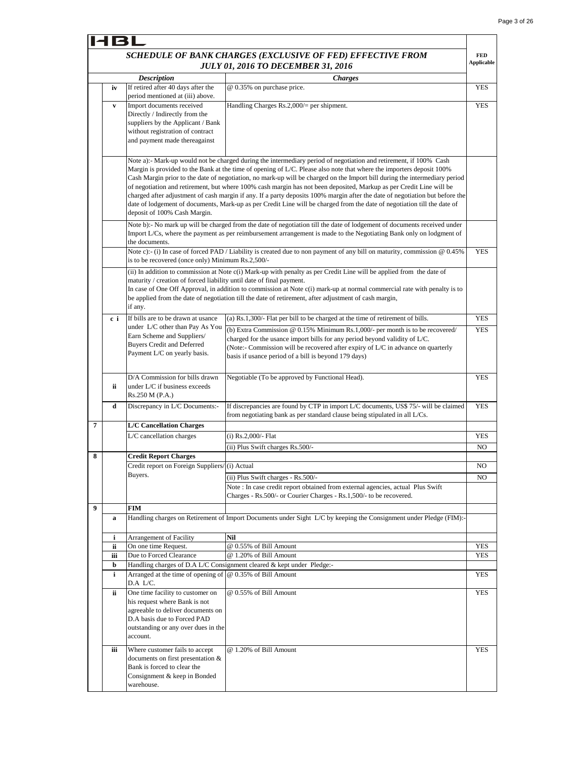**FED Applicable**

YES

YES

#### **HBL** *SCHEDULE OF BANK CHARGES (EXCLUSIVE OF FED) EFFECTIVE FROM JULY 01, 2016 TO DECEMBER 31, 2016 Description Charges* **iv** If retired after 40 days after the @ 0.35% on purchase price. period mentioned at (iii) above. **v** Import documents received Handling Charges Rs.2,000/= per shipment. Directly / Indirectly from the suppliers by the Applicant / Bank without registration of contract and payment made thereagainst Note a):- Mark-up would not be charged during the intermediary period of negotiation and retirement, if 100% Cash Margin is provided to the Bank at the time of opening of L/C. Please also note that where the importers deposit 100% Cash Margin prior to the date of negotiation, no mark-up will be charged on the Import bill during the intermediary period

|   |     | deposit of 100% Cash Margin.                                                                                                                                                             | of negotiation and retirement, but where 100% cash margin has not been deposited, Markup as per Credit Line will be<br>charged after adjustment of cash margin if any. If a party deposits 100% margin after the date of negotiation but before the<br>date of lodgement of documents, Mark-up as per Credit Line will be charged from the date of negotiation till the date of |            |  |  |  |  |  |
|---|-----|------------------------------------------------------------------------------------------------------------------------------------------------------------------------------------------|---------------------------------------------------------------------------------------------------------------------------------------------------------------------------------------------------------------------------------------------------------------------------------------------------------------------------------------------------------------------------------|------------|--|--|--|--|--|
|   |     | the documents.                                                                                                                                                                           | Note b):- No mark up will be charged from the date of negotiation till the date of lodgement of documents received under<br>Import L/Cs, where the payment as per reimbursement arrangement is made to the Negotiating Bank only on lodgment of                                                                                                                                 |            |  |  |  |  |  |
|   |     | is to be recovered (once only) Minimum Rs.2,500/-                                                                                                                                        | Note c):- (i) In case of forced PAD / Liability is created due to non payment of any bill on maturity, commission $@0.45\%$                                                                                                                                                                                                                                                     | <b>YES</b> |  |  |  |  |  |
|   |     | maturity / creation of forced liability until date of final payment.<br>if any.                                                                                                          | (ii) In addition to commission at Note c(i) Mark-up with penalty as per Credit Line will be applied from the date of<br>In case of One Off Approval, in addition to commission at Note c(i) mark-up at normal commercial rate with penalty is to<br>be applied from the date of negotiation till the date of retirement, after adjustment of cash margin,                       |            |  |  |  |  |  |
|   | c i | If bills are to be drawn at usance                                                                                                                                                       | (a) Rs.1,300/- Flat per bill to be charged at the time of retirement of bills.                                                                                                                                                                                                                                                                                                  | YES        |  |  |  |  |  |
|   |     | under L/C other than Pay As You<br>Earn Scheme and Suppliers/<br><b>Buyers Credit and Deferred</b><br>Payment L/C on yearly basis.                                                       | (b) Extra Commission @ 0.15% Minimum Rs.1,000/- per month is to be recovered/<br>charged for the usance import bills for any period beyond validity of L/C.<br>(Note:- Commission will be recovered after expiry of L/C in advance on quarterly<br>basis if usance period of a bill is beyond 179 days)                                                                         | <b>YES</b> |  |  |  |  |  |
|   | ii. | D/A Commission for bills drawn<br>under L/C if business exceeds<br>Rs.250 M (P.A.)                                                                                                       | Negotiable (To be approved by Functional Head).                                                                                                                                                                                                                                                                                                                                 | YES        |  |  |  |  |  |
|   | d   | Discrepancy in L/C Documents:-                                                                                                                                                           | If discrepancies are found by CTP in import L/C documents, US\$ 75/- will be claimed<br>from negotiating bank as per standard clause being stipulated in all L/Cs.                                                                                                                                                                                                              | <b>YES</b> |  |  |  |  |  |
| 7 |     | <b>L/C Cancellation Charges</b>                                                                                                                                                          |                                                                                                                                                                                                                                                                                                                                                                                 |            |  |  |  |  |  |
|   |     | L/C cancellation charges                                                                                                                                                                 | (i) Rs.2,000/- Flat                                                                                                                                                                                                                                                                                                                                                             | YES        |  |  |  |  |  |
|   |     |                                                                                                                                                                                          | (ii) Plus Swift charges Rs.500/-                                                                                                                                                                                                                                                                                                                                                | NO         |  |  |  |  |  |
| 8 |     | <b>Credit Report Charges</b>                                                                                                                                                             |                                                                                                                                                                                                                                                                                                                                                                                 |            |  |  |  |  |  |
|   |     | Credit report on Foreign Suppliers/(i) Actual                                                                                                                                            |                                                                                                                                                                                                                                                                                                                                                                                 | NO         |  |  |  |  |  |
|   |     | Buyers.                                                                                                                                                                                  | (ii) Plus Swift charges - Rs.500/-                                                                                                                                                                                                                                                                                                                                              | NO         |  |  |  |  |  |
|   |     |                                                                                                                                                                                          | Note : In case credit report obtained from external agencies, actual Plus Swift<br>Charges - Rs.500/- or Courier Charges - Rs.1,500/- to be recovered.                                                                                                                                                                                                                          |            |  |  |  |  |  |
| 9 |     | FIM                                                                                                                                                                                      |                                                                                                                                                                                                                                                                                                                                                                                 |            |  |  |  |  |  |
|   | a   |                                                                                                                                                                                          | Handling charges on Retirement of Import Documents under Sight L/C by keeping the Consignment under Pledge (FIM):-                                                                                                                                                                                                                                                              |            |  |  |  |  |  |
|   | i   | <b>Arrangement of Facility</b>                                                                                                                                                           | Nil                                                                                                                                                                                                                                                                                                                                                                             |            |  |  |  |  |  |
|   | ii  | On one time Request.                                                                                                                                                                     | @ 0.55% of Bill Amount                                                                                                                                                                                                                                                                                                                                                          | YES        |  |  |  |  |  |
|   | iii | Due to Forced Clearance                                                                                                                                                                  | @ 1.20% of Bill Amount                                                                                                                                                                                                                                                                                                                                                          | YES        |  |  |  |  |  |
|   | b   |                                                                                                                                                                                          | Handling charges of D.A L/C Consignment cleared & kept under Pledge:-                                                                                                                                                                                                                                                                                                           |            |  |  |  |  |  |
|   | i   | Arranged at the time of opening of $\phi$ 0.35% of Bill Amount<br>D.A L/C.                                                                                                               |                                                                                                                                                                                                                                                                                                                                                                                 | YES        |  |  |  |  |  |
|   | ii  | One time facility to customer on<br>his request where Bank is not<br>agreeable to deliver documents on<br>D.A basis due to Forced PAD<br>outstanding or any over dues in the<br>account. | @ 0.55% of Bill Amount                                                                                                                                                                                                                                                                                                                                                          | YES        |  |  |  |  |  |
|   | iii | Where customer fails to accept<br>documents on first presentation &<br>Bank is forced to clear the<br>Consignment & keep in Bonded<br>warehouse.                                         | @ 1.20% of Bill Amount                                                                                                                                                                                                                                                                                                                                                          | YES        |  |  |  |  |  |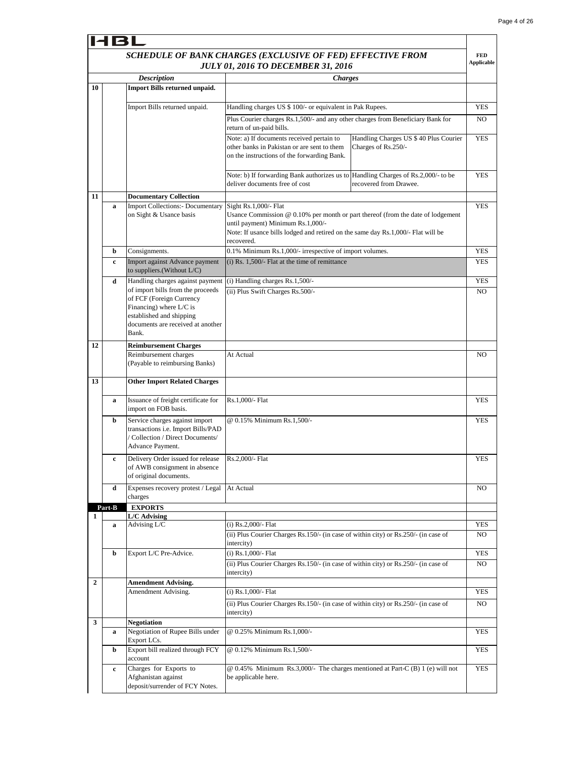#### 4 R I *SCHEDULE OF BANK CHARGES (EXCLUSIVE OF FED) EFFECTIVE FROM*  **FED Applicable** *JULY 01, 2016 TO DECEMBER 31, 2016 Description Charges* **10 Import Bills returned unpaid.** Import Bills returned unpaid. Handling charges US \$ 100/- or equivalent in Pak Rupees. YES Plus Courier charges Rs.1,500/- and any other charges from Beneficiary Bank for NO return of un-paid bills. Note: a) If documents received pertain to Handling Charges US \$ 40 Plus Courier YES other banks in Pakistan or are sent to them Charges of Rs.250/ on the instructions of the forwarding Bank. YES Note: b) If forwarding Bank authorizes us to Handling Charges of Rs.2,000/- to be deliver documents free of cost recovered from Drawee. **11 Documentary Collection** Sight Rs.1,000/- Flat **YES a** Import Collections:- Documentary on Sight & Usance basis Usance Commission @ 0.10% per month or part thereof (from the date of lodgement until payment) Minimum Rs.1,000/- Note: If usance bills lodged and retired on the same day Rs.1,000/- Flat will be recovered. **b** Consignments.  $0.1\%$  Minimum Rs.1,000/- irrespective of import volumes. YES **c** Import against Advance payment (i) Rs. 1,500/- Flat at the time of remittance **YES** to suppliers.(Without L/C) (i) Handling charges Rs.1,500/- YES **d** Handling charges against payment of import bills from the proceeds (ii) Plus Swift Charges Rs.500/- NO of FCF (Foreign Currency Financing) where L/C is established and shipping documents are received at another Bank. **12 Reimbursement Charges**  Reimbursement charges At Actual NO (Payable to reimbursing Banks) **13 Other Import Related Charges a** Issuance of freight certificate for Rs.1,000/- Flat YES import on FOB basis. **b** Service charges against import @ 0.15% Minimum Rs.1,500/- YES transactions i.e. Import Bills/PAD / Collection / Direct Documents/ Advance Payment. **Delivery Order issued for release** Rs.2,000/- Flat YES of AWB consignment in absence of original documents. **d** Expenses recovery protest / Legal At Actual NO charges **EXPORTS Part-B L/C Advising 1** Advising L/C (i) Rs.2,000/- Flat YES **a**(ii) Plus Courier Charges Rs.150/- (in case of within city) or Rs.250/- (in case of NO intercity) YES **b** Export L/C Pre-Advice. (i) Rs.1,000/- Flat (ii) Plus Courier Charges Rs.150/- (in case of within city) or Rs.250/- (in case of NO intercity) **2 Amendment Advising.** (i) Rs.1,000/- Flat YES Amendment Advising. (ii) Plus Courier Charges Rs.150/- (in case of within city) or Rs.250/- (in case of NO intercity) **3 Negotiation a** Negotiation of Rupee Bills under @ 0.25% Minimum Rs.1,000/- YES Export LCs. **b** Export bill realized through FCY @ 0.12% Minimum Rs.1,500/- YES account **YES c** Charges for Exports to @ 0.45% Minimum Rs.3,000/- The charges mentioned at Part-C (B) 1 (e) will not Afghanistan against be applicable here. deposit/surrender of FCY Notes.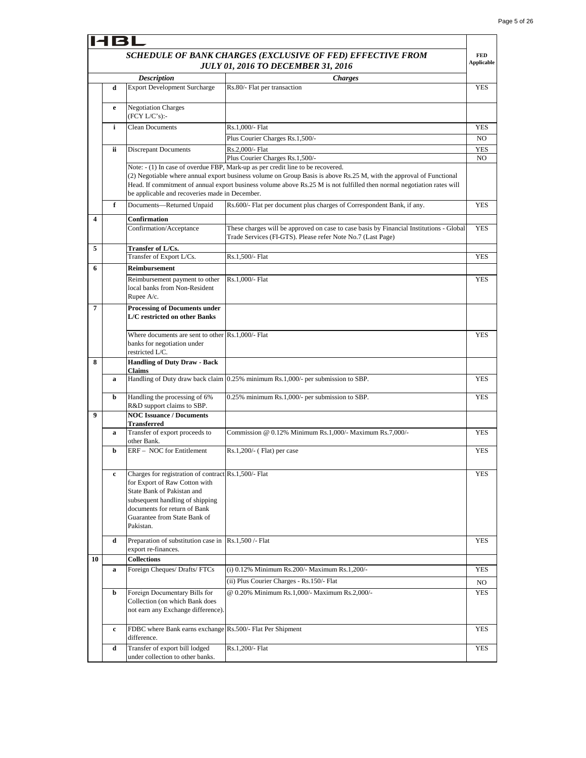|    | SCHEDULE OF BANK CHARGES (EXCLUSIVE OF FED) EFFECTIVE FROM<br><b>Applicable</b><br><b>JULY 01, 2016 TO DECEMBER 31, 2016</b> |                                                                                                                                                                             |                                                                                                                                                                                                                                                                                                                                  |                |  |  |
|----|------------------------------------------------------------------------------------------------------------------------------|-----------------------------------------------------------------------------------------------------------------------------------------------------------------------------|----------------------------------------------------------------------------------------------------------------------------------------------------------------------------------------------------------------------------------------------------------------------------------------------------------------------------------|----------------|--|--|
|    |                                                                                                                              | <b>Description</b>                                                                                                                                                          | <b>Charges</b>                                                                                                                                                                                                                                                                                                                   |                |  |  |
|    | d                                                                                                                            | <b>Export Development Surcharge</b>                                                                                                                                         | Rs.80/- Flat per transaction                                                                                                                                                                                                                                                                                                     | YES            |  |  |
|    | e                                                                                                                            | <b>Negotiation Charges</b><br>(FCY L/C's):                                                                                                                                  |                                                                                                                                                                                                                                                                                                                                  |                |  |  |
|    | i                                                                                                                            | <b>Clean Documents</b>                                                                                                                                                      | Rs.1,000/- Flat                                                                                                                                                                                                                                                                                                                  | <b>YES</b>     |  |  |
|    |                                                                                                                              |                                                                                                                                                                             | Plus Courier Charges Rs.1,500/-                                                                                                                                                                                                                                                                                                  | N <sub>O</sub> |  |  |
|    | ii.                                                                                                                          | <b>Discrepant Documents</b>                                                                                                                                                 | Rs.2,000/- Flat                                                                                                                                                                                                                                                                                                                  | <b>YES</b>     |  |  |
|    |                                                                                                                              |                                                                                                                                                                             | Plus Courier Charges Rs.1,500/-                                                                                                                                                                                                                                                                                                  | NO             |  |  |
|    |                                                                                                                              | be applicable and recoveries made in December.                                                                                                                              | Note: - (1) In case of overdue FBP, Mark-up as per credit line to be recovered.<br>(2) Negotiable where annual export business volume on Group Basis is above Rs.25 M, with the approval of Functional<br>Head. If commitment of annual export business volume above Rs.25 M is not fulfilled then normal negotiation rates will |                |  |  |
|    | f                                                                                                                            | Documents-Returned Unpaid                                                                                                                                                   | Rs.600/- Flat per document plus charges of Correspondent Bank, if any.                                                                                                                                                                                                                                                           | <b>YES</b>     |  |  |
| 4  |                                                                                                                              | Confirmation                                                                                                                                                                |                                                                                                                                                                                                                                                                                                                                  |                |  |  |
|    |                                                                                                                              | Confirmation/Acceptance                                                                                                                                                     | These charges will be approved on case to case basis by Financial Institutions - Global<br>Trade Services (FI-GTS). Please refer Note No.7 (Last Page)                                                                                                                                                                           | <b>YES</b>     |  |  |
| 5  |                                                                                                                              | Transfer of L/Cs.<br>Transfer of Export L/Cs.                                                                                                                               | Rs.1,500/- Flat                                                                                                                                                                                                                                                                                                                  | <b>YES</b>     |  |  |
| 6  |                                                                                                                              | <b>Reimbursement</b>                                                                                                                                                        |                                                                                                                                                                                                                                                                                                                                  |                |  |  |
|    |                                                                                                                              | Reimbursement payment to other                                                                                                                                              | Rs.1,000/- Flat                                                                                                                                                                                                                                                                                                                  | <b>YES</b>     |  |  |
|    |                                                                                                                              | local banks from Non-Resident<br>Rupee A/c.                                                                                                                                 |                                                                                                                                                                                                                                                                                                                                  |                |  |  |
| 7  |                                                                                                                              | <b>Processing of Documents under</b><br>L/C restricted on other Banks                                                                                                       |                                                                                                                                                                                                                                                                                                                                  |                |  |  |
|    |                                                                                                                              | Where documents are sent to other Rs.1,000/- Flat<br>banks for negotiation under<br>restricted L/C.                                                                         |                                                                                                                                                                                                                                                                                                                                  | <b>YES</b>     |  |  |
| 8  |                                                                                                                              | <b>Handling of Duty Draw - Back</b><br><b>Claims</b>                                                                                                                        |                                                                                                                                                                                                                                                                                                                                  |                |  |  |
|    | a                                                                                                                            |                                                                                                                                                                             | Handling of Duty draw back claim 0.25% minimum Rs.1,000/- per submission to SBP.                                                                                                                                                                                                                                                 | <b>YES</b>     |  |  |
|    | b                                                                                                                            | Handling the processing of 6%<br>R&D support claims to SBP.                                                                                                                 | 0.25% minimum Rs.1,000/- per submission to SBP.                                                                                                                                                                                                                                                                                  | <b>YES</b>     |  |  |
| 9  |                                                                                                                              | <b>NOC Issuance / Documents</b>                                                                                                                                             |                                                                                                                                                                                                                                                                                                                                  |                |  |  |
|    |                                                                                                                              | <b>Transferred</b><br>Transfer of export proceeds to                                                                                                                        | Commission @ 0.12% Minimum Rs.1,000/- Maximum Rs.7,000/-                                                                                                                                                                                                                                                                         | <b>YES</b>     |  |  |
|    | a                                                                                                                            | other Bank.                                                                                                                                                                 |                                                                                                                                                                                                                                                                                                                                  |                |  |  |
|    | b                                                                                                                            | ERF - NOC for Entitlement                                                                                                                                                   | $Rs.1,200/(-$ (Flat) per case                                                                                                                                                                                                                                                                                                    | <b>YES</b>     |  |  |
|    | $\mathbf c$                                                                                                                  | Charges for registration of contract Rs.1,500/- Flat                                                                                                                        |                                                                                                                                                                                                                                                                                                                                  | YES            |  |  |
|    |                                                                                                                              | for Export of Raw Cotton with<br>State Bank of Pakistan and<br>subsequent handling of shipping<br>documents for return of Bank<br>Guarantee from State Bank of<br>Pakistan. |                                                                                                                                                                                                                                                                                                                                  |                |  |  |
|    | d                                                                                                                            | Preparation of substitution case in Rs.1,500 /- Flat<br>export re-finances.                                                                                                 |                                                                                                                                                                                                                                                                                                                                  | <b>YES</b>     |  |  |
| 10 |                                                                                                                              | <b>Collections</b>                                                                                                                                                          |                                                                                                                                                                                                                                                                                                                                  |                |  |  |
|    | a                                                                                                                            | Foreign Cheques/Drafts/FTCs                                                                                                                                                 | (i) 0.12% Minimum Rs.200/- Maximum Rs.1,200/-<br>(ii) Plus Courier Charges - Rs.150/- Flat                                                                                                                                                                                                                                       | YES            |  |  |
|    |                                                                                                                              | Foreign Documentary Bills for                                                                                                                                               | @ 0.20% Minimum Rs.1,000/- Maximum Rs.2,000/-                                                                                                                                                                                                                                                                                    | NO.            |  |  |
|    | b                                                                                                                            | Collection (on which Bank does<br>not earn any Exchange difference).                                                                                                        |                                                                                                                                                                                                                                                                                                                                  | YES            |  |  |
|    | c                                                                                                                            | FDBC where Bank earns exchange Rs.500/- Flat Per Shipment<br>difference.                                                                                                    |                                                                                                                                                                                                                                                                                                                                  | YES            |  |  |
|    | d                                                                                                                            | Transfer of export bill lodged<br>under collection to other banks.                                                                                                          | Rs.1,200/- Flat                                                                                                                                                                                                                                                                                                                  | <b>YES</b>     |  |  |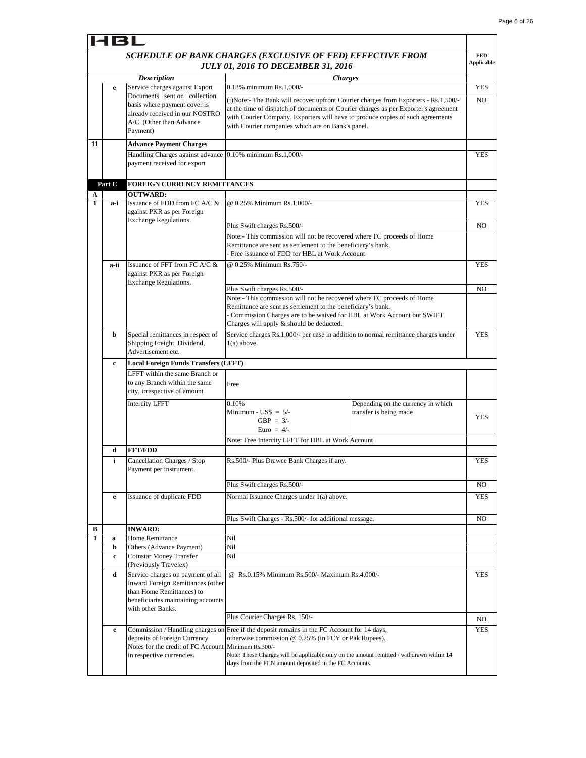|              | 4BL    |                                                                                                                                                                       |                                                                                                                                                                                                                                                                                                                   |                                                              |                                 |
|--------------|--------|-----------------------------------------------------------------------------------------------------------------------------------------------------------------------|-------------------------------------------------------------------------------------------------------------------------------------------------------------------------------------------------------------------------------------------------------------------------------------------------------------------|--------------------------------------------------------------|---------------------------------|
|              |        |                                                                                                                                                                       | SCHEDULE OF BANK CHARGES (EXCLUSIVE OF FED) EFFECTIVE FROM<br><b>JULY 01, 2016 TO DECEMBER 31, 2016</b>                                                                                                                                                                                                           |                                                              | <b>FED</b><br><b>Applicable</b> |
|              |        | <b>Description</b>                                                                                                                                                    | <b>Charges</b>                                                                                                                                                                                                                                                                                                    |                                                              |                                 |
|              | e      | Service charges against Export                                                                                                                                        | 0.13% minimum Rs.1,000/-                                                                                                                                                                                                                                                                                          |                                                              | <b>YES</b>                      |
|              |        | Documents sent on collection<br>basis where payment cover is<br>already received in our NOSTRO<br>A/C. (Other than Advance<br>Payment)                                | (i)Note:- The Bank will recover upfront Courier charges from Exporters - Rs.1,500/-<br>at the time of dispatch of documents or Courier charges as per Exporter's agreement<br>with Courier Company. Exporters will have to produce copies of such agreements<br>with Courier companies which are on Bank's panel. |                                                              | N <sub>O</sub>                  |
| 11           |        | <b>Advance Payment Charges</b>                                                                                                                                        |                                                                                                                                                                                                                                                                                                                   |                                                              |                                 |
|              |        | Handling Charges against advance 0.10% minimum Rs.1,000/-<br>payment received for export                                                                              |                                                                                                                                                                                                                                                                                                                   |                                                              | YES                             |
|              | Part C | FOREIGN CURRENCY REMITTANCES                                                                                                                                          |                                                                                                                                                                                                                                                                                                                   |                                                              |                                 |
| A            |        | <b>OUTWARD:</b>                                                                                                                                                       |                                                                                                                                                                                                                                                                                                                   |                                                              |                                 |
| 1            | a-i    | Issuance of FDD from FC A/C &<br>against PKR as per Foreign<br><b>Exchange Regulations.</b>                                                                           | @ 0.25% Minimum Rs.1,000/-                                                                                                                                                                                                                                                                                        |                                                              | YES                             |
|              |        |                                                                                                                                                                       | Plus Swift charges Rs.500/-                                                                                                                                                                                                                                                                                       |                                                              | N <sub>O</sub>                  |
|              |        |                                                                                                                                                                       | Note:- This commission will not be recovered where FC proceeds of Home<br>Remittance are sent as settlement to the beneficiary's bank.                                                                                                                                                                            |                                                              |                                 |
|              |        |                                                                                                                                                                       | - Free issuance of FDD for HBL at Work Account                                                                                                                                                                                                                                                                    |                                                              |                                 |
|              | a-ii   | Issuance of FFT from FC $A/C &$<br>against PKR as per Foreign<br><b>Exchange Regulations.</b>                                                                         | @ 0.25% Minimum Rs.750/-                                                                                                                                                                                                                                                                                          |                                                              | <b>YES</b>                      |
|              |        |                                                                                                                                                                       | Plus Swift charges Rs.500/-                                                                                                                                                                                                                                                                                       |                                                              | NO                              |
|              |        |                                                                                                                                                                       | Note:- This commission will not be recovered where FC proceeds of Home                                                                                                                                                                                                                                            |                                                              |                                 |
|              |        |                                                                                                                                                                       | Remittance are sent as settlement to the beneficiary's bank.<br>Commission Charges are to be waived for HBL at Work Account but SWIFT                                                                                                                                                                             |                                                              |                                 |
|              |        |                                                                                                                                                                       | Charges will apply & should be deducted.                                                                                                                                                                                                                                                                          |                                                              |                                 |
|              | b      | Special remittances in respect of<br>Shipping Freight, Dividend,<br>Advertisement etc.                                                                                | Service charges Rs.1,000/- per case in addition to normal remittance charges under<br>$1(a)$ above.                                                                                                                                                                                                               |                                                              | <b>YES</b>                      |
|              | c      | <b>Local Foreign Funds Transfers (LFFT)</b>                                                                                                                           |                                                                                                                                                                                                                                                                                                                   |                                                              |                                 |
|              |        | LFFT within the same Branch or<br>to any Branch within the same<br>city, irrespective of amount                                                                       | Free                                                                                                                                                                                                                                                                                                              |                                                              |                                 |
|              |        | <b>Intercity LFFT</b>                                                                                                                                                 | 0.10%<br>Minimum - US\$ $= 5/$ -<br>GBP = $3/-$<br>Euro = $4/-$<br>Note: Free Intercity LFFT for HBL at Work Account                                                                                                                                                                                              | Depending on the currency in which<br>transfer is being made | <b>YES</b>                      |
|              | d      | <b>FFT/FDD</b>                                                                                                                                                        |                                                                                                                                                                                                                                                                                                                   |                                                              |                                 |
|              | i      | Cancellation Charges / Stop<br>Payment per instrument.                                                                                                                | Rs.500/- Plus Drawee Bank Charges if any.                                                                                                                                                                                                                                                                         |                                                              | YES                             |
|              |        |                                                                                                                                                                       | Plus Swift charges Rs.500/-                                                                                                                                                                                                                                                                                       |                                                              | NO                              |
|              | e      | Issuance of duplicate FDD                                                                                                                                             | Normal Issuance Charges under 1(a) above.                                                                                                                                                                                                                                                                         |                                                              | <b>YES</b>                      |
|              |        |                                                                                                                                                                       | Plus Swift Charges - Rs.500/- for additional message.                                                                                                                                                                                                                                                             |                                                              | NO                              |
| В            |        | <b>INWARD:</b>                                                                                                                                                        |                                                                                                                                                                                                                                                                                                                   |                                                              |                                 |
| $\mathbf{1}$ | a      | Home Remittance                                                                                                                                                       | Nil<br>Nil                                                                                                                                                                                                                                                                                                        |                                                              |                                 |
|              | b<br>c | Others (Advance Payment)<br>Coinstar Money Transfer<br>(Previously Travelex)                                                                                          | Nil                                                                                                                                                                                                                                                                                                               |                                                              |                                 |
|              | d      | Service charges on payment of all<br><b>Inward Foreign Remittances (other</b><br>than Home Remittances) to<br>beneficiaries maintaining accounts<br>with other Banks. | @ Rs.0.15% Minimum Rs.500/- Maximum Rs.4,000/-                                                                                                                                                                                                                                                                    |                                                              | <b>YES</b>                      |
|              |        |                                                                                                                                                                       | Plus Courier Charges Rs. 150/-                                                                                                                                                                                                                                                                                    |                                                              | NO.                             |
|              | e      | deposits of Foreign Currency<br>Notes for the credit of FC Account Minimum Rs.300/-<br>in respective currencies.                                                      | Commission / Handling charges on Free if the deposit remains in the FC Account for 14 days,<br>otherwise commission @ 0.25% (in FCY or Pak Rupees).<br>Note: These Charges will be applicable only on the amount remitted / withdrawn within 14<br>days from the FCN amount deposited in the FC Accounts.         |                                                              | YES                             |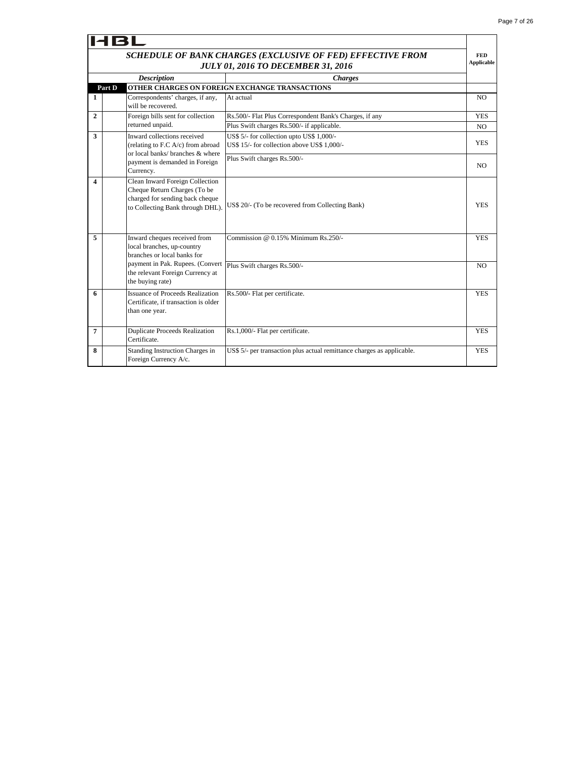٦Ī.

|              | <b>HBL</b>                                                                                                                             |                                                                                          |                |  |  |  |  |
|--------------|----------------------------------------------------------------------------------------------------------------------------------------|------------------------------------------------------------------------------------------|----------------|--|--|--|--|
|              | SCHEDULE OF BANK CHARGES (EXCLUSIVE OF FED) EFFECTIVE FROM<br><b>JULY 01, 2016 TO DECEMBER 31, 2016</b>                                |                                                                                          |                |  |  |  |  |
|              | <b>Description</b><br><b>Charges</b>                                                                                                   |                                                                                          |                |  |  |  |  |
|              | Part D                                                                                                                                 | OTHER CHARGES ON FOREIGN EXCHANGE TRANSACTIONS                                           |                |  |  |  |  |
| 1            | Correspondents' charges, if any,<br>will be recovered.                                                                                 | At actual                                                                                | N <sub>O</sub> |  |  |  |  |
| $\mathbf{2}$ | Foreign bills sent for collection                                                                                                      | Rs.500/- Flat Plus Correspondent Bank's Charges, if any                                  | <b>YES</b>     |  |  |  |  |
|              | returned unpaid.                                                                                                                       | Plus Swift charges Rs.500/- if applicable.                                               | NO.            |  |  |  |  |
| 3            | Inward collections received<br>(relating to F.C $A/c$ ) from abroad<br>or local banks/ branches & where                                | US\$ 5/- for collection upto US\$ 1,000/-<br>US\$ 15/- for collection above US\$ 1,000/- | <b>YES</b>     |  |  |  |  |
|              | payment is demanded in Foreign<br>Currency.                                                                                            | Plus Swift charges Rs.500/-                                                              | NO             |  |  |  |  |
| 4            | Clean Inward Foreign Collection<br>Cheque Return Charges (To be<br>charged for sending back cheque<br>to Collecting Bank through DHL). | US\$ 20/- (To be recovered from Collecting Bank)                                         | <b>YES</b>     |  |  |  |  |
| 5            | Inward cheques received from<br>local branches, up-country<br>branches or local banks for                                              | Commission $@$ 0.15% Minimum Rs.250/-                                                    | <b>YES</b>     |  |  |  |  |
|              | payment in Pak. Rupees. (Convert<br>the relevant Foreign Currency at<br>the buying rate)                                               | Plus Swift charges Rs.500/-                                                              | N <sub>O</sub> |  |  |  |  |
| 6            | <b>Issuance of Proceeds Realization</b><br>Certificate, if transaction is older<br>than one year.                                      | Rs.500/- Flat per certificate.                                                           | <b>YES</b>     |  |  |  |  |
| 7            | <b>Duplicate Proceeds Realization</b><br>Certificate.                                                                                  | Rs.1,000/- Flat per certificate.                                                         | <b>YES</b>     |  |  |  |  |
| 8            | Standing Instruction Charges in<br>Foreign Currency A/c.                                                                               | US\$ 5/- per transaction plus actual remittance charges as applicable.                   | <b>YES</b>     |  |  |  |  |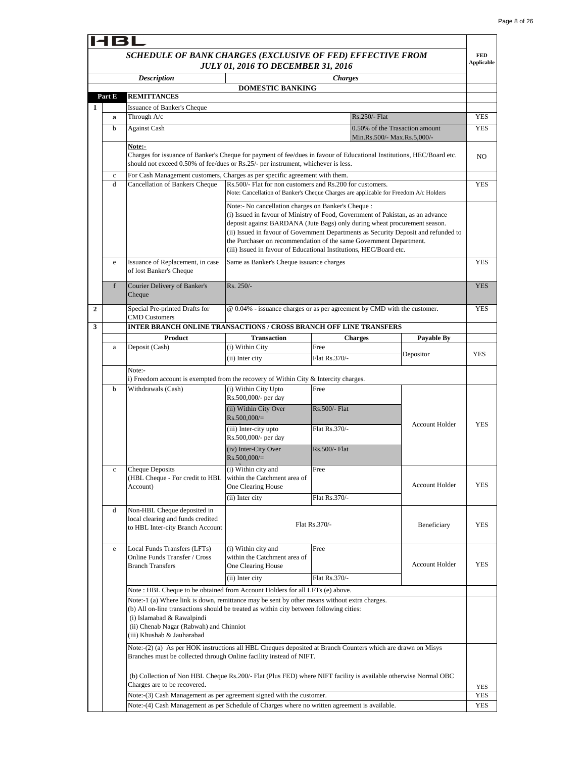|                | <b>HBL</b>                         |                                                                                                                                                                                                                      |                                                                           |                                                                                                                                                                                                                                                                                                                                                                                                 |                       |                                 |  |
|----------------|------------------------------------|----------------------------------------------------------------------------------------------------------------------------------------------------------------------------------------------------------------------|---------------------------------------------------------------------------|-------------------------------------------------------------------------------------------------------------------------------------------------------------------------------------------------------------------------------------------------------------------------------------------------------------------------------------------------------------------------------------------------|-----------------------|---------------------------------|--|
|                |                                    | SCHEDULE OF BANK CHARGES (EXCLUSIVE OF FED) EFFECTIVE FROM                                                                                                                                                           | <b>JULY 01, 2016 TO DECEMBER 31, 2016</b>                                 |                                                                                                                                                                                                                                                                                                                                                                                                 |                       | <b>FED</b><br><b>Applicable</b> |  |
|                |                                    | <b>Description</b>                                                                                                                                                                                                   |                                                                           | <b>Charges</b>                                                                                                                                                                                                                                                                                                                                                                                  |                       |                                 |  |
|                | Part E                             | REMITTANCES                                                                                                                                                                                                          | <b>DOMESTIC BANKING</b>                                                   |                                                                                                                                                                                                                                                                                                                                                                                                 |                       |                                 |  |
| 1              | <b>Issuance of Banker's Cheque</b> |                                                                                                                                                                                                                      |                                                                           |                                                                                                                                                                                                                                                                                                                                                                                                 |                       |                                 |  |
|                | a                                  | Through A/c                                                                                                                                                                                                          |                                                                           | Rs.250/- Flat                                                                                                                                                                                                                                                                                                                                                                                   |                       | <b>YES</b>                      |  |
|                | b                                  | <b>Against Cash</b>                                                                                                                                                                                                  |                                                                           | 0.50% of the Trasaction amount<br>Min.Rs.500/- Max.Rs.5,000/-                                                                                                                                                                                                                                                                                                                                   |                       | <b>YES</b>                      |  |
|                |                                    | Note:-<br>Charges for issuance of Banker's Cheque for payment of fee/dues in favour of Educational Institutions, HEC/Board etc.<br>should not exceed 0.50% of fee/dues or Rs.25/- per instrument, whichever is less. |                                                                           |                                                                                                                                                                                                                                                                                                                                                                                                 |                       | N <sub>O</sub>                  |  |
|                | $\mathbf c$                        | For Cash Management customers, Charges as per specific agreement with them.                                                                                                                                          |                                                                           |                                                                                                                                                                                                                                                                                                                                                                                                 |                       |                                 |  |
|                | d                                  | Cancellation of Bankers Cheque                                                                                                                                                                                       | Rs.500/- Flat for non customers and Rs.200 for customers.                 | Note: Cancellation of Banker's Cheque Charges are applicable for Freedom A/c Holders                                                                                                                                                                                                                                                                                                            |                       | <b>YES</b>                      |  |
|                |                                    |                                                                                                                                                                                                                      | Note:- No cancellation charges on Banker's Cheque :                       | (i) Issued in favour of Ministry of Food, Government of Pakistan, as an advance<br>deposit against BARDANA (Jute Bags) only during wheat procurement season.<br>(ii) Issued in favour of Government Departments as Security Deposit and refunded to<br>the Purchaser on recommendation of the same Government Department.<br>(iii) Issued in favour of Educational Institutions, HEC/Board etc. |                       |                                 |  |
|                | e                                  | Issuance of Replacement, in case<br>of lost Banker's Cheque                                                                                                                                                          | Same as Banker's Cheque issuance charges                                  |                                                                                                                                                                                                                                                                                                                                                                                                 |                       | <b>YES</b>                      |  |
|                | f                                  | Courier Delivery of Banker's<br>Cheque                                                                                                                                                                               | $Rs. 250/-$                                                               |                                                                                                                                                                                                                                                                                                                                                                                                 |                       | <b>YES</b>                      |  |
| $\overline{2}$ |                                    | Special Pre-printed Drafts for<br><b>CMD Customers</b>                                                                                                                                                               |                                                                           | @ 0.04% - issuance charges or as per agreement by CMD with the customer.                                                                                                                                                                                                                                                                                                                        |                       | YES                             |  |
| 3              |                                    | <b>INTER BRANCH ONLINE TRANSACTIONS / CROSS BRANCH OFF LINE TRANSFERS</b>                                                                                                                                            |                                                                           |                                                                                                                                                                                                                                                                                                                                                                                                 |                       |                                 |  |
|                | a                                  | Product<br>Deposit (Cash)                                                                                                                                                                                            | <b>Transaction</b><br>(i) Within City                                     | <b>Charges</b><br>Free                                                                                                                                                                                                                                                                                                                                                                          | Payable By            |                                 |  |
|                |                                    |                                                                                                                                                                                                                      | (ii) Inter city                                                           | Flat Rs.370/-                                                                                                                                                                                                                                                                                                                                                                                   | Depositor             | <b>YES</b>                      |  |
|                |                                    | Note:-                                                                                                                                                                                                               |                                                                           |                                                                                                                                                                                                                                                                                                                                                                                                 |                       |                                 |  |
|                |                                    | i) Freedom account is exempted from the recovery of Within City & Intercity charges.                                                                                                                                 |                                                                           |                                                                                                                                                                                                                                                                                                                                                                                                 |                       |                                 |  |
|                | b                                  | Withdrawals (Cash)                                                                                                                                                                                                   | (i) Within City Upto<br>Rs.500,000/- per day                              | Free                                                                                                                                                                                                                                                                                                                                                                                            |                       |                                 |  |
|                |                                    |                                                                                                                                                                                                                      | (ii) Within City Over<br>$Rs.500,000/=$                                   | Rs.500/- Flat.                                                                                                                                                                                                                                                                                                                                                                                  | <b>Account Holder</b> | <b>YES</b>                      |  |
|                |                                    |                                                                                                                                                                                                                      | (iii) Inter-city upto<br>Rs.500,000/- per day                             | Flat Rs.370/-                                                                                                                                                                                                                                                                                                                                                                                   |                       |                                 |  |
|                |                                    |                                                                                                                                                                                                                      | (iv) Inter-City Over<br>$Rs.500,000/=$                                    | Rs.500/- Flat                                                                                                                                                                                                                                                                                                                                                                                   |                       |                                 |  |
|                | $\mathbf c$                        | <b>Cheque Deposits</b><br>(HBL Cheque - For credit to HBL<br>Account)                                                                                                                                                | (i) Within city and<br>within the Catchment area of<br>One Clearing House | Free                                                                                                                                                                                                                                                                                                                                                                                            | <b>Account Holder</b> | <b>YES</b>                      |  |
|                |                                    |                                                                                                                                                                                                                      | (ii) Inter city                                                           | Flat Rs.370/-                                                                                                                                                                                                                                                                                                                                                                                   |                       |                                 |  |
|                | d                                  | Non-HBL Cheque deposited in<br>local clearing and funds credited<br>to HBL Inter-city Branch Account                                                                                                                 |                                                                           | Flat Rs.370/-                                                                                                                                                                                                                                                                                                                                                                                   | Beneficiary           | <b>YES</b>                      |  |
|                | e                                  | Local Funds Transfers (LFTs)<br>Online Funds Transfer / Cross<br><b>Branch Transfers</b>                                                                                                                             | (i) Within city and<br>within the Catchment area of<br>One Clearing House | Free<br>Flat Rs.370/-                                                                                                                                                                                                                                                                                                                                                                           | <b>Account Holder</b> | YES                             |  |
|                |                                    | Note: HBL Cheque to be obtained from Account Holders for all LFTs (e) above.                                                                                                                                         | (ii) Inter city                                                           |                                                                                                                                                                                                                                                                                                                                                                                                 |                       |                                 |  |
|                |                                    | Note:-1 (a) Where link is down, remittance may be sent by other means without extra charges.                                                                                                                         |                                                                           |                                                                                                                                                                                                                                                                                                                                                                                                 |                       |                                 |  |
|                |                                    | (b) All on-line transactions should be treated as within city between following cities:<br>(i) Islamabad & Rawalpindi<br>(ii) Chenab Nagar (Rabwah) and Chinniot<br>(iii) Khushab & Jauharabad                       |                                                                           |                                                                                                                                                                                                                                                                                                                                                                                                 |                       |                                 |  |
|                |                                    | Note:-(2) (a) As per HOK instructions all HBL Cheques deposited at Branch Counters which are drawn on Misys                                                                                                          |                                                                           |                                                                                                                                                                                                                                                                                                                                                                                                 |                       |                                 |  |
|                |                                    | Branches must be collected through Online facility instead of NIFT.                                                                                                                                                  |                                                                           |                                                                                                                                                                                                                                                                                                                                                                                                 |                       |                                 |  |
|                |                                    | (b) Collection of Non HBL Cheque Rs.200/- Flat (Plus FED) where NIFT facility is available otherwise Normal OBC<br>Charges are to be recovered.                                                                      |                                                                           |                                                                                                                                                                                                                                                                                                                                                                                                 |                       |                                 |  |
|                |                                    | Note:-(3) Cash Management as per agreement signed with the customer.                                                                                                                                                 |                                                                           |                                                                                                                                                                                                                                                                                                                                                                                                 |                       | <b>YES</b><br><b>YES</b>        |  |
|                |                                    | Note:-(4) Cash Management as per Schedule of Charges where no written agreement is available.                                                                                                                        |                                                                           |                                                                                                                                                                                                                                                                                                                                                                                                 |                       | <b>YES</b>                      |  |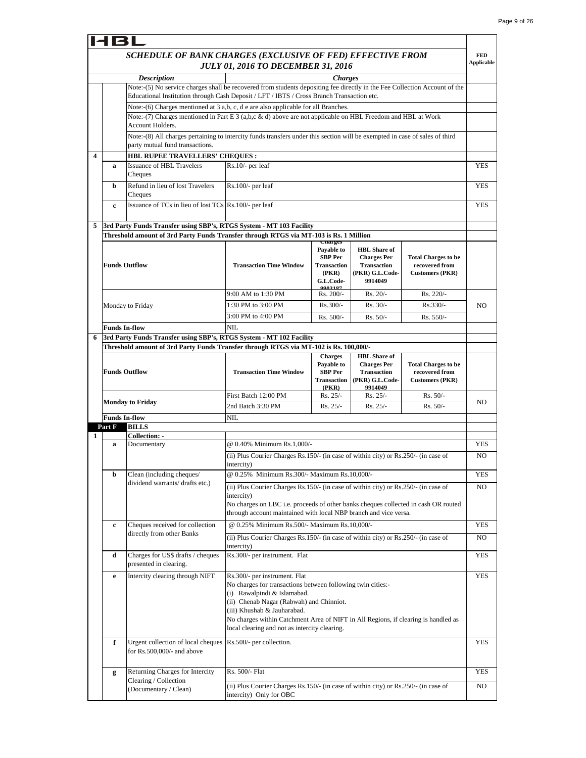٦

|   |             | HBL                                                                                                                                                            |                                                                                                                                                                                                                                                                                                              |                                                             |                                                                        |                                                                        |                                 |
|---|-------------|----------------------------------------------------------------------------------------------------------------------------------------------------------------|--------------------------------------------------------------------------------------------------------------------------------------------------------------------------------------------------------------------------------------------------------------------------------------------------------------|-------------------------------------------------------------|------------------------------------------------------------------------|------------------------------------------------------------------------|---------------------------------|
|   |             | SCHEDULE OF BANK CHARGES (EXCLUSIVE OF FED) EFFECTIVE FROM                                                                                                     | <b>JULY 01, 2016 TO DECEMBER 31, 2016</b>                                                                                                                                                                                                                                                                    |                                                             |                                                                        |                                                                        | <b>FED</b><br><b>Applicable</b> |
|   |             | <b>Description</b>                                                                                                                                             |                                                                                                                                                                                                                                                                                                              | <b>Charges</b>                                              |                                                                        |                                                                        |                                 |
|   |             | Note:-(5) No service charges shall be recovered from students depositing fee directly in the Fee Collection Account of the                                     |                                                                                                                                                                                                                                                                                                              |                                                             |                                                                        |                                                                        |                                 |
|   |             | Educational Institution through Cash Deposit / LFT / IBTS / Cross Branch Transaction etc.                                                                      |                                                                                                                                                                                                                                                                                                              |                                                             |                                                                        |                                                                        |                                 |
|   |             | Note:-(6) Charges mentioned at 3 a,b, c, d e are also applicable for all Branches.                                                                             |                                                                                                                                                                                                                                                                                                              |                                                             |                                                                        |                                                                        |                                 |
|   |             | Note:-(7) Charges mentioned in Part E 3 (a,b,c & d) above are not applicable on HBL Freedom and HBL at Work<br>Account Holders.                                |                                                                                                                                                                                                                                                                                                              |                                                             |                                                                        |                                                                        |                                 |
|   |             | Note:-(8) All charges pertaining to intercity funds transfers under this section will be exempted in case of sales of third<br>party mutual fund transactions. |                                                                                                                                                                                                                                                                                                              |                                                             |                                                                        |                                                                        |                                 |
| 4 |             | HBL RUPEE TRAVELLERS' CHEQUES :                                                                                                                                |                                                                                                                                                                                                                                                                                                              |                                                             |                                                                        |                                                                        |                                 |
|   | a           | <b>Issuance of HBL Travelers</b><br>Cheques                                                                                                                    | Rs.10/- per leaf                                                                                                                                                                                                                                                                                             |                                                             |                                                                        |                                                                        | <b>YES</b>                      |
|   | b           | Refund in lieu of lost Travelers<br>Cheques                                                                                                                    | Rs.100/- per leaf                                                                                                                                                                                                                                                                                            |                                                             |                                                                        |                                                                        | <b>YES</b>                      |
|   | $\mathbf c$ | Issuance of TCs in lieu of lost TCs Rs.100/- per leaf                                                                                                          |                                                                                                                                                                                                                                                                                                              |                                                             |                                                                        |                                                                        | YES                             |
| 5 |             | 3rd Party Funds Transfer using SBP's, RTGS System - MT 103 Facility                                                                                            |                                                                                                                                                                                                                                                                                                              |                                                             |                                                                        |                                                                        |                                 |
|   |             | Threshold amount of 3rd Party Funds Transfer through RTGS via MT-103 is Rs. 1 Million                                                                          |                                                                                                                                                                                                                                                                                                              |                                                             |                                                                        |                                                                        |                                 |
|   |             |                                                                                                                                                                |                                                                                                                                                                                                                                                                                                              | <b>Unarges</b>                                              |                                                                        |                                                                        |                                 |
|   |             |                                                                                                                                                                |                                                                                                                                                                                                                                                                                                              | Payable to                                                  | <b>HBL</b> Share of                                                    |                                                                        |                                 |
|   |             | <b>Funds Outflow</b>                                                                                                                                           | <b>Transaction Time Window</b>                                                                                                                                                                                                                                                                               | <b>SBP</b> Per<br><b>Transaction</b><br>(PKR)<br>G.L.Code-  | <b>Charges Per</b><br><b>Transaction</b><br>(PKR) G.L.Code-<br>9914049 | <b>Total Charges to be</b><br>recovered from<br><b>Customers (PKR)</b> |                                 |
|   |             |                                                                                                                                                                | 9:00 AM to 1:30 PM                                                                                                                                                                                                                                                                                           | 0002197<br>Rs. 200/-                                        | $Rs. 20/-$                                                             | Rs. 220/-                                                              |                                 |
|   |             | Monday to Friday                                                                                                                                               | 1:30 PM to 3:00 PM                                                                                                                                                                                                                                                                                           | $Rs.300/-$                                                  | Rs. 30/-                                                               | Rs.330/-                                                               | N <sub>O</sub>                  |
|   |             |                                                                                                                                                                | 3:00 PM to 4:00 PM                                                                                                                                                                                                                                                                                           | Rs. 500/-                                                   |                                                                        |                                                                        |                                 |
|   |             | <b>Funds In-flow</b>                                                                                                                                           | NIL                                                                                                                                                                                                                                                                                                          |                                                             | $Rs. 50/-$                                                             | $Rs. 550/-$                                                            |                                 |
| 6 |             | 3rd Party Funds Transfer using SBP's, RTGS System - MT 102 Facility                                                                                            |                                                                                                                                                                                                                                                                                                              |                                                             |                                                                        |                                                                        |                                 |
|   |             | Threshold amount of 3rd Party Funds Transfer through RTGS via MT-102 is Rs. 100,000/-                                                                          |                                                                                                                                                                                                                                                                                                              |                                                             |                                                                        |                                                                        |                                 |
|   |             |                                                                                                                                                                |                                                                                                                                                                                                                                                                                                              | <b>Charges</b>                                              | <b>HBL</b> Share of                                                    |                                                                        |                                 |
|   |             | <b>Funds Outflow</b>                                                                                                                                           | <b>Transaction Time Window</b>                                                                                                                                                                                                                                                                               | Payable to<br><b>SBP</b> Per<br><b>Transaction</b><br>(PKR) | <b>Charges Per</b><br><b>Transaction</b><br>(PKR) G.L.Code-<br>9914049 | <b>Total Charges to be</b><br>recovered from<br><b>Customers (PKR)</b> |                                 |
|   |             |                                                                                                                                                                | First Batch 12:00 PM                                                                                                                                                                                                                                                                                         | Rs. 25/-                                                    | Rs. 25/-                                                               | $Rs. 50/-$                                                             | NO.                             |
|   |             | <b>Monday to Friday</b>                                                                                                                                        | 2nd Batch 3:30 PM                                                                                                                                                                                                                                                                                            | $Rs. 25/-$                                                  | $Rs. 25/-$                                                             | $Rs. 50/-$                                                             |                                 |
|   |             | <b>Funds In-flow</b>                                                                                                                                           | NIL                                                                                                                                                                                                                                                                                                          |                                                             |                                                                        |                                                                        |                                 |
|   | Part F      | <b>BILLS</b>                                                                                                                                                   |                                                                                                                                                                                                                                                                                                              |                                                             |                                                                        |                                                                        |                                 |
| 1 |             | Collection: -                                                                                                                                                  |                                                                                                                                                                                                                                                                                                              |                                                             |                                                                        |                                                                        |                                 |
|   | a           | Documentary                                                                                                                                                    | @ 0.40% Minimum Rs.1.000/-<br>(ii) Plus Courier Charges Rs.150/- (in case of within city) or Rs.250/- (in case of                                                                                                                                                                                            |                                                             |                                                                        |                                                                        | <b>YES</b><br>N <sub>O</sub>    |
|   | b           | Clean (including cheques/                                                                                                                                      | intercity)<br>@ 0.25% Minimum Rs.300/- Maximum Rs.10,000/-                                                                                                                                                                                                                                                   |                                                             |                                                                        |                                                                        | <b>YES</b>                      |
|   |             | dividend warrants/ drafts etc.)                                                                                                                                | (ii) Plus Courier Charges Rs.150/- (in case of within city) or Rs.250/- (in case of                                                                                                                                                                                                                          |                                                             |                                                                        |                                                                        | NO                              |
|   |             |                                                                                                                                                                | intercity)<br>No charges on LBC i.e. proceeds of other banks cheques collected in cash OR routed<br>through account maintained with local NBP branch and vice versa.                                                                                                                                         |                                                             |                                                                        |                                                                        |                                 |
|   | $\mathbf c$ | Cheques received for collection                                                                                                                                | @ 0.25% Minimum Rs.500/- Maximum Rs.10,000/-                                                                                                                                                                                                                                                                 |                                                             |                                                                        |                                                                        | <b>YES</b>                      |
|   |             | directly from other Banks                                                                                                                                      | (ii) Plus Courier Charges Rs.150/- (in case of within city) or Rs.250/- (in case of<br>intercity)                                                                                                                                                                                                            |                                                             |                                                                        |                                                                        | NO                              |
|   | d           | Charges for US\$ drafts / cheques<br>presented in clearing.                                                                                                    | Rs.300/- per instrument. Flat                                                                                                                                                                                                                                                                                |                                                             |                                                                        |                                                                        | <b>YES</b>                      |
|   | e           | Intercity clearing through NIFT                                                                                                                                | Rs.300/- per instrument. Flat                                                                                                                                                                                                                                                                                |                                                             |                                                                        |                                                                        | <b>YES</b>                      |
|   |             |                                                                                                                                                                | No charges for transactions between following twin cities:-<br>(i) Rawalpindi & Islamabad.<br>(ii) Chenab Nagar (Rabwah) and Chinniot.<br>(iii) Khushab & Jauharabad.<br>No charges within Catchment Area of NIFT in All Regions, if clearing is handled as<br>local clearing and not as intercity clearing. |                                                             |                                                                        |                                                                        |                                 |
|   | f           | Urgent collection of local cheques<br>for Rs.500,000/- and above                                                                                               | Rs.500/- per collection.                                                                                                                                                                                                                                                                                     |                                                             |                                                                        |                                                                        | <b>YES</b>                      |
|   |             |                                                                                                                                                                |                                                                                                                                                                                                                                                                                                              |                                                             |                                                                        |                                                                        |                                 |
|   | g           | Returning Charges for Intercity<br>Clearing / Collection                                                                                                       | Rs. 500/- Flat                                                                                                                                                                                                                                                                                               |                                                             |                                                                        |                                                                        | YES                             |
|   |             | (Documentary / Clean)                                                                                                                                          | (ii) Plus Courier Charges Rs.150/- (in case of within city) or Rs.250/- (in case of<br>intercity) Only for OBC                                                                                                                                                                                               |                                                             |                                                                        |                                                                        | NO                              |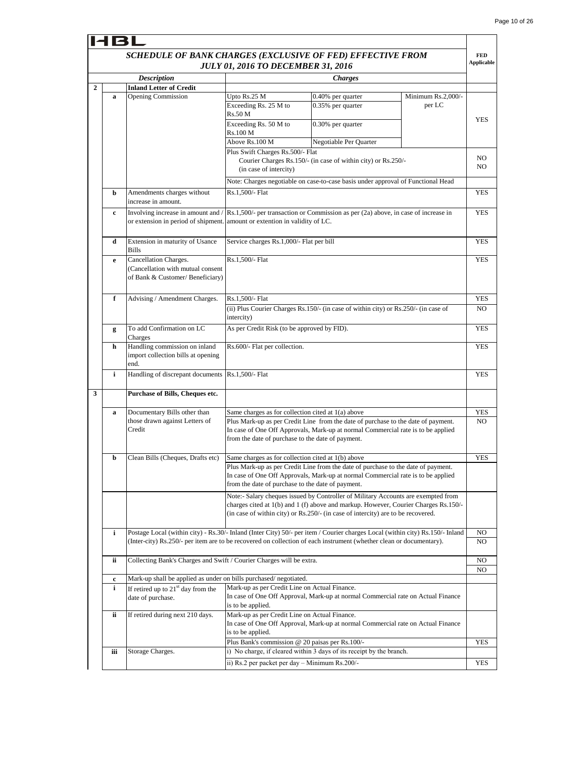┑

|                | 14 B I                                                                                                  |                                                                                                                                                                                                                                                      |                                                                                                                             |                                                                                                                                                                                                                                                              |                              |                                 |  |
|----------------|---------------------------------------------------------------------------------------------------------|------------------------------------------------------------------------------------------------------------------------------------------------------------------------------------------------------------------------------------------------------|-----------------------------------------------------------------------------------------------------------------------------|--------------------------------------------------------------------------------------------------------------------------------------------------------------------------------------------------------------------------------------------------------------|------------------------------|---------------------------------|--|
|                | SCHEDULE OF BANK CHARGES (EXCLUSIVE OF FED) EFFECTIVE FROM<br><b>JULY 01, 2016 TO DECEMBER 31, 2016</b> |                                                                                                                                                                                                                                                      |                                                                                                                             |                                                                                                                                                                                                                                                              |                              | <b>FED</b><br><b>Applicable</b> |  |
|                |                                                                                                         | <b>Description</b>                                                                                                                                                                                                                                   |                                                                                                                             | <b>Charges</b>                                                                                                                                                                                                                                               |                              |                                 |  |
| $\overline{2}$ |                                                                                                         | <b>Inland Letter of Credit</b>                                                                                                                                                                                                                       |                                                                                                                             |                                                                                                                                                                                                                                                              |                              |                                 |  |
|                | a                                                                                                       | <b>Opening Commission</b>                                                                                                                                                                                                                            | Upto Rs.25 M<br>Exceeding Rs. 25 M to<br>Rs.50 M<br>Exceeding Rs. 50 M to<br>Rs.100 M                                       | 0.40% per quarter<br>0.35% per quarter<br>0.30% per quarter                                                                                                                                                                                                  | Minimum Rs.2,000/-<br>per LC | YES                             |  |
|                |                                                                                                         |                                                                                                                                                                                                                                                      | Above Rs.100 M                                                                                                              | Negotiable Per Quarter                                                                                                                                                                                                                                       |                              |                                 |  |
|                |                                                                                                         |                                                                                                                                                                                                                                                      | Plus Swift Charges Rs.500/- Flat<br>Courier Charges Rs.150/- (in case of within city) or Rs.250/-<br>(in case of intercity) |                                                                                                                                                                                                                                                              | NO<br>N <sub>O</sub>         |                                 |  |
|                |                                                                                                         |                                                                                                                                                                                                                                                      |                                                                                                                             | Note: Charges negotiable on case-to-case basis under approval of Functional Head                                                                                                                                                                             |                              |                                 |  |
|                | b                                                                                                       | Amendments charges without<br>increase in amount.                                                                                                                                                                                                    | Rs.1,500/- Flat                                                                                                             |                                                                                                                                                                                                                                                              |                              | <b>YES</b>                      |  |
|                | c                                                                                                       | Involving increase in amount and /                                                                                                                                                                                                                   |                                                                                                                             | Rs.1,500/- per transaction or Commission as per (2a) above, in case of increase in<br>or extension in period of shipment. amount or extention in validity of LC.                                                                                             |                              |                                 |  |
|                | d                                                                                                       | Extension in maturity of Usance<br><b>Bills</b>                                                                                                                                                                                                      |                                                                                                                             | Service charges Rs.1,000/- Flat per bill                                                                                                                                                                                                                     |                              |                                 |  |
|                | e                                                                                                       | Cancellation Charges.<br>(Cancellation with mutual consent<br>of Bank & Customer/ Beneficiary)                                                                                                                                                       | Rs.1,500/- Flat                                                                                                             |                                                                                                                                                                                                                                                              |                              |                                 |  |
|                | f                                                                                                       | Advising / Amendment Charges.                                                                                                                                                                                                                        | Rs.1,500/- Flat                                                                                                             |                                                                                                                                                                                                                                                              |                              |                                 |  |
|                |                                                                                                         |                                                                                                                                                                                                                                                      | intercity)                                                                                                                  | (ii) Plus Courier Charges Rs.150/- (in case of within city) or Rs.250/- (in case of                                                                                                                                                                          |                              |                                 |  |
|                | g                                                                                                       | To add Confirmation on LC<br>Charges                                                                                                                                                                                                                 |                                                                                                                             | As per Credit Risk (to be approved by FID).                                                                                                                                                                                                                  |                              |                                 |  |
|                | h                                                                                                       | Handling commission on inland<br>import collection bills at opening<br>end.                                                                                                                                                                          | Rs.600/- Flat per collection.                                                                                               |                                                                                                                                                                                                                                                              |                              |                                 |  |
|                | i                                                                                                       | Handling of discrepant documents                                                                                                                                                                                                                     | Rs.1,500/- Flat                                                                                                             |                                                                                                                                                                                                                                                              |                              | YES                             |  |
| 3              |                                                                                                         | Purchase of Bills, Cheques etc.                                                                                                                                                                                                                      |                                                                                                                             |                                                                                                                                                                                                                                                              |                              |                                 |  |
|                | a                                                                                                       | Documentary Bills other than<br>those drawn against Letters of<br>Credit                                                                                                                                                                             | Same charges as for collection cited at 1(a) above<br>from the date of purchase to the date of payment.                     | Plus Mark-up as per Credit Line from the date of purchase to the date of payment.<br>In case of One Off Approvals, Mark-up at normal Commercial rate is to be applied                                                                                        |                              | YES<br>N <sub>O</sub>           |  |
|                | b                                                                                                       | Clean Bills (Cheques, Drafts etc)                                                                                                                                                                                                                    | Same charges as for collection cited at 1(b) above                                                                          |                                                                                                                                                                                                                                                              |                              | <b>YES</b>                      |  |
|                |                                                                                                         |                                                                                                                                                                                                                                                      | from the date of purchase to the date of payment.                                                                           | Plus Mark-up as per Credit Line from the date of purchase to the date of payment.<br>In case of One Off Approvals, Mark-up at normal Commercial rate is to be applied                                                                                        |                              |                                 |  |
|                |                                                                                                         |                                                                                                                                                                                                                                                      |                                                                                                                             | Note:- Salary cheques issued by Controller of Military Accounts are exempted from<br>charges cited at 1(b) and 1 (f) above and markup. However, Courier Charges Rs.150/-<br>(in case of within city) or Rs.250/- (in case of intercity) are to be recovered. |                              |                                 |  |
|                | i                                                                                                       | Postage Local (within city) - Rs.30/- Inland (Inter City) 50/- per item / Courier charges Local (within city) Rs.150/- Inland<br>(Inter-city) Rs.250/- per item are to be recovered on collection of each instrument (whether clean or documentary). |                                                                                                                             |                                                                                                                                                                                                                                                              |                              | NO<br>NO                        |  |
|                | ii                                                                                                      | Collecting Bank's Charges and Swift / Courier Charges will be extra.                                                                                                                                                                                 |                                                                                                                             |                                                                                                                                                                                                                                                              |                              | NO<br>NO                        |  |
|                | $\mathbf c$                                                                                             | Mark-up shall be applied as under on bills purchased/negotiated.                                                                                                                                                                                     |                                                                                                                             |                                                                                                                                                                                                                                                              |                              |                                 |  |
|                | i                                                                                                       | If retired up to $21st$ day from the<br>date of purchase.                                                                                                                                                                                            | Mark-up as per Credit Line on Actual Finance.<br>is to be applied.                                                          | In case of One Off Approval, Mark-up at normal Commercial rate on Actual Finance                                                                                                                                                                             |                              |                                 |  |
|                | ii                                                                                                      | If retired during next 210 days.                                                                                                                                                                                                                     | Mark-up as per Credit Line on Actual Finance.<br>is to be applied.                                                          | In case of One Off Approval, Mark-up at normal Commercial rate on Actual Finance                                                                                                                                                                             |                              |                                 |  |
|                |                                                                                                         |                                                                                                                                                                                                                                                      | Plus Bank's commission @ 20 paisas per Rs.100/-                                                                             |                                                                                                                                                                                                                                                              |                              | YES                             |  |
|                | iii                                                                                                     | Storage Charges.                                                                                                                                                                                                                                     |                                                                                                                             | i) No charge, if cleared within 3 days of its receipt by the branch.                                                                                                                                                                                         |                              |                                 |  |
|                |                                                                                                         |                                                                                                                                                                                                                                                      | ii) Rs.2 per packet per day - Minimum Rs.200/-                                                                              |                                                                                                                                                                                                                                                              |                              | YES                             |  |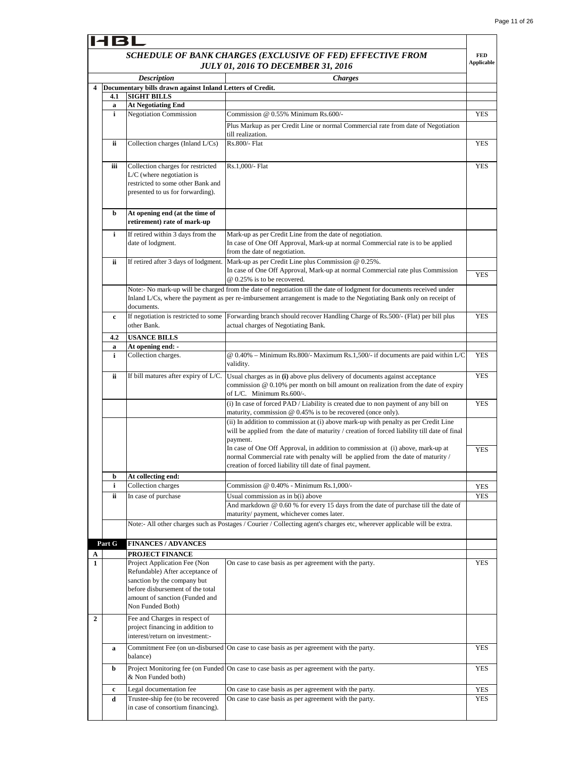**FED** 

## HBL

#### *SCHEDULE OF BANK CHARGES (EXCLUSIVE OF FED) EFFECTIVE FROM JULY 01, 2016 TO DECEMBER 31, 2016*

|              |        |                                                                                                                                                                                          | <b>JULY 01, 2016 TO DECEMBER 31, 2016</b>                                                                                                                                                                                                    | <b>Applicable</b> |
|--------------|--------|------------------------------------------------------------------------------------------------------------------------------------------------------------------------------------------|----------------------------------------------------------------------------------------------------------------------------------------------------------------------------------------------------------------------------------------------|-------------------|
|              |        | <b>Description</b>                                                                                                                                                                       | <b>Charges</b>                                                                                                                                                                                                                               |                   |
| 4            |        | Documentary bills drawn against Inland Letters of Credit.                                                                                                                                |                                                                                                                                                                                                                                              |                   |
|              | 4.1    | <b>SIGHT BILLS</b>                                                                                                                                                                       |                                                                                                                                                                                                                                              |                   |
|              | a      | <b>At Negotiating End</b>                                                                                                                                                                |                                                                                                                                                                                                                                              |                   |
|              | i      | <b>Negotiation Commission</b>                                                                                                                                                            | Commission @ 0.55% Minimum Rs.600/-                                                                                                                                                                                                          | <b>YES</b>        |
|              |        |                                                                                                                                                                                          | Plus Markup as per Credit Line or normal Commercial rate from date of Negotiation<br>till realization.                                                                                                                                       |                   |
|              | ii     | Collection charges (Inland L/Cs)                                                                                                                                                         | Rs.800/- Flat                                                                                                                                                                                                                                | YES               |
|              | iii    | Collection charges for restricted<br>$L/C$ (where negotiation is<br>restricted to some other Bank and<br>presented to us for forwarding).                                                | Rs.1,000/- Flat                                                                                                                                                                                                                              | <b>YES</b>        |
|              | b      | At opening end (at the time of<br>retirement) rate of mark-up                                                                                                                            |                                                                                                                                                                                                                                              |                   |
|              | i      | If retired within 3 days from the<br>date of lodgment.                                                                                                                                   | Mark-up as per Credit Line from the date of negotiation.<br>In case of One Off Approval, Mark-up at normal Commercial rate is to be applied<br>from the date of negotiation.                                                                 |                   |
|              | ii     | If retired after 3 days of lodgment.                                                                                                                                                     | Mark-up as per Credit Line plus Commission @ 0.25%.<br>In case of One Off Approval, Mark-up at normal Commercial rate plus Commission<br>@ 0.25% is to be recovered.                                                                         | <b>YES</b>        |
|              |        | documents.                                                                                                                                                                               | Note:- No mark-up will be charged from the date of negotiation till the date of lodgment for documents received under<br>Inland L/Cs, where the payment as per re-imbursement arrangement is made to the Negotiating Bank only on receipt of |                   |
|              | c      | other Bank.                                                                                                                                                                              | If negotiation is restricted to some Forwarding branch should recover Handling Charge of Rs.500/- (Flat) per bill plus<br>actual charges of Negotiating Bank.                                                                                | <b>YES</b>        |
|              | 4.2    | <b>USANCE BILLS</b>                                                                                                                                                                      |                                                                                                                                                                                                                                              |                   |
|              | a      | At opening end: -                                                                                                                                                                        |                                                                                                                                                                                                                                              |                   |
|              | i      | Collection charges.                                                                                                                                                                      | @ 0.40% - Minimum Rs.800/- Maximum Rs.1,500/- if documents are paid within L/C<br>validity.                                                                                                                                                  | <b>YES</b>        |
|              | ii     | If bill matures after expiry of L/C.                                                                                                                                                     | Usual charges as in (i) above plus delivery of documents against acceptance<br>commission $@0.10\%$ per month on bill amount on realization from the date of expiry<br>of L/C. Minimum $Rs.600/-$ .                                          | <b>YES</b>        |
|              |        |                                                                                                                                                                                          | (i) In case of forced PAD / Liability is created due to non payment of any bill on<br>maturity, commission $@$ 0.45% is to be recovered (once only).                                                                                         | <b>YES</b>        |
|              |        |                                                                                                                                                                                          | (ii) In addition to commission at (i) above mark-up with penalty as per Credit Line<br>will be applied from the date of maturity / creation of forced liability till date of final<br>payment.                                               |                   |
|              |        |                                                                                                                                                                                          | In case of One Off Approval, in addition to commission at (i) above, mark-up at<br>normal Commercial rate with penalty will be applied from the date of maturity /<br>creation of forced liability till date of final payment.               | <b>YES</b>        |
|              | b      | At collecting end:                                                                                                                                                                       |                                                                                                                                                                                                                                              |                   |
|              | i      | Collection charges                                                                                                                                                                       | Commission $@0.40\%$ - Minimum Rs.1,000/-                                                                                                                                                                                                    | <b>YES</b>        |
|              | ii     | In case of purchase                                                                                                                                                                      | Usual commission as in b(i) above<br>And markdown @ 0.60 % for every 15 days from the date of purchase till the date of<br>maturity/ payment, whichever comes later.                                                                         | <b>YES</b>        |
|              |        |                                                                                                                                                                                          | Note:- All other charges such as Postages / Courier / Collecting agent's charges etc, wherever applicable will be extra.                                                                                                                     |                   |
|              | Part G | <b>FINANCES / ADVANCES</b>                                                                                                                                                               |                                                                                                                                                                                                                                              |                   |
| A            |        | <b>PROJECT FINANCE</b>                                                                                                                                                                   |                                                                                                                                                                                                                                              |                   |
| 1            |        | Project Application Fee (Non<br>Refundable) After acceptance of<br>sanction by the company but<br>before disbursement of the total<br>amount of sanction (Funded and<br>Non Funded Both) | On case to case basis as per agreement with the party.                                                                                                                                                                                       | YES               |
| $\mathbf{2}$ |        | Fee and Charges in respect of<br>project financing in addition to<br>interest/return on investment:-                                                                                     |                                                                                                                                                                                                                                              |                   |
|              | a      | balance)                                                                                                                                                                                 | Commitment Fee (on un-disbursed   On case to case basis as per agreement with the party.                                                                                                                                                     | <b>YES</b>        |
|              | b      | & Non Funded both)                                                                                                                                                                       | Project Monitoring fee (on Funded   On case to case basis as per agreement with the party.                                                                                                                                                   | YES               |
|              | c      | Legal documentation fee                                                                                                                                                                  | On case to case basis as per agreement with the party.                                                                                                                                                                                       | YES               |
|              | d      | Trustee-ship fee (to be recovered                                                                                                                                                        | On case to case basis as per agreement with the party.                                                                                                                                                                                       | <b>YES</b>        |
|              |        | in case of consortium financing).                                                                                                                                                        |                                                                                                                                                                                                                                              |                   |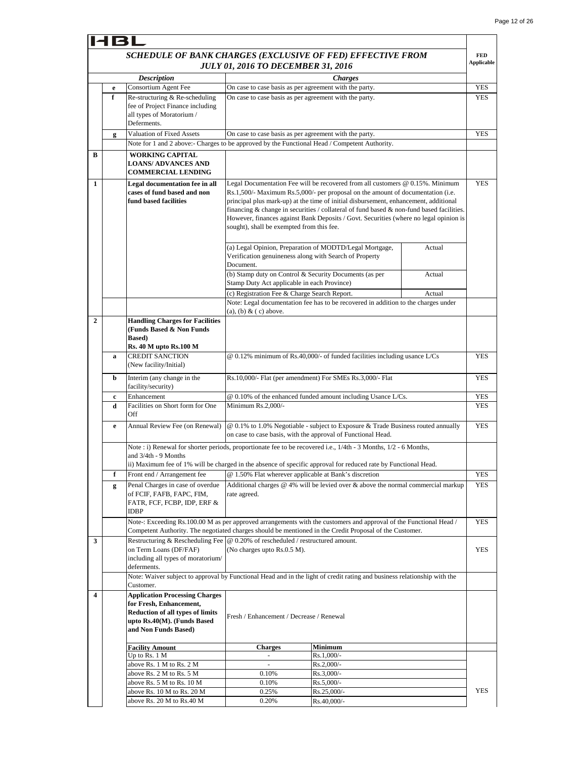|                |   | SCHEDULE OF BANK CHARGES (EXCLUSIVE OF FED) EFFECTIVE FROM                                                                                                                                                                                                 |                                                                                                                                |                                                                                                                                                                                                                                                                                                                                                                                                                                               |        | <b>FED</b>        |
|----------------|---|------------------------------------------------------------------------------------------------------------------------------------------------------------------------------------------------------------------------------------------------------------|--------------------------------------------------------------------------------------------------------------------------------|-----------------------------------------------------------------------------------------------------------------------------------------------------------------------------------------------------------------------------------------------------------------------------------------------------------------------------------------------------------------------------------------------------------------------------------------------|--------|-------------------|
|                |   |                                                                                                                                                                                                                                                            | <b>JULY 01, 2016 TO DECEMBER 31, 2016</b>                                                                                      |                                                                                                                                                                                                                                                                                                                                                                                                                                               |        | <b>Applicable</b> |
|                |   | <b>Description</b>                                                                                                                                                                                                                                         |                                                                                                                                | <b>Charges</b>                                                                                                                                                                                                                                                                                                                                                                                                                                |        |                   |
|                | e | Consortium Agent Fee                                                                                                                                                                                                                                       | On case to case basis as per agreement with the party.                                                                         |                                                                                                                                                                                                                                                                                                                                                                                                                                               |        | <b>YES</b>        |
|                | f | Re-structuring & Re-scheduling<br>fee of Project Finance including<br>all types of Moratorium /<br>Deferments.                                                                                                                                             | On case to case basis as per agreement with the party.                                                                         |                                                                                                                                                                                                                                                                                                                                                                                                                                               |        | <b>YES</b>        |
|                | g | <b>Valuation of Fixed Assets</b>                                                                                                                                                                                                                           | On case to case basis as per agreement with the party.                                                                         |                                                                                                                                                                                                                                                                                                                                                                                                                                               |        | <b>YES</b>        |
|                |   | Note for 1 and 2 above:- Charges to be approved by the Functional Head / Competent Authority.                                                                                                                                                              |                                                                                                                                |                                                                                                                                                                                                                                                                                                                                                                                                                                               |        |                   |
| В              |   | <b>WORKING CAPITAL</b><br><b>LOANS/ ADVANCES AND</b><br><b>COMMERCIAL LENDING</b>                                                                                                                                                                          |                                                                                                                                |                                                                                                                                                                                                                                                                                                                                                                                                                                               |        |                   |
| 1              |   | Legal documentation fee in all<br>cases of fund based and non<br>fund based facilities                                                                                                                                                                     | sought), shall be exempted from this fee.                                                                                      | Legal Documentation Fee will be recovered from all customers @ 0.15%. Minimum<br>Rs.1,500/- Maximum Rs.5,000/- per proposal on the amount of documentation (i.e.<br>principal plus mark-up) at the time of initial disbursement, enhancement, additional<br>financing & change in securities / collateral of fund based & non-fund based facilities.<br>However, finances against Bank Deposits / Govt. Securities (where no legal opinion is |        | <b>YES</b>        |
|                |   |                                                                                                                                                                                                                                                            | (a) Legal Opinion, Preparation of MODTD/Legal Mortgage,<br>Verification genuineness along with Search of Property<br>Document. |                                                                                                                                                                                                                                                                                                                                                                                                                                               | Actual |                   |
|                |   |                                                                                                                                                                                                                                                            | (b) Stamp duty on Control & Security Documents (as per<br>Stamp Duty Act applicable in each Province)                          |                                                                                                                                                                                                                                                                                                                                                                                                                                               | Actual |                   |
|                |   |                                                                                                                                                                                                                                                            | (c) Registration Fee & Charge Search Report.<br>$(a)$ , $(b)$ & $(c)$ above.                                                   | Note: Legal documentation fee has to be recovered in addition to the charges under                                                                                                                                                                                                                                                                                                                                                            | Actual |                   |
| $\overline{2}$ |   | <b>Handling Charges for Facilities</b><br>(Funds Based & Non Funds<br><b>Based</b> )<br><b>Rs. 40 M upto Rs. 100 M</b>                                                                                                                                     |                                                                                                                                |                                                                                                                                                                                                                                                                                                                                                                                                                                               |        |                   |
|                | a | <b>CREDIT SANCTION</b><br>(New facility/Initial)                                                                                                                                                                                                           | @ 0.12% minimum of Rs.40,000/- of funded facilities including usance L/Cs                                                      |                                                                                                                                                                                                                                                                                                                                                                                                                                               |        | YES               |
|                | b | Interim (any change in the<br>facility/security)                                                                                                                                                                                                           | Rs.10,000/- Flat (per amendment) For SMEs Rs.3,000/- Flat                                                                      |                                                                                                                                                                                                                                                                                                                                                                                                                                               |        |                   |
|                | c | Enhancement                                                                                                                                                                                                                                                |                                                                                                                                | @ 0.10% of the enhanced funded amount including Usance L/Cs.                                                                                                                                                                                                                                                                                                                                                                                  |        | <b>YES</b>        |
|                | d | Facilities on Short form for One<br>Off                                                                                                                                                                                                                    | Minimum Rs.2,000/-                                                                                                             |                                                                                                                                                                                                                                                                                                                                                                                                                                               |        | YES               |
|                | e | Annual Review Fee (on Renewal)                                                                                                                                                                                                                             | on case to case basis, with the approval of Functional Head.                                                                   | @ 0.1% to 1.0% Negotiable - subject to Exposure & Trade Business routed annually                                                                                                                                                                                                                                                                                                                                                              |        | <b>YES</b>        |
|                |   | Note : i) Renewal for shorter periods, proportionate fee to be recovered i.e., 1/4th - 3 Months, 1/2 - 6 Months,<br>and 3/4th - 9 Months<br>ii) Maximum fee of 1% will be charged in the absence of specific approval for reduced rate by Functional Head. |                                                                                                                                |                                                                                                                                                                                                                                                                                                                                                                                                                                               |        |                   |
|                | f | Front end / Arrangement fee                                                                                                                                                                                                                                | @ 1.50% Flat wherever applicable at Bank's discretion                                                                          |                                                                                                                                                                                                                                                                                                                                                                                                                                               |        | YES               |
|                | g | Penal Charges in case of overdue<br>of FCIF, FAFB, FAPC, FIM,<br>FATR, FCF, FCBP, IDP, ERF &<br><b>IDBP</b>                                                                                                                                                | rate agreed.                                                                                                                   | Additional charges $@$ 4% will be levied over $&$ above the normal commercial markup                                                                                                                                                                                                                                                                                                                                                          |        | YES               |
|                |   | Note-: Exceeding Rs.100.00 M as per approved arrangements with the customers and approval of the Functional Head /<br>Competent Authority. The negotiated charges should be mentioned in the Credit Proposal of the Customer.                              |                                                                                                                                |                                                                                                                                                                                                                                                                                                                                                                                                                                               |        | <b>YES</b>        |
| 3              |   | Restructuring & Rescheduling Fee $\omega$ 0.20% of rescheduled / restructured amount.<br>on Term Loans (DF/FAF)<br>including all types of moratorium/<br>deferments.                                                                                       | (No charges upto Rs.0.5 M).                                                                                                    |                                                                                                                                                                                                                                                                                                                                                                                                                                               |        | <b>YES</b>        |
|                |   | Note: Waiver subject to approval by Functional Head and in the light of credit rating and business relationship with the<br>Customer.                                                                                                                      |                                                                                                                                |                                                                                                                                                                                                                                                                                                                                                                                                                                               |        |                   |
| 4              |   | <b>Application Processing Charges</b><br>for Fresh, Enhancement,<br><b>Reduction of all types of limits</b><br>upto Rs.40(M). (Funds Based<br>and Non Funds Based)                                                                                         | Fresh / Enhancement / Decrease / Renewal                                                                                       |                                                                                                                                                                                                                                                                                                                                                                                                                                               |        |                   |
|                |   | <b>Facility Amount</b>                                                                                                                                                                                                                                     | <b>Charges</b>                                                                                                                 | Minimum                                                                                                                                                                                                                                                                                                                                                                                                                                       |        |                   |
|                |   | Up to Rs. 1 M                                                                                                                                                                                                                                              | $\overline{\phantom{a}}$                                                                                                       | $Rs.1,000/-$                                                                                                                                                                                                                                                                                                                                                                                                                                  |        |                   |
|                |   | above Rs. 1 M to Rs. 2 M<br>above Rs. 2 M to Rs. 5 M                                                                                                                                                                                                       | $\overline{\phantom{a}}$<br>0.10%                                                                                              | $Rs.2,000/-$<br>$Rs.3,000/-$                                                                                                                                                                                                                                                                                                                                                                                                                  |        |                   |
|                |   | above Rs. 5 M to Rs. 10 M                                                                                                                                                                                                                                  | 0.10%                                                                                                                          | Rs.5,000/-                                                                                                                                                                                                                                                                                                                                                                                                                                    |        |                   |
|                |   | above Rs. 10 M to Rs. 20 M                                                                                                                                                                                                                                 | 0.25%                                                                                                                          | Rs.25,000/-                                                                                                                                                                                                                                                                                                                                                                                                                                   |        | <b>YES</b>        |
|                |   | above Rs. 20 M to Rs.40 M                                                                                                                                                                                                                                  | 0.20%                                                                                                                          | $Rs.40,000/-$                                                                                                                                                                                                                                                                                                                                                                                                                                 |        |                   |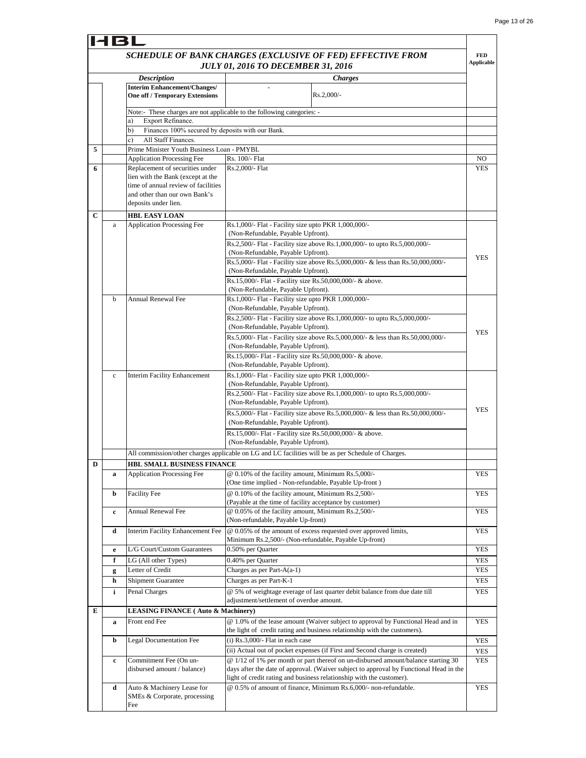|             | HBL                                                    |                                                                                                                                   |                                                                                                                                                                             |                                 |  |
|-------------|--------------------------------------------------------|-----------------------------------------------------------------------------------------------------------------------------------|-----------------------------------------------------------------------------------------------------------------------------------------------------------------------------|---------------------------------|--|
|             |                                                        |                                                                                                                                   | SCHEDULE OF BANK CHARGES (EXCLUSIVE OF FED) EFFECTIVE FROM<br><b>JULY 01, 2016 TO DECEMBER 31, 2016</b>                                                                     | <b>FED</b><br><b>Applicable</b> |  |
|             |                                                        | <b>Description</b>                                                                                                                | <b>Charges</b>                                                                                                                                                              |                                 |  |
|             |                                                        | <b>Interim Enhancement/Changes/</b>                                                                                               |                                                                                                                                                                             |                                 |  |
|             |                                                        | <b>One off / Temporary Extensions</b>                                                                                             | $Rs.2,000/-$                                                                                                                                                                |                                 |  |
|             |                                                        | Note:- These charges are not applicable to the following categories: -                                                            |                                                                                                                                                                             |                                 |  |
|             |                                                        | Export Refinance.<br>a)                                                                                                           |                                                                                                                                                                             |                                 |  |
|             | Finances 100% secured by deposits with our Bank.<br>b) |                                                                                                                                   |                                                                                                                                                                             |                                 |  |
| 5           |                                                        | All Staff Finances.<br>c)<br>Prime Minister Youth Business Loan - PMYBL                                                           |                                                                                                                                                                             |                                 |  |
|             |                                                        | <b>Application Processing Fee</b>                                                                                                 | Rs. 100/- Flat                                                                                                                                                              | NO                              |  |
| 6           |                                                        | Replacement of securities under                                                                                                   | Rs.2.000/- Flat                                                                                                                                                             | <b>YES</b>                      |  |
|             |                                                        | lien with the Bank (except at the<br>time of annual review of facilities<br>and other than our own Bank's<br>deposits under lien. |                                                                                                                                                                             |                                 |  |
| $\mathbf C$ |                                                        | <b>HBL EASY LOAN</b>                                                                                                              |                                                                                                                                                                             |                                 |  |
|             | a                                                      | <b>Application Processing Fee</b>                                                                                                 | Rs.1,000/- Flat - Facility size upto PKR 1,000,000/-                                                                                                                        |                                 |  |
|             |                                                        |                                                                                                                                   | (Non-Refundable, Payable Upfront).                                                                                                                                          |                                 |  |
|             |                                                        |                                                                                                                                   | Rs.2,500/- Flat - Facility size above Rs.1,000,000/- to upto Rs.5,000,000/-<br>(Non-Refundable, Payable Upfront).                                                           |                                 |  |
|             |                                                        |                                                                                                                                   | Rs.5,000/- Flat - Facility size above Rs.5,000,000/- & less than Rs.50,000,000/-                                                                                            | <b>YES</b>                      |  |
|             |                                                        |                                                                                                                                   | (Non-Refundable, Payable Upfront).                                                                                                                                          |                                 |  |
|             |                                                        |                                                                                                                                   | Rs.15,000/- Flat - Facility size Rs.50,000,000/- & above.                                                                                                                   |                                 |  |
|             | b                                                      | <b>Annual Renewal Fee</b>                                                                                                         | (Non-Refundable, Payable Upfront).<br>Rs.1,000/- Flat - Facility size upto PKR 1,000,000/-                                                                                  |                                 |  |
|             |                                                        |                                                                                                                                   | (Non-Refundable, Payable Upfront).                                                                                                                                          |                                 |  |
|             |                                                        |                                                                                                                                   | Rs.2,500/- Flat - Facility size above Rs.1,000,000/- to upto Rs,5,000,000/-                                                                                                 |                                 |  |
|             |                                                        |                                                                                                                                   | (Non-Refundable, Payable Upfront).                                                                                                                                          | <b>YES</b>                      |  |
|             |                                                        |                                                                                                                                   | Rs.5,000/- Flat - Facility size above Rs.5,000,000/- & less than Rs.50,000,000/-<br>(Non-Refundable, Payable Upfront).                                                      |                                 |  |
|             |                                                        |                                                                                                                                   | Rs.15,000/- Flat - Facility size Rs.50,000,000/- & above.                                                                                                                   |                                 |  |
|             |                                                        |                                                                                                                                   | (Non-Refundable, Payable Upfront).                                                                                                                                          |                                 |  |
|             | $\mathbf c$                                            | <b>Interim Facility Enhancement</b>                                                                                               | Rs.1,000/- Flat - Facility size upto PKR 1,000,000/-                                                                                                                        |                                 |  |
|             |                                                        |                                                                                                                                   | (Non-Refundable, Payable Upfront).<br>Rs.2,500/- Flat - Facility size above Rs.1,000,000/- to upto Rs.5,000,000/-                                                           |                                 |  |
|             |                                                        |                                                                                                                                   | (Non-Refundable, Payable Upfront).                                                                                                                                          |                                 |  |
|             |                                                        |                                                                                                                                   | Rs.5,000/- Flat - Facility size above Rs.5,000,000/- & less than Rs.50,000,000/-                                                                                            | <b>YES</b>                      |  |
|             |                                                        |                                                                                                                                   | (Non-Refundable, Payable Upfront).                                                                                                                                          |                                 |  |
|             |                                                        |                                                                                                                                   | Rs.15,000/- Flat - Facility size Rs.50,000,000/- & above.                                                                                                                   |                                 |  |
|             |                                                        |                                                                                                                                   | (Non-Refundable, Payable Upfront).                                                                                                                                          |                                 |  |
|             |                                                        |                                                                                                                                   | All commission/other charges applicable on LG and LC facilities will be as per Schedule of Charges.                                                                         |                                 |  |
| D           | a                                                      | <b>HBL SMALL BUSINESS FINANCE</b><br><b>Application Processing Fee</b>                                                            | @ 0.10% of the facility amount, Minimum Rs.5,000/-                                                                                                                          | <b>YES</b>                      |  |
|             |                                                        |                                                                                                                                   | (One time implied - Non-refundable, Payable Up-front)                                                                                                                       |                                 |  |
|             | b                                                      | Facility Fee                                                                                                                      | @ 0.10% of the facility amount, Minimum Rs.2,500/-                                                                                                                          | <b>YES</b>                      |  |
|             |                                                        |                                                                                                                                   | (Payable at the time of facility acceptance by customer)                                                                                                                    |                                 |  |
|             | c                                                      | Annual Renewal Fee                                                                                                                | @ 0.05% of the facility amount, Minimum Rs.2,500/-<br>(Non-refundable, Payable Up-front)                                                                                    | <b>YES</b>                      |  |
|             | d                                                      | Interim Facility Enhancement Fee                                                                                                  | @ 0.05% of the amount of excess requested over approved limits,                                                                                                             | <b>YES</b>                      |  |
|             |                                                        |                                                                                                                                   | Minimum Rs.2,500/- (Non-refundable, Payable Up-front)                                                                                                                       |                                 |  |
|             | e                                                      | L/G Court/Custom Guarantees                                                                                                       | 0.50% per Quarter                                                                                                                                                           | <b>YES</b>                      |  |
|             | f                                                      | LG (All other Types)                                                                                                              | 0.40% per Quarter                                                                                                                                                           | <b>YES</b>                      |  |
|             | g<br>h                                                 | Letter of Credit<br>Shipment Guarantee                                                                                            | Charges as per Part- $A(a-1)$<br>Charges as per Part-K-1                                                                                                                    | YES<br><b>YES</b>               |  |
|             | i                                                      | Penal Charges                                                                                                                     | @ 5% of weightage everage of last quarter debit balance from due date till                                                                                                  | <b>YES</b>                      |  |
|             |                                                        |                                                                                                                                   | adjustment/settlement of overdue amount.                                                                                                                                    |                                 |  |
| Е           |                                                        |                                                                                                                                   | <b>LEASING FINANCE (Auto &amp; Machinery)</b>                                                                                                                               |                                 |  |
|             | a                                                      | Front end Fee                                                                                                                     | @ 1.0% of the lease amount (Waiver subject to approval by Functional Head and in<br>the light of credit rating and business relationship with the customers).               | <b>YES</b>                      |  |
|             | b                                                      | Legal Documentation Fee                                                                                                           | $(i)$ Rs.3,000/- Flat in each case                                                                                                                                          | <b>YES</b>                      |  |
|             |                                                        |                                                                                                                                   | (ii) Actual out of pocket expenses (if First and Second charge is created)                                                                                                  | YES                             |  |
|             | c                                                      | Commitment Fee (On un-<br>disbursed amount / balance)                                                                             | @ 1/12 of 1% per month or part thereof on un-disbursed amount/balance starting 30<br>days after the date of approval. (Waiver subject to approval by Functional Head in the | <b>YES</b>                      |  |
|             | d                                                      | Auto & Machinery Lease for                                                                                                        | light of credit rating and business relationship with the customer).<br>@ 0.5% of amount of finance, Minimum Rs.6,000/- non-refundable.                                     | <b>YES</b>                      |  |
|             |                                                        | SMEs & Corporate, processing                                                                                                      |                                                                                                                                                                             |                                 |  |
|             |                                                        | Fee                                                                                                                               |                                                                                                                                                                             |                                 |  |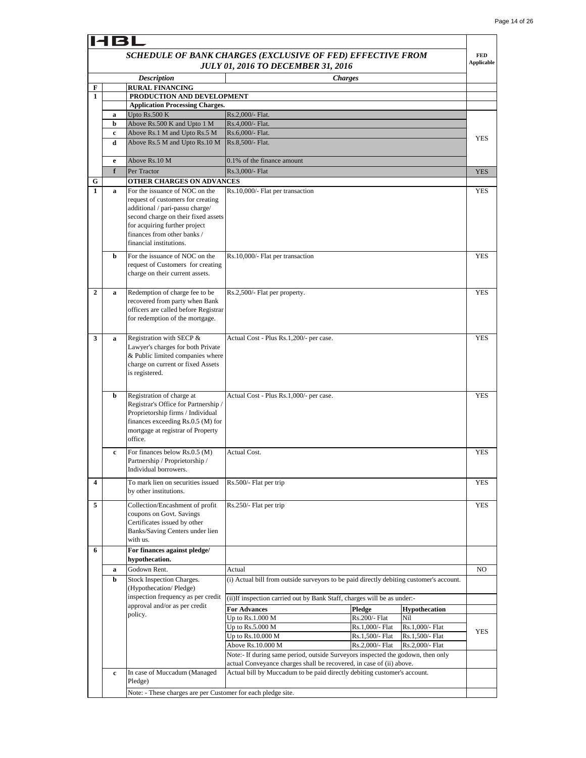## HBL

### *SCHEDULE OF BANK CHARGES (EXCLUSIVE OF FED) EFFECTIVE FROM JULY 01, 2016 TO DECEMBER 31, 2016*

|                |             | SCHEDULE OF BANK CHARGES (EXCLUSIVE OF FED) EFFECTIVE FROM               | <b>JULY 01, 2016 TO DECEMBER 31, 2016</b>                                                                                                               |                |                 |                      | FED<br>Applicable |
|----------------|-------------|--------------------------------------------------------------------------|---------------------------------------------------------------------------------------------------------------------------------------------------------|----------------|-----------------|----------------------|-------------------|
|                |             | <b>Description</b>                                                       |                                                                                                                                                         | <b>Charges</b> |                 |                      |                   |
| F              |             | <b>RURAL FINANCING</b>                                                   |                                                                                                                                                         |                |                 |                      |                   |
| $\mathbf{1}$   |             | PRODUCTION AND DEVELOPMENT                                               |                                                                                                                                                         |                |                 |                      |                   |
|                |             | <b>Application Processing Charges.</b>                                   |                                                                                                                                                         |                |                 |                      |                   |
|                | a<br>b      | Upto Rs.500 K<br>Above Rs.500 K and Upto 1 M                             | Rs.2,000/- Flat.<br>Rs.4,000/- Flat.                                                                                                                    |                |                 |                      |                   |
|                | c           | Above Rs.1 M and Upto Rs.5 M                                             | Rs.6,000/- Flat.                                                                                                                                        |                |                 |                      |                   |
|                | d           | Above Rs.5 M and Upto Rs.10 M                                            | Rs.8,500/- Flat.                                                                                                                                        |                |                 |                      | <b>YES</b>        |
|                |             |                                                                          |                                                                                                                                                         |                |                 |                      |                   |
|                | e           | Above Rs.10 M                                                            | 0.1% of the finance amount                                                                                                                              |                |                 |                      |                   |
|                | f           | Per Tractor<br>OTHER CHARGES ON ADVANCES                                 | Rs.3,000/- Flat                                                                                                                                         |                |                 |                      | <b>YES</b>        |
| G<br>1         | $\mathbf a$ | For the issuance of NOC on the                                           | Rs.10,000/- Flat per transaction                                                                                                                        |                |                 |                      | <b>YES</b>        |
|                |             | request of customers for creating                                        |                                                                                                                                                         |                |                 |                      |                   |
|                |             | additional / pari-passu charge/                                          |                                                                                                                                                         |                |                 |                      |                   |
|                |             | second charge on their fixed assets                                      |                                                                                                                                                         |                |                 |                      |                   |
|                |             | for acquiring further project                                            |                                                                                                                                                         |                |                 |                      |                   |
|                |             | finances from other banks /<br>financial institutions.                   |                                                                                                                                                         |                |                 |                      |                   |
|                |             |                                                                          |                                                                                                                                                         |                |                 |                      |                   |
|                | b           | For the issuance of NOC on the                                           | Rs.10,000/- Flat per transaction                                                                                                                        |                |                 |                      | <b>YES</b>        |
|                |             | request of Customers for creating<br>charge on their current assets.     |                                                                                                                                                         |                |                 |                      |                   |
|                |             |                                                                          |                                                                                                                                                         |                |                 |                      |                   |
| $\overline{2}$ | $\mathbf a$ | Redemption of charge fee to be                                           | Rs.2,500/- Flat per property.                                                                                                                           |                |                 |                      | <b>YES</b>        |
|                |             | recovered from party when Bank                                           |                                                                                                                                                         |                |                 |                      |                   |
|                |             | officers are called before Registrar                                     |                                                                                                                                                         |                |                 |                      |                   |
|                |             | for redemption of the mortgage.                                          |                                                                                                                                                         |                |                 |                      |                   |
| 3              |             | Registration with SECP &                                                 | Actual Cost - Plus Rs.1,200/- per case.                                                                                                                 |                |                 |                      | <b>YES</b>        |
|                | $\mathbf a$ | Lawyer's charges for both Private                                        |                                                                                                                                                         |                |                 |                      |                   |
|                |             | & Public limited companies where                                         |                                                                                                                                                         |                |                 |                      |                   |
|                |             | charge on current or fixed Assets                                        |                                                                                                                                                         |                |                 |                      |                   |
|                |             | is registered.                                                           |                                                                                                                                                         |                |                 |                      |                   |
|                |             |                                                                          |                                                                                                                                                         |                |                 |                      |                   |
|                | b           | Registration of charge at                                                | Actual Cost - Plus Rs.1,000/- per case.                                                                                                                 |                |                 |                      | <b>YES</b>        |
|                |             | Registrar's Office for Partnership /                                     |                                                                                                                                                         |                |                 |                      |                   |
|                |             | Proprietorship firms / Individual<br>finances exceeding $Rs.0.5$ (M) for |                                                                                                                                                         |                |                 |                      |                   |
|                |             | mortgage at registrar of Property                                        |                                                                                                                                                         |                |                 |                      |                   |
|                |             | office.                                                                  |                                                                                                                                                         |                |                 |                      |                   |
|                | $\mathbf c$ | For finances below Rs.0.5 (M)                                            | Actual Cost.                                                                                                                                            |                |                 |                      | <b>YES</b>        |
|                |             | Partnership / Proprietorship /                                           |                                                                                                                                                         |                |                 |                      |                   |
|                |             | Individual borrowers.                                                    |                                                                                                                                                         |                |                 |                      |                   |
|                |             | To mark lien on securities issued                                        | Rs.500/- Flat per trip                                                                                                                                  |                |                 |                      | YES               |
|                |             | by other institutions.                                                   |                                                                                                                                                         |                |                 |                      |                   |
| 5              |             | Collection/Encashment of profit                                          | Rs.250/- Flat per trip                                                                                                                                  |                |                 |                      | YES               |
|                |             | coupons on Govt. Savings                                                 |                                                                                                                                                         |                |                 |                      |                   |
|                |             | Certificates issued by other                                             |                                                                                                                                                         |                |                 |                      |                   |
|                |             | Banks/Saving Centers under lien                                          |                                                                                                                                                         |                |                 |                      |                   |
|                |             | with us.                                                                 |                                                                                                                                                         |                |                 |                      |                   |
| 6              |             | For finances against pledge/                                             |                                                                                                                                                         |                |                 |                      |                   |
|                | a           | hypothecation.<br>Godown Rent.                                           | Actual                                                                                                                                                  |                |                 |                      | NO                |
|                | b           | Stock Inspection Charges.                                                | (i) Actual bill from outside surveyors to be paid directly debiting customer's account.                                                                 |                |                 |                      |                   |
|                |             | (Hypothecation/Pledge)                                                   |                                                                                                                                                         |                |                 |                      |                   |
|                |             | inspection frequency as per credit                                       | (ii) If inspection carried out by Bank Staff, charges will be as under:-                                                                                |                |                 |                      |                   |
|                |             | approval and/or as per credit                                            | <b>For Advances</b>                                                                                                                                     |                | Pledge          | <b>Hypothecation</b> |                   |
|                |             | policy.                                                                  | Up to Rs.1.000 M                                                                                                                                        |                | Rs.200/- Flat   | Nil                  |                   |
|                |             |                                                                          | Up to Rs.5.000 M                                                                                                                                        |                | Rs.1,000/- Flat | Rs.1,000/- Flat      | YES               |
|                |             |                                                                          | Up to Rs.10.000 M                                                                                                                                       |                | Rs.1,500/- Flat | Rs.1,500/- Flat      |                   |
|                |             |                                                                          | Above Rs.10.000 M                                                                                                                                       |                | Rs.2,000/- Flat | Rs.2,000/- Flat      |                   |
|                |             |                                                                          | Note:- If during same period, outside Surveyors inspected the godown, then only<br>actual Conveyance charges shall be recovered, in case of (ii) above. |                |                 |                      |                   |
|                | $\mathbf c$ | In case of Muccadum (Managed                                             | Actual bill by Muccadum to be paid directly debiting customer's account.                                                                                |                |                 |                      |                   |
|                |             | Pledge)                                                                  |                                                                                                                                                         |                |                 |                      |                   |
|                |             | Note: - These charges are per Customer for each pledge site.             |                                                                                                                                                         |                |                 |                      |                   |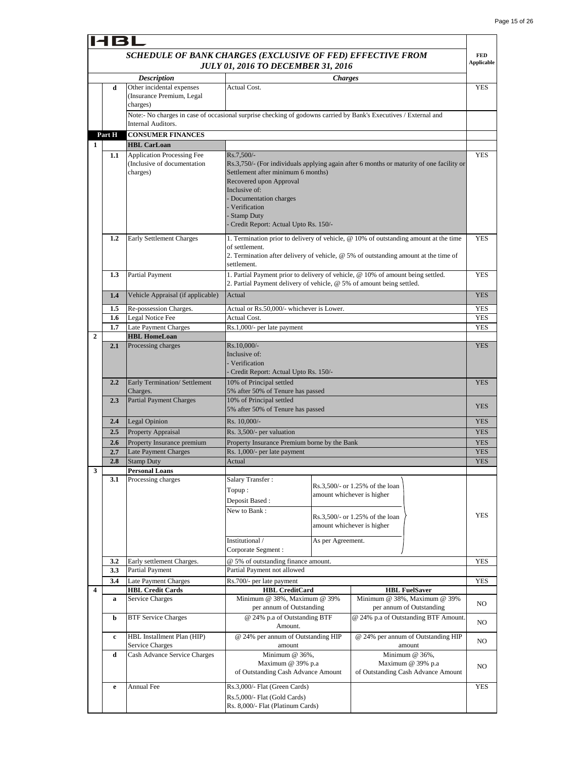$\blacksquare$ 

| 18L            |                                                                                                         |                                                                                                                                        |                                                                                                                                                                                                   |                                                                                                                                                                             |                                                                                                                                |                                 |
|----------------|---------------------------------------------------------------------------------------------------------|----------------------------------------------------------------------------------------------------------------------------------------|---------------------------------------------------------------------------------------------------------------------------------------------------------------------------------------------------|-----------------------------------------------------------------------------------------------------------------------------------------------------------------------------|--------------------------------------------------------------------------------------------------------------------------------|---------------------------------|
|                | SCHEDULE OF BANK CHARGES (EXCLUSIVE OF FED) EFFECTIVE FROM<br><b>JULY 01, 2016 TO DECEMBER 31, 2016</b> |                                                                                                                                        |                                                                                                                                                                                                   |                                                                                                                                                                             |                                                                                                                                | <b>FED</b><br><b>Applicable</b> |
|                |                                                                                                         | <b>Description</b>                                                                                                                     |                                                                                                                                                                                                   | <i><b>Charges</b></i>                                                                                                                                                       |                                                                                                                                |                                 |
|                | d                                                                                                       | Other incidental expenses<br>(Insurance Premium, Legal<br>charges)                                                                     | <b>Actual Cost.</b>                                                                                                                                                                               |                                                                                                                                                                             |                                                                                                                                | YES                             |
|                |                                                                                                         | Note:- No charges in case of occasional surprise checking of godowns carried by Bank's Executives / External and<br>Internal Auditors. |                                                                                                                                                                                                   |                                                                                                                                                                             |                                                                                                                                |                                 |
|                | Part H                                                                                                  | <b>CONSUMER FINANCES</b>                                                                                                               |                                                                                                                                                                                                   |                                                                                                                                                                             |                                                                                                                                |                                 |
| 1              |                                                                                                         | <b>HBL CarLoan</b>                                                                                                                     |                                                                                                                                                                                                   |                                                                                                                                                                             |                                                                                                                                |                                 |
|                | 1.1                                                                                                     | <b>Application Processing Fee</b><br>(Inclusive of documentation<br>charges)                                                           | Rs.7.500/-<br>Settlement after minimum 6 months)<br>Recovered upon Approval<br>Inclusive of:<br>- Documentation charges<br>- Verification<br>- Stamp Duty<br>Credit Report: Actual Upto Rs. 150/- |                                                                                                                                                                             | Rs.3,750/- (For individuals applying again after 6 months or maturity of one facility or                                       | <b>YES</b><br><b>YES</b>        |
|                | 1.2                                                                                                     | Early Settlement Charges                                                                                                               | of settlement.<br>settlement.                                                                                                                                                                     | 1. Termination prior to delivery of vehicle, @ 10% of outstanding amount at the time<br>2. Termination after delivery of vehicle, @ 5% of outstanding amount at the time of |                                                                                                                                |                                 |
|                | 1.3                                                                                                     | Partial Payment                                                                                                                        | 2. Partial Payment delivery of vehicle, @ 5% of amount being settled.                                                                                                                             |                                                                                                                                                                             | 1. Partial Payment prior to delivery of vehicle, @ 10% of amount being settled.                                                | <b>YES</b>                      |
|                | Vehicle Appraisal (if applicable)<br>1.4                                                                |                                                                                                                                        | Actual                                                                                                                                                                                            |                                                                                                                                                                             |                                                                                                                                | <b>YES</b>                      |
|                | 1.5                                                                                                     | Re-possession Charges.                                                                                                                 | Actual or Rs.50,000/- whichever is Lower.                                                                                                                                                         |                                                                                                                                                                             |                                                                                                                                | YES                             |
|                | 1.6                                                                                                     | Legal Notice Fee                                                                                                                       | Actual Cost.                                                                                                                                                                                      |                                                                                                                                                                             |                                                                                                                                | <b>YES</b>                      |
| $\overline{2}$ | 1.7                                                                                                     | Late Payment Charges<br><b>HBL HomeLoan</b>                                                                                            | Rs.1,000/- per late payment                                                                                                                                                                       |                                                                                                                                                                             |                                                                                                                                | <b>YES</b>                      |
|                | 2.1                                                                                                     | Processing charges                                                                                                                     | Rs.10,000/-<br>Inclusive of:<br>- Verification<br>- Credit Report: Actual Upto Rs. 150/-                                                                                                          |                                                                                                                                                                             |                                                                                                                                | <b>YES</b>                      |
|                | 2.2                                                                                                     | Early Termination/ Settlement<br>Charges.                                                                                              | 10% of Principal settled<br>5% after 50% of Tenure has passed                                                                                                                                     |                                                                                                                                                                             |                                                                                                                                | <b>YES</b>                      |
|                | 2.3                                                                                                     | <b>Partial Payment Charges</b>                                                                                                         | 10% of Principal settled<br>5% after 50% of Tenure has passed                                                                                                                                     |                                                                                                                                                                             |                                                                                                                                | <b>YES</b>                      |
|                | 2.4                                                                                                     | Legal Opinion                                                                                                                          | Rs. 10,000/-                                                                                                                                                                                      |                                                                                                                                                                             |                                                                                                                                | <b>YES</b>                      |
|                | 2.5                                                                                                     | Property Appraisal                                                                                                                     | Rs. 3,500/- per valuation                                                                                                                                                                         |                                                                                                                                                                             |                                                                                                                                | <b>YES</b>                      |
|                | 2.6                                                                                                     | Property Insurance premium                                                                                                             | Property Insurance Premium borne by the Bank                                                                                                                                                      |                                                                                                                                                                             |                                                                                                                                | <b>YES</b>                      |
|                | 2.7                                                                                                     | <b>Late Payment Charges</b>                                                                                                            | Rs. 1,000/- per late payment                                                                                                                                                                      |                                                                                                                                                                             |                                                                                                                                | <b>YES</b>                      |
| 3              | 2.8                                                                                                     | Stamp Duty<br><b>Personal Loans</b>                                                                                                    | Actual                                                                                                                                                                                            |                                                                                                                                                                             |                                                                                                                                | <b>YES</b>                      |
|                | 3.1                                                                                                     | Processing charges                                                                                                                     | Salary Transfer:<br>Topup:<br>Deposit Based:<br>New to Bank:<br>Institutional /<br>Corporate Segment :                                                                                            | As per Agreement.                                                                                                                                                           | Rs.3,500/- or 1.25% of the loan<br>amount whichever is higher<br>Rs.3,500/- or 1.25% of the loan<br>amount whichever is higher | YES                             |
|                | 3.2                                                                                                     | Early settlement Charges.                                                                                                              | @ 5% of outstanding finance amount.                                                                                                                                                               |                                                                                                                                                                             |                                                                                                                                | <b>YES</b>                      |
|                | 3.3                                                                                                     | Partial Payment                                                                                                                        | Partial Payment not allowed                                                                                                                                                                       |                                                                                                                                                                             |                                                                                                                                |                                 |
|                | 3.4                                                                                                     | Late Payment Charges                                                                                                                   | Rs.700/- per late payment                                                                                                                                                                         |                                                                                                                                                                             |                                                                                                                                | <b>YES</b>                      |
| 4              |                                                                                                         | <b>HBL Credit Cards</b>                                                                                                                | <b>HBL CreditCard</b><br>Minimum @ 38%, Maximum @ 39%                                                                                                                                             |                                                                                                                                                                             | <b>HBL FuelSaver</b><br>Minimum @ 38%, Maximum @ 39%                                                                           |                                 |
|                | a<br>b                                                                                                  | Service Charges<br><b>BTF Service Charges</b>                                                                                          | per annum of Outstanding<br>@ 24% p.a of Outstanding BTF                                                                                                                                          |                                                                                                                                                                             | per annum of Outstanding<br>@ 24% p.a of Outstanding BTF Amount.                                                               | NO.                             |
|                | c                                                                                                       | HBL Installment Plan (HIP)                                                                                                             | Amount.<br>@ 24% per annum of Outstanding HIP                                                                                                                                                     |                                                                                                                                                                             | @ 24% per annum of Outstanding HIP                                                                                             | NO                              |
|                |                                                                                                         | <b>Service Charges</b>                                                                                                                 | amount                                                                                                                                                                                            |                                                                                                                                                                             | amount                                                                                                                         | NO                              |
|                | d                                                                                                       | Cash Advance Service Charges                                                                                                           | Minimum @ 36%,<br>Maximum @ 39% p.a<br>of Outstanding Cash Advance Amount                                                                                                                         |                                                                                                                                                                             | Minimum @ 36%,<br>Maximum @ 39% p.a<br>of Outstanding Cash Advance Amount                                                      | NO                              |
|                | e                                                                                                       | Annual Fee                                                                                                                             | Rs.3,000/- Flat (Green Cards)<br>Rs.5,000/- Flat (Gold Cards)<br>Rs. 8,000/- Flat (Platinum Cards)                                                                                                |                                                                                                                                                                             |                                                                                                                                | <b>YES</b>                      |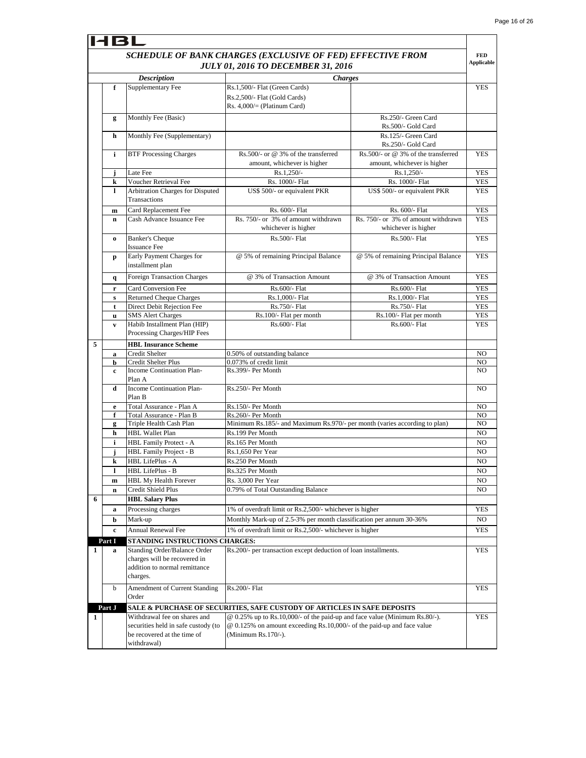$\mathbf{r}$ 

|   | HBL          |                                                                                                                   |                                                                                                                                                                             |                                                                    |                                 |
|---|--------------|-------------------------------------------------------------------------------------------------------------------|-----------------------------------------------------------------------------------------------------------------------------------------------------------------------------|--------------------------------------------------------------------|---------------------------------|
|   |              |                                                                                                                   | SCHEDULE OF BANK CHARGES (EXCLUSIVE OF FED) EFFECTIVE FROM<br><b>JULY 01, 2016 TO DECEMBER 31, 2016</b>                                                                     |                                                                    | <b>FED</b><br><b>Applicable</b> |
|   |              | <b>Description</b>                                                                                                | <b>Charges</b>                                                                                                                                                              |                                                                    |                                 |
|   | f            | Supplementary Fee                                                                                                 | Rs.1,500/- Flat (Green Cards)<br>Rs.2,500/- Flat (Gold Cards)<br>Rs. $4,000/=(Platinum Card)$                                                                               |                                                                    | <b>YES</b>                      |
|   | g            | Monthly Fee (Basic)                                                                                               |                                                                                                                                                                             | Rs.250/- Green Card<br>Rs.500/- Gold Card                          |                                 |
|   | h            | Monthly Fee (Supplementary)                                                                                       |                                                                                                                                                                             | Rs.125/- Green Card                                                |                                 |
|   |              | <b>BTF Processing Charges</b>                                                                                     |                                                                                                                                                                             | Rs.250/- Gold Card                                                 |                                 |
|   | i            |                                                                                                                   | Rs.500/- or @ 3% of the transferred<br>amount, whichever is higher                                                                                                          | Rs.500/- or @ 3% of the transferred<br>amount, whichever is higher | <b>YES</b>                      |
|   | j            | Late Fee                                                                                                          | $Rs.1,250/-$                                                                                                                                                                | $Rs.1,250/-$                                                       | <b>YES</b>                      |
|   | k            | Voucher Retrieval Fee                                                                                             | Rs. 1000/- Flat                                                                                                                                                             | Rs. 1000/- Flat                                                    | <b>YES</b>                      |
|   | 1            | Arbitration Charges for Disputed<br>Transactions                                                                  | US\$ 500/- or equivalent PKR                                                                                                                                                | US\$ 500/- or equivalent PKR                                       | <b>YES</b>                      |
|   | $\mathbf{m}$ | Card Replacement Fee                                                                                              | Rs. 600/- Flat                                                                                                                                                              | Rs. 600/- Flat                                                     | <b>YES</b>                      |
|   | $\mathbf n$  | Cash Advance Issuance Fee                                                                                         | Rs. 750/- or 3% of amount withdrawn<br>whichever is higher                                                                                                                  | Rs. 750/- or 3% of amount withdrawn<br>whichever is higher         | <b>YES</b>                      |
|   | $\bf{0}$     | <b>Banker's Cheque</b><br><b>Issuance Fee</b>                                                                     | Rs.500/- Flat                                                                                                                                                               | Rs.500/- Flat                                                      | <b>YES</b>                      |
|   | p            | Early Payment Charges for<br>installment plan                                                                     | @ 5% of remaining Principal Balance                                                                                                                                         | @ 5% of remaining Principal Balance                                | <b>YES</b>                      |
|   | q            | <b>Foreign Transaction Charges</b>                                                                                | @ 3% of Transaction Amount                                                                                                                                                  | @ 3% of Transaction Amount                                         | <b>YES</b>                      |
|   | $\mathbf r$  | Card Conversion Fee                                                                                               | Rs.600/- Flat                                                                                                                                                               | Rs.600/- Flat                                                      | <b>YES</b>                      |
|   | ${\bf s}$    | <b>Returned Cheque Charges</b>                                                                                    | Rs.1,000/- Flat                                                                                                                                                             | Rs.1,000/- Flat                                                    | <b>YES</b>                      |
|   | t            | Direct Debit Rejection Fee                                                                                        | Rs.750/- Flat                                                                                                                                                               | Rs.750/- Flat                                                      | <b>YES</b>                      |
|   | u            | <b>SMS</b> Alert Charges                                                                                          | Rs.100/- Flat per month                                                                                                                                                     | Rs.100/- Flat per month                                            | <b>YES</b>                      |
|   | $\mathbf{v}$ | Habib Installment Plan (HIP)<br>Processing Charges/HIP Fees                                                       | Rs.600/- Flat                                                                                                                                                               | Rs.600/- Flat                                                      | <b>YES</b>                      |
| 5 |              | <b>HBL Insurance Scheme</b>                                                                                       |                                                                                                                                                                             |                                                                    |                                 |
|   | a            | Credit Shelter                                                                                                    | 0.50% of outstanding balance                                                                                                                                                |                                                                    | NO                              |
|   | b<br>c       | Credit Shelter Plus<br>Income Continuation Plan-<br>Plan A                                                        | 0.073% of credit limit<br>Rs.399/- Per Month                                                                                                                                |                                                                    | NO.<br>NO                       |
|   | d            | Income Continuation Plan-<br>Plan B                                                                               | Rs.250/- Per Month                                                                                                                                                          |                                                                    | N <sub>O</sub>                  |
|   | e            | Total Assurance - Plan A                                                                                          | Rs.150/- Per Month                                                                                                                                                          |                                                                    | NO                              |
|   | f            | Total Assurance - Plan B                                                                                          | Rs.260/- Per Month                                                                                                                                                          |                                                                    | NO                              |
|   | g            | Triple Health Cash Plan                                                                                           | Minimum Rs.185/- and Maximum Rs.970/- per month (varies according to plan)                                                                                                  |                                                                    | NO                              |
|   | h            | <b>HBL Wallet Plan</b>                                                                                            | Rs.199 Per Month                                                                                                                                                            |                                                                    | NO                              |
|   | i            | HBL Family Protect - A                                                                                            | Rs.165 Per Month                                                                                                                                                            |                                                                    | NO                              |
|   | j            | HBL Family Project - B                                                                                            | Rs.1,650 Per Year                                                                                                                                                           |                                                                    | NO                              |
|   | k            | HBL LifePlus - A                                                                                                  | Rs.250 Per Month                                                                                                                                                            |                                                                    | NO                              |
|   | ı            | HBL LifePlus - B                                                                                                  | Rs.325 Per Month                                                                                                                                                            |                                                                    | NO                              |
|   | m            | <b>HBL My Health Forever</b>                                                                                      | Rs. 3,000 Per Year                                                                                                                                                          |                                                                    | NO                              |
| 6 | n            | Credit Shield Plus                                                                                                | 0.79% of Total Outstanding Balance                                                                                                                                          |                                                                    | NO                              |
|   |              | <b>HBL Salary Plus</b>                                                                                            |                                                                                                                                                                             |                                                                    | YES                             |
|   | a            | Processing charges                                                                                                | 1% of overdraft limit or Rs.2,500/- whichever is higher                                                                                                                     |                                                                    | NO.                             |
|   | b            | Mark-up                                                                                                           | Monthly Mark-up of 2.5-3% per month classification per annum 30-36%                                                                                                         |                                                                    |                                 |
|   | c            | Annual Renewal Fee                                                                                                | 1% of overdraft limit or Rs.2,500/- whichever is higher                                                                                                                     |                                                                    | YES                             |
|   | Part I       | STANDING INSTRUCTIONS CHARGES:                                                                                    |                                                                                                                                                                             |                                                                    |                                 |
| 1 | a            | Standing Order/Balance Order<br>charges will be recovered in<br>addition to normal remittance<br>charges.         | Rs.200/- per transaction except deduction of loan installments.                                                                                                             |                                                                    | YES                             |
|   | b            | Amendment of Current Standing<br>Order                                                                            | Rs.200/- Flat                                                                                                                                                               |                                                                    | <b>YES</b>                      |
|   | Part J       |                                                                                                                   | SALE & PURCHASE OF SECURITIES, SAFE CUSTODY OF ARTICLES IN SAFE DEPOSITS                                                                                                    |                                                                    |                                 |
| 1 |              | Withdrawal fee on shares and<br>securities held in safe custody (to<br>be recovered at the time of<br>withdrawal) | @ 0.25% up to Rs.10,000/- of the paid-up and face value (Minimum Rs.80/-).<br>@ 0.125% on amount exceeding Rs.10,000/- of the paid-up and face value<br>(Minimum Rs.170/-). |                                                                    | YES                             |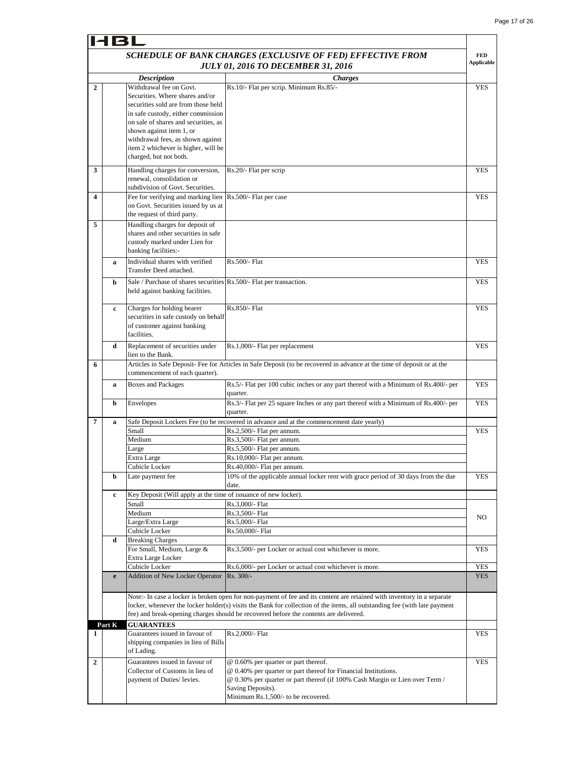| <b>HBL</b>     |                                           |                                                                                                                                                                                                                                                                                         |                                                                                                                                                                                                                                                                                                                                               |                                 |  |
|----------------|-------------------------------------------|-----------------------------------------------------------------------------------------------------------------------------------------------------------------------------------------------------------------------------------------------------------------------------------------|-----------------------------------------------------------------------------------------------------------------------------------------------------------------------------------------------------------------------------------------------------------------------------------------------------------------------------------------------|---------------------------------|--|
|                |                                           |                                                                                                                                                                                                                                                                                         | SCHEDULE OF BANK CHARGES (EXCLUSIVE OF FED) EFFECTIVE FROM                                                                                                                                                                                                                                                                                    | <b>FED</b><br><b>Applicable</b> |  |
|                | <b>JULY 01, 2016 TO DECEMBER 31, 2016</b> |                                                                                                                                                                                                                                                                                         |                                                                                                                                                                                                                                                                                                                                               |                                 |  |
|                |                                           | <b>Description</b>                                                                                                                                                                                                                                                                      | <i>Charges</i>                                                                                                                                                                                                                                                                                                                                |                                 |  |
| $\mathbf{2}$   |                                           | Withdrawal fee on Govt.<br>Securities. Where shares and/or<br>securities sold are from those held<br>in safe custody, either commission<br>on sale of shares and securities, as<br>shown against item 1, or<br>withdrawal fees, as shown against<br>item 2 whichever is higher, will be | Rs.10/- Flat per scrip. Minimum Rs.85/-                                                                                                                                                                                                                                                                                                       | <b>YES</b>                      |  |
| 3              |                                           | charged, but not both.<br>Handling charges for conversion,<br>renewal, consolidation or                                                                                                                                                                                                 | Rs.20/- Flat per scrip                                                                                                                                                                                                                                                                                                                        | YES                             |  |
|                |                                           | subdivision of Govt. Securities.                                                                                                                                                                                                                                                        |                                                                                                                                                                                                                                                                                                                                               |                                 |  |
| 4              |                                           | Fee for verifying and marking lien<br>on Govt. Securities issued by us at<br>the request of third party.                                                                                                                                                                                | Rs.500/- Flat per case                                                                                                                                                                                                                                                                                                                        | YES                             |  |
| 5              |                                           | Handling charges for deposit of<br>shares and other securities in safe<br>custody marked under Lien for<br>banking facilities:-                                                                                                                                                         |                                                                                                                                                                                                                                                                                                                                               |                                 |  |
|                | a                                         | Individual shares with verified<br>Transfer Deed attached.                                                                                                                                                                                                                              | Rs.500/- Flat                                                                                                                                                                                                                                                                                                                                 | <b>YES</b>                      |  |
|                | b                                         | Sale / Purchase of shares securities Rs.500/- Flat per transaction.<br>held against banking facilities.                                                                                                                                                                                 |                                                                                                                                                                                                                                                                                                                                               | <b>YES</b>                      |  |
|                | $\mathbf c$                               | Charges for holding bearer<br>securities in safe custody on behalf<br>of customer against banking<br>facilities.                                                                                                                                                                        | Rs.850/- Flat                                                                                                                                                                                                                                                                                                                                 | <b>YES</b>                      |  |
|                | d                                         | Replacement of securities under<br>lien to the Bank.                                                                                                                                                                                                                                    | Rs.1,000/- Flat per replacement                                                                                                                                                                                                                                                                                                               | YES                             |  |
| 6              |                                           | commencement of each quarter).                                                                                                                                                                                                                                                          | Articles in Safe Deposit-Fee for Articles in Safe Deposit (to be recovered in advance at the time of deposit or at the                                                                                                                                                                                                                        |                                 |  |
|                | a                                         | <b>Boxes and Packages</b>                                                                                                                                                                                                                                                               | Rs.5/- Flat per 100 cubic inches or any part thereof with a Minimum of Rs.400/- per<br>quarter.                                                                                                                                                                                                                                               | <b>YES</b>                      |  |
| 7              | b                                         | Envelopes                                                                                                                                                                                                                                                                               | Rs.3/- Flat per 25 square Inches or any part thereof with a Minimum of Rs.400/- per<br>quarter.                                                                                                                                                                                                                                               | <b>YES</b>                      |  |
|                | a                                         | Small                                                                                                                                                                                                                                                                                   | Safe Deposit Lockers Fee (to be recovered in advance and at the commencement date yearly)<br>Rs.2,500/- Flat per annum.                                                                                                                                                                                                                       | <b>YES</b>                      |  |
|                |                                           | Medium                                                                                                                                                                                                                                                                                  | Rs.3,500/- Flat per annum.                                                                                                                                                                                                                                                                                                                    |                                 |  |
|                |                                           | Large                                                                                                                                                                                                                                                                                   | Rs.5,500/- Flat per annum.                                                                                                                                                                                                                                                                                                                    |                                 |  |
|                |                                           | Extra Large                                                                                                                                                                                                                                                                             | Rs.10,000/- Flat per annum.                                                                                                                                                                                                                                                                                                                   |                                 |  |
|                |                                           | Cubicle Locker                                                                                                                                                                                                                                                                          | Rs.40,000/- Flat per annum.                                                                                                                                                                                                                                                                                                                   |                                 |  |
|                | b                                         | Late payment fee                                                                                                                                                                                                                                                                        | 10% of the applicable annual locker rent with grace period of 30 days from the due<br>date.                                                                                                                                                                                                                                                   | <b>YES</b>                      |  |
|                | c                                         | Key Deposit (Will apply at the time of issuance of new locker).                                                                                                                                                                                                                         |                                                                                                                                                                                                                                                                                                                                               |                                 |  |
|                |                                           | Small                                                                                                                                                                                                                                                                                   | Rs.3,000/- Flat                                                                                                                                                                                                                                                                                                                               |                                 |  |
|                |                                           | Medium                                                                                                                                                                                                                                                                                  | Rs.3,500/- Flat                                                                                                                                                                                                                                                                                                                               | NO                              |  |
|                |                                           | Large/Extra Large                                                                                                                                                                                                                                                                       | Rs.5,000/- Flat                                                                                                                                                                                                                                                                                                                               |                                 |  |
|                | d                                         | Cubicle Locker<br><b>Breaking Charges</b><br>For Small, Medium, Large &<br>Extra Large Locker                                                                                                                                                                                           | Rs.50,000/- Flat<br>Rs.3,500/- per Locker or actual cost whichever is more.                                                                                                                                                                                                                                                                   | YES                             |  |
|                |                                           | Cubicle Locker                                                                                                                                                                                                                                                                          | Rs.6,000/- per Locker or actual cost whichever is more.                                                                                                                                                                                                                                                                                       | YES                             |  |
|                | e                                         | Addition of New Locker Operator                                                                                                                                                                                                                                                         | Rs. 300/-                                                                                                                                                                                                                                                                                                                                     | <b>YES</b>                      |  |
|                |                                           |                                                                                                                                                                                                                                                                                         | Note:- In case a locker is broken open for non-payment of fee and its content are retained with inventory in a separate<br>locker, whenever the locker holder(s) visits the Bank for collection of the items, all outstanding fee (with late payment<br>fee) and break-opening charges should be recovered before the contents are delivered. |                                 |  |
|                | Part K                                    | <b>GUARANTEES</b>                                                                                                                                                                                                                                                                       |                                                                                                                                                                                                                                                                                                                                               |                                 |  |
| 1              |                                           | Guarantees issued in favour of<br>shipping companies in lieu of Bills<br>of Lading.                                                                                                                                                                                                     | Rs.2,000/- Flat                                                                                                                                                                                                                                                                                                                               | <b>YES</b>                      |  |
| $\overline{2}$ |                                           | Guarantees issued in favour of                                                                                                                                                                                                                                                          | @ 0.60% per quarter or part thereof.                                                                                                                                                                                                                                                                                                          | <b>YES</b>                      |  |
|                |                                           | Collector of Customs in lieu of<br>payment of Duties/ levies.                                                                                                                                                                                                                           | @ 0.40% per quarter or part thereof for Financial Institutions.<br>@ 0.30% per quarter or part thereof (if 100% Cash Margin or Lien over Term /<br>Saving Deposits).<br>Minimum Rs.1,500/- to be recovered.                                                                                                                                   |                                 |  |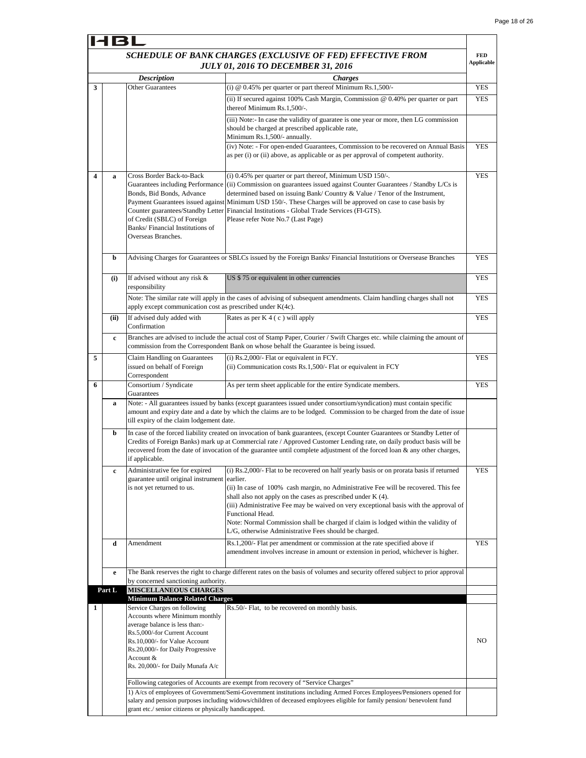$\mathbf{r}$ 

| 14 B L       |             |                                                                            |                                                                                                                                                                                                                                                   |                   |
|--------------|-------------|----------------------------------------------------------------------------|---------------------------------------------------------------------------------------------------------------------------------------------------------------------------------------------------------------------------------------------------|-------------------|
|              |             |                                                                            | SCHEDULE OF BANK CHARGES (EXCLUSIVE OF FED) EFFECTIVE FROM                                                                                                                                                                                        | <b>FED</b>        |
|              |             |                                                                            | <b>JULY 01, 2016 TO DECEMBER 31, 2016</b>                                                                                                                                                                                                         | <b>Applicable</b> |
|              |             | <b>Description</b>                                                         | <b>Charges</b>                                                                                                                                                                                                                                    |                   |
| 3            |             | <b>Other Guarantees</b>                                                    | (i) $@$ 0.45% per quarter or part thereof Minimum Rs.1,500/-                                                                                                                                                                                      | YES               |
|              |             |                                                                            | (ii) If secured against 100% Cash Margin, Commission @ 0.40% per quarter or part<br>thereof Minimum Rs.1,500/-.                                                                                                                                   | <b>YES</b>        |
|              |             |                                                                            | (iii) Note:- In case the validity of guaratee is one year or more, then LG commission<br>should be charged at prescribed applicable rate,                                                                                                         |                   |
|              |             |                                                                            | Minimum Rs.1,500/- annually.<br>(iv) Note: - For open-ended Guarantees, Commission to be recovered on Annual Basis                                                                                                                                | <b>YES</b>        |
|              |             |                                                                            | as per (i) or (ii) above, as applicable or as per approval of competent authority.                                                                                                                                                                |                   |
| 4            | a           | Cross Border Back-to-Back                                                  | (i) 0.45% per quarter or part thereof, Minimum USD 150/-.                                                                                                                                                                                         | <b>YES</b>        |
|              |             | Guarantees including Performance<br>Bonds, Bid Bonds, Advance              | (ii) Commission on guarantees issued against Counter Guarantees / Standby L/Cs is<br>determined based on issuing Bank/Country & Value / Tenor of the Instrument,                                                                                  |                   |
|              |             |                                                                            | Payment Guarantees issued against Minimum USD 150/-. These Charges will be approved on case to case basis by                                                                                                                                      |                   |
|              |             | of Credit (SBLC) of Foreign                                                | Counter guarantees/Standby Letter Financial Institutions - Global Trade Services (FI-GTS).<br>Please refer Note No.7 (Last Page)                                                                                                                  |                   |
|              |             | Banks/Financial Institutions of                                            |                                                                                                                                                                                                                                                   |                   |
|              |             | Overseas Branches.                                                         |                                                                                                                                                                                                                                                   |                   |
|              |             |                                                                            |                                                                                                                                                                                                                                                   |                   |
|              | b           |                                                                            | Advising Charges for Guarantees or SBLCs issued by the Foreign Banks/ Financial Instutitions or Oversease Branches                                                                                                                                | <b>YES</b>        |
|              | (i)         | If advised without any risk &<br>responsibility                            | US \$75 or equivalent in other currencies                                                                                                                                                                                                         | <b>YES</b>        |
|              |             | apply except communication cost as prescribed under K(4c).                 | Note: The similar rate will apply in the cases of advising of subsequent amendments. Claim handling charges shall not                                                                                                                             | <b>YES</b>        |
|              | (ii)        | If advised duly added with<br>Confirmation                                 | Rates as per $K$ 4 (c) will apply                                                                                                                                                                                                                 | <b>YES</b>        |
|              | $\mathbf c$ |                                                                            | Branches are advised to include the actual cost of Stamp Paper, Courier / Swift Charges etc. while claiming the amount of<br>commission from the Correspondent Bank on whose behalf the Guarantee is being issued.                                |                   |
| 5            |             | Claim Handling on Guarantees                                               | (i) Rs.2,000/- Flat or equivalent in FCY.                                                                                                                                                                                                         | <b>YES</b>        |
|              |             | issued on behalf of Foreign<br>Correspondent                               | (ii) Communication costs Rs.1,500/- Flat or equivalent in FCY                                                                                                                                                                                     |                   |
| 6            |             | Consortium / Syndicate<br>Guarantees                                       | As per term sheet applicable for the entire Syndicate members.                                                                                                                                                                                    | <b>YES</b>        |
|              | a           | till expiry of the claim lodgement date.                                   | Note: - All guarantees issued by banks (except guarantees issued under consortium/syndication) must contain specific<br>amount and expiry date and a date by which the claims are to be lodged. Commission to be charged from the date of issue   |                   |
|              | b           |                                                                            | In case of the forced liability created on invocation of bank guarantees, (except Counter Guarantees or Standby Letter of                                                                                                                         |                   |
|              |             | if applicable.                                                             | Credits of Foreign Banks) mark up at Commercial rate / Approved Customer Lending rate, on daily product basis will be<br>recovered from the date of invocation of the guarantee until complete adjustment of the forced loan & any other charges, |                   |
|              | c           | Administrative fee for expired                                             | (i) Rs.2,000/- Flat to be recovered on half yearly basis or on prorata basis if returned                                                                                                                                                          | YES               |
|              |             | guarantee until original instrument earlier.<br>is not yet returned to us. | (ii) In case of 100% cash margin, no Administrative Fee will be recovered. This fee                                                                                                                                                               |                   |
|              |             |                                                                            | shall also not apply on the cases as prescribed under $K(4)$ .                                                                                                                                                                                    |                   |
|              |             |                                                                            | (iii) Administrative Fee may be waived on very exceptional basis with the approval of                                                                                                                                                             |                   |
|              |             |                                                                            | Functional Head.<br>Note: Normal Commission shall be charged if claim is lodged within the validity of                                                                                                                                            |                   |
|              |             |                                                                            | L/G, otherwise Administrative Fees should be charged.                                                                                                                                                                                             |                   |
|              | d           | Amendment                                                                  | Rs.1,200/- Flat per amendment or commission at the rate specified above if<br>amendment involves increase in amount or extension in period, whichever is higher.                                                                                  | <b>YES</b>        |
|              | e           | by concerned sanctioning authority.                                        | The Bank reserves the right to charge different rates on the basis of volumes and security offered subject to prior approval                                                                                                                      |                   |
|              | Part L      | <b>MISCELLANEOUS CHARGES</b>                                               |                                                                                                                                                                                                                                                   |                   |
|              |             | <b>Minimum Balance Related Charges</b>                                     |                                                                                                                                                                                                                                                   |                   |
| $\mathbf{1}$ |             | Service Charges on following<br>Accounts where Minimum monthly             | Rs.50/- Flat, to be recovered on monthly basis.                                                                                                                                                                                                   |                   |
|              |             | average balance is less than:-                                             |                                                                                                                                                                                                                                                   |                   |
|              |             | Rs.5,000/-for Current Account                                              |                                                                                                                                                                                                                                                   | NO                |
|              |             | Rs.10,000/- for Value Account<br>Rs.20,000/- for Daily Progressive         |                                                                                                                                                                                                                                                   |                   |
|              |             | Account &                                                                  |                                                                                                                                                                                                                                                   |                   |
|              |             | Rs. 20,000/- for Daily Munafa A/c                                          |                                                                                                                                                                                                                                                   |                   |
|              |             |                                                                            | Following categories of Accounts are exempt from recovery of "Service Charges"                                                                                                                                                                    |                   |
|              |             |                                                                            | 1) A/cs of employees of Government/Semi-Government institutions including Armed Forces Employees/Pensioners opened for                                                                                                                            |                   |
|              |             | grant etc./ senior citizens or physically handicapped.                     | salary and pension purposes including widows/children of deceased employees eligible for family pension/benevolent fund                                                                                                                           |                   |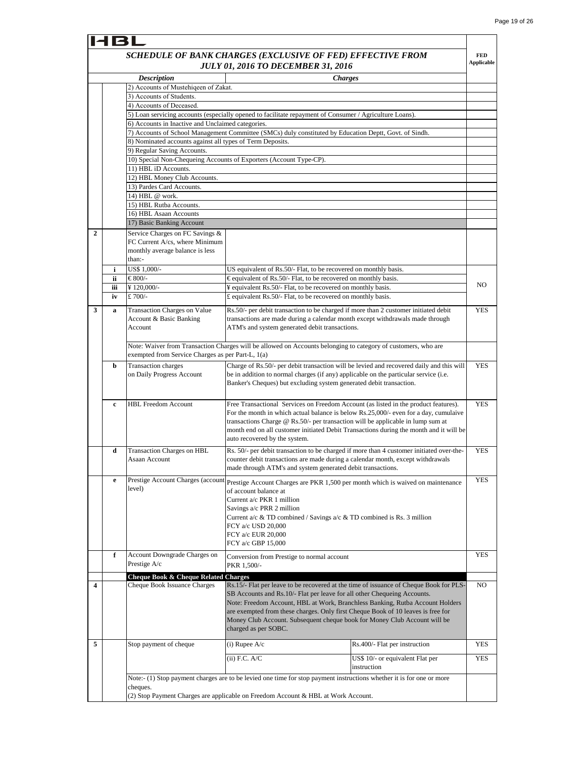| 181          |     |                                                                      |                                                                                                                                                                             |                                  |                   |
|--------------|-----|----------------------------------------------------------------------|-----------------------------------------------------------------------------------------------------------------------------------------------------------------------------|----------------------------------|-------------------|
|              |     |                                                                      | SCHEDULE OF BANK CHARGES (EXCLUSIVE OF FED) EFFECTIVE FROM                                                                                                                  |                                  | <b>FED</b>        |
|              |     |                                                                      | <b>JULY 01, 2016 TO DECEMBER 31, 2016</b>                                                                                                                                   |                                  | <b>Applicable</b> |
|              |     | <b>Description</b>                                                   | <b>Charges</b>                                                                                                                                                              |                                  |                   |
|              |     | 2) Accounts of Mustehigeen of Zakat.                                 |                                                                                                                                                                             |                                  |                   |
|              |     | 3) Accounts of Students.                                             |                                                                                                                                                                             |                                  |                   |
|              |     | 4) Accounts of Deceased.                                             |                                                                                                                                                                             |                                  |                   |
|              |     |                                                                      | 5) Loan servicing accounts (especially opened to facilitate repayment of Consumer / Agriculture Loans).                                                                     |                                  |                   |
|              |     | 6) Accounts in Inactive and Unclaimed categories.                    |                                                                                                                                                                             |                                  |                   |
|              |     |                                                                      | 7) Accounts of School Management Committee (SMCs) duly constituted by Education Deptt, Govt. of Sindh.                                                                      |                                  |                   |
|              |     | 8) Nominated accounts against all types of Term Deposits.            |                                                                                                                                                                             |                                  |                   |
|              |     | 9) Regular Saving Accounts.                                          |                                                                                                                                                                             |                                  |                   |
|              |     | 11) HBL iD Accounts.                                                 | 10) Special Non-Chequeing Accounts of Exporters (Account Type-CP).                                                                                                          |                                  |                   |
|              |     | 12) HBL Money Club Accounts.                                         |                                                                                                                                                                             |                                  |                   |
|              |     | 13) Pardes Card Accounts.                                            |                                                                                                                                                                             |                                  |                   |
|              |     | 14) HBL @ work.                                                      |                                                                                                                                                                             |                                  |                   |
|              |     | 15) HBL Rutba Accounts.                                              |                                                                                                                                                                             |                                  |                   |
|              |     | 16) HBL Asaan Accounts                                               |                                                                                                                                                                             |                                  |                   |
|              |     | 17) Basic Banking Account                                            |                                                                                                                                                                             |                                  |                   |
| $\mathbf{2}$ |     | Service Charges on FC Savings &                                      |                                                                                                                                                                             |                                  |                   |
|              |     | FC Current A/cs, where Minimum                                       |                                                                                                                                                                             |                                  |                   |
|              |     | monthly average balance is less                                      |                                                                                                                                                                             |                                  |                   |
|              |     | than:-                                                               |                                                                                                                                                                             |                                  |                   |
|              | i   | US\$ 1,000/-                                                         | US equivalent of Rs.50/- Flat, to be recovered on monthly basis.                                                                                                            |                                  |                   |
|              | ii. | €800/-                                                               | €equivalent of Rs.50/- Flat, to be recovered on monthly basis.                                                                                                              |                                  | NO.               |
|              | iii | ¥120,000/-                                                           | ¥ equivalent Rs.50/- Flat, to be recovered on monthly basis.                                                                                                                |                                  |                   |
|              | iv  | £ 700/-                                                              | £ equivalent Rs.50/- Flat, to be recovered on monthly basis.                                                                                                                |                                  |                   |
| 3            | a   | <b>Transaction Charges on Value</b>                                  | Rs.50/- per debit transaction to be charged if more than 2 customer initiated debit                                                                                         |                                  | <b>YES</b>        |
|              |     | <b>Account &amp; Basic Banking</b>                                   | transactions are made during a calendar month except withdrawals made through                                                                                               |                                  |                   |
|              |     | Account                                                              | ATM's and system generated debit transactions.                                                                                                                              |                                  |                   |
|              |     |                                                                      |                                                                                                                                                                             |                                  |                   |
|              |     |                                                                      | Note: Waiver from Transaction Charges will be allowed on Accounts belonging to category of customers, who are                                                               |                                  |                   |
|              |     | exempted from Service Charges as per Part-L, 1(a)                    |                                                                                                                                                                             |                                  |                   |
|              | b   | <b>Transaction</b> charges                                           | Charge of Rs.50/- per debit transaction will be levied and recovered daily and this will                                                                                    |                                  | <b>YES</b>        |
|              |     | on Daily Progress Account                                            | be in addition to normal charges (if any) applicable on the particular service (i.e.                                                                                        |                                  |                   |
|              |     |                                                                      | Banker's Cheques) but excluding system generated debit transaction.                                                                                                         |                                  |                   |
|              |     | <b>HBL Freedom Account</b>                                           |                                                                                                                                                                             |                                  |                   |
|              | c   |                                                                      | Free Transactional Services on Freedom Account (as listed in the product features).<br>For the month in which actual balance is below Rs.25,000/- even for a day, cumulaive |                                  | <b>YES</b>        |
|              |     |                                                                      | transactions Charge $@$ Rs.50/- per transaction will be applicable in lump sum at                                                                                           |                                  |                   |
|              |     |                                                                      | month end on all customer initiated Debit Transactions during the month and it will be                                                                                      |                                  |                   |
|              |     |                                                                      | auto recovered by the system.                                                                                                                                               |                                  |                   |
|              | d   | <b>Transaction Charges on HBL</b>                                    | Rs. 50/- per debit transaction to be charged if more than 4 customer initiated over-the-                                                                                    |                                  | <b>YES</b>        |
|              |     | Asaan Account                                                        | counter debit transactions are made during a calendar month, except withdrawals                                                                                             |                                  |                   |
|              |     |                                                                      | made through ATM's and system generated debit transactions.                                                                                                                 |                                  |                   |
|              | e   | Prestige Account Charges (account                                    |                                                                                                                                                                             |                                  | <b>YES</b>        |
|              |     | level)                                                               | Prestige Account Charges are PKR 1,500 per month which is waived on maintenance                                                                                             |                                  |                   |
|              |     |                                                                      | of account balance at                                                                                                                                                       |                                  |                   |
|              |     |                                                                      | Current a/c PKR 1 million<br>Savings a/c PRR 2 million                                                                                                                      |                                  |                   |
|              |     |                                                                      | Current a/c & TD combined / Savings a/c & TD combined is Rs. 3 million                                                                                                      |                                  |                   |
|              |     |                                                                      | FCY a/c USD 20,000                                                                                                                                                          |                                  |                   |
|              |     |                                                                      | FCY a/c EUR 20,000                                                                                                                                                          |                                  |                   |
|              |     |                                                                      | FCY a/c GBP 15,000                                                                                                                                                          |                                  |                   |
|              | f   | <b>Account Downgrade Charges on</b>                                  |                                                                                                                                                                             |                                  | YES               |
|              |     | Prestige A/c                                                         | Conversion from Prestige to normal account<br>PKR 1,500/-                                                                                                                   |                                  |                   |
|              |     |                                                                      |                                                                                                                                                                             |                                  |                   |
| 4            |     | Cheque Book & Cheque Related Charges<br>Cheque Book Issuance Charges | Rs.15/- Flat per leave to be recovered at the time of issuance of Cheque Book for PLS-                                                                                      |                                  | NO                |
|              |     |                                                                      | SB Accounts and Rs.10/- Flat per leave for all other Chequeing Accounts.                                                                                                    |                                  |                   |
|              |     |                                                                      | Note: Freedom Account, HBL at Work, Branchless Banking, Rutba Account Holders                                                                                               |                                  |                   |
|              |     |                                                                      | are exempted from these charges. Only first Cheque Book of 10 leaves is free for                                                                                            |                                  |                   |
|              |     |                                                                      | Money Club Account. Subsequent cheque book for Money Club Account will be                                                                                                   |                                  |                   |
|              |     |                                                                      | charged as per SOBC.                                                                                                                                                        |                                  |                   |
| 5            |     | Stop payment of cheque                                               |                                                                                                                                                                             | Rs.400/- Flat per instruction    | YES               |
|              |     |                                                                      | $(i)$ Rupee A/c                                                                                                                                                             |                                  |                   |
|              |     |                                                                      | (ii) F.C. A/C                                                                                                                                                               | US\$ 10/- or equivalent Flat per | YES               |
|              |     |                                                                      |                                                                                                                                                                             | instruction                      |                   |
|              |     |                                                                      | Note:- (1) Stop payment charges are to be levied one time for stop payment instructions whether it is for one or more                                                       |                                  |                   |
|              |     | cheques.                                                             |                                                                                                                                                                             |                                  |                   |
|              |     |                                                                      | (2) Stop Payment Charges are applicable on Freedom Account & HBL at Work Account.                                                                                           |                                  |                   |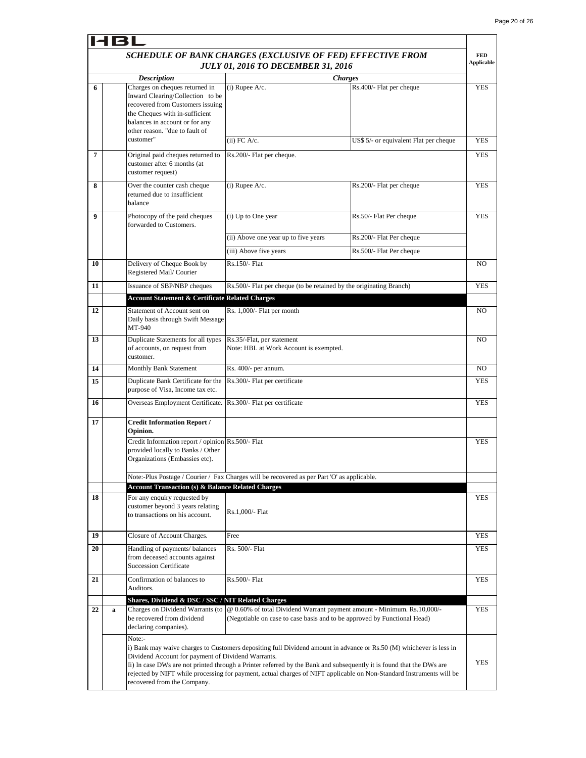T,

|    | IRI |                                                                                                                                                                                                              |                                                                                                                                                     |                                                                                                                                                                                                                                             |                                 |
|----|-----|--------------------------------------------------------------------------------------------------------------------------------------------------------------------------------------------------------------|-----------------------------------------------------------------------------------------------------------------------------------------------------|---------------------------------------------------------------------------------------------------------------------------------------------------------------------------------------------------------------------------------------------|---------------------------------|
|    |     |                                                                                                                                                                                                              | SCHEDULE OF BANK CHARGES (EXCLUSIVE OF FED) EFFECTIVE FROM<br><b>JULY 01, 2016 TO DECEMBER 31, 2016</b>                                             |                                                                                                                                                                                                                                             | <b>FED</b><br><b>Applicable</b> |
|    |     | <b>Description</b>                                                                                                                                                                                           |                                                                                                                                                     | <b>Charges</b>                                                                                                                                                                                                                              |                                 |
| 6  |     | Charges on cheques returned in<br>Inward Clearing/Collection to be<br>recovered from Customers issuing<br>the Cheques with in-sufficient<br>balances in account or for any<br>other reason. "due to fault of | $(i)$ Rupee $A/c$ .                                                                                                                                 | Rs.400/- Flat per cheque                                                                                                                                                                                                                    | <b>YES</b>                      |
|    |     | customer"                                                                                                                                                                                                    | $(ii)$ FC A/c.                                                                                                                                      | US\$ 5/- or equivalent Flat per cheque                                                                                                                                                                                                      | <b>YES</b>                      |
| 7  |     | Original paid cheques returned to<br>customer after 6 months (at<br>customer request)                                                                                                                        | Rs.200/- Flat per cheque.                                                                                                                           |                                                                                                                                                                                                                                             | <b>YES</b>                      |
| 8  |     | Over the counter cash cheque<br>returned due to insufficient<br>balance                                                                                                                                      | $(i)$ Rupee A/c.                                                                                                                                    | Rs.200/- Flat per cheque                                                                                                                                                                                                                    | <b>YES</b>                      |
| 9  |     | Photocopy of the paid cheques<br>forwarded to Customers.                                                                                                                                                     | (i) Up to One year                                                                                                                                  | Rs.50/- Flat Per cheque                                                                                                                                                                                                                     | <b>YES</b>                      |
|    |     |                                                                                                                                                                                                              | (ii) Above one year up to five years                                                                                                                | Rs.200/- Flat Per cheque                                                                                                                                                                                                                    |                                 |
|    |     |                                                                                                                                                                                                              | (iii) Above five years                                                                                                                              | Rs.500/- Flat Per cheque                                                                                                                                                                                                                    |                                 |
| 10 |     | Delivery of Cheque Book by<br>Registered Mail/Courier                                                                                                                                                        | Rs.150/- Flat                                                                                                                                       |                                                                                                                                                                                                                                             | NO.                             |
| 11 |     | Issuance of SBP/NBP cheques                                                                                                                                                                                  | Rs.500/- Flat per cheque (to be retained by the originating Branch)                                                                                 |                                                                                                                                                                                                                                             | <b>YES</b>                      |
|    |     | <b>Account Statement &amp; Certificate Related Charges</b>                                                                                                                                                   |                                                                                                                                                     |                                                                                                                                                                                                                                             |                                 |
| 12 |     | Statement of Account sent on<br>Daily basis through Swift Message<br>MT-940                                                                                                                                  | Rs. 1,000/- Flat per month                                                                                                                          |                                                                                                                                                                                                                                             | NO.                             |
| 13 |     | Duplicate Statements for all types<br>of accounts, on request from<br>customer.                                                                                                                              | Rs.35/-Flat, per statement<br>Note: HBL at Work Account is exempted.                                                                                |                                                                                                                                                                                                                                             | NO                              |
| 14 |     | Monthly Bank Statement                                                                                                                                                                                       | Rs. 400/- per annum.                                                                                                                                |                                                                                                                                                                                                                                             |                                 |
| 15 |     | Duplicate Bank Certificate for the<br>purpose of Visa, Income tax etc.                                                                                                                                       | Rs.300/- Flat per certificate                                                                                                                       |                                                                                                                                                                                                                                             | YES                             |
| 16 |     | Overseas Employment Certificate.                                                                                                                                                                             | Rs.300/- Flat per certificate                                                                                                                       |                                                                                                                                                                                                                                             | YES                             |
| 17 |     | <b>Credit Information Report /</b><br>Opinion.                                                                                                                                                               |                                                                                                                                                     |                                                                                                                                                                                                                                             |                                 |
|    |     | Credit Information report / opinion Rs.500/- Flat<br>provided locally to Banks / Other<br>Organizations (Embassies etc).                                                                                     |                                                                                                                                                     |                                                                                                                                                                                                                                             | <b>YES</b>                      |
|    |     | <b>Account Transaction (s) &amp; Balance Related Charges</b>                                                                                                                                                 | Note:-Plus Postage / Courier / Fax Charges will be recovered as per Part 'O' as applicable.                                                         |                                                                                                                                                                                                                                             |                                 |
| 18 |     | For any enquiry requested by<br>customer beyond 3 years relating<br>to transactions on his account.                                                                                                          | Rs.1,000/- Flat                                                                                                                                     |                                                                                                                                                                                                                                             | YES                             |
| 19 |     | Closure of Account Charges.                                                                                                                                                                                  | Free                                                                                                                                                |                                                                                                                                                                                                                                             | <b>YES</b>                      |
| 20 |     | Handling of payments/ balances<br>from deceased accounts against<br><b>Succession Certificate</b>                                                                                                            | Rs. 500/- Flat                                                                                                                                      |                                                                                                                                                                                                                                             | YES                             |
| 21 |     | Confirmation of balances to<br>Auditors.                                                                                                                                                                     | Rs.500/- Flat                                                                                                                                       |                                                                                                                                                                                                                                             | YES                             |
| 22 | a   | Shares, Dividend & DSC / SSC / NIT Related Charges<br>Charges on Dividend Warrants (to<br>be recovered from dividend<br>declaring companies).                                                                | @ 0.60% of total Dividend Warrant payment amount - Minimum. Rs.10,000/-<br>(Negotiable on case to case basis and to be approved by Functional Head) |                                                                                                                                                                                                                                             | YES                             |
|    |     | Note:-<br>Dividend Account for payment of Dividend Warrants.<br>recovered from the Company.                                                                                                                  | Ii) In case DWs are not printed through a Printer referred by the Bank and subsequently it is found that the DWs are                                | i) Bank may waive charges to Customers depositing full Dividend amount in advance or Rs.50 (M) whichever is less in<br>rejected by NIFT while processing for payment, actual charges of NIFT applicable on Non-Standard Instruments will be | <b>YES</b>                      |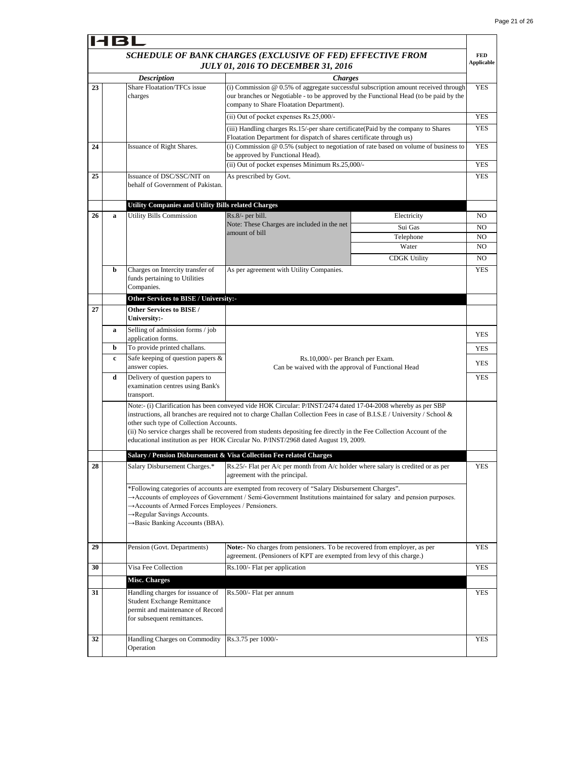$\blacksquare$ 

|    | <b>HBL</b> |                                                                                                                                                                                                                                                                   |                                                                                                                                                                                                                                                                                                                                                                    |                     |                                 |  |  |
|----|------------|-------------------------------------------------------------------------------------------------------------------------------------------------------------------------------------------------------------------------------------------------------------------|--------------------------------------------------------------------------------------------------------------------------------------------------------------------------------------------------------------------------------------------------------------------------------------------------------------------------------------------------------------------|---------------------|---------------------------------|--|--|
|    |            |                                                                                                                                                                                                                                                                   | SCHEDULE OF BANK CHARGES (EXCLUSIVE OF FED) EFFECTIVE FROM<br><b>JULY 01, 2016 TO DECEMBER 31, 2016</b>                                                                                                                                                                                                                                                            |                     | <b>FED</b><br><b>Applicable</b> |  |  |
|    |            | <b>Description</b>                                                                                                                                                                                                                                                | <b>Charges</b>                                                                                                                                                                                                                                                                                                                                                     |                     |                                 |  |  |
| 23 |            | Share Floatation/TFCs issue<br>(i) Commission @ 0.5% of aggregate successful subscription amount received through<br>our branches or Negotiable - to be approved by the Functional Head (to be paid by the<br>charges<br>company to Share Floatation Department). |                                                                                                                                                                                                                                                                                                                                                                    |                     | <b>YES</b>                      |  |  |
|    |            |                                                                                                                                                                                                                                                                   | (ii) Out of pocket expenses Rs.25,000/-                                                                                                                                                                                                                                                                                                                            |                     | <b>YES</b>                      |  |  |
|    |            |                                                                                                                                                                                                                                                                   | (iii) Handling charges Rs.15/-per share certificate(Paid by the company to Shares                                                                                                                                                                                                                                                                                  |                     | <b>YES</b>                      |  |  |
| 24 |            | Issuance of Right Shares.                                                                                                                                                                                                                                         | Floatation Department for dispatch of shares certificate through us)<br>(i) Commission @ 0.5% (subject to negotiation of rate based on volume of business to                                                                                                                                                                                                       |                     | <b>YES</b>                      |  |  |
|    |            |                                                                                                                                                                                                                                                                   | be approved by Functional Head).<br>(ii) Out of pocket expenses Minimum Rs.25,000/-                                                                                                                                                                                                                                                                                |                     | <b>YES</b>                      |  |  |
| 25 |            | Issuance of DSC/SSC/NIT on                                                                                                                                                                                                                                        | As prescribed by Govt.                                                                                                                                                                                                                                                                                                                                             |                     | <b>YES</b>                      |  |  |
|    |            | behalf of Government of Pakistan.                                                                                                                                                                                                                                 |                                                                                                                                                                                                                                                                                                                                                                    |                     |                                 |  |  |
|    |            | <b>Utility Companies and Utility Bills related Charges</b>                                                                                                                                                                                                        |                                                                                                                                                                                                                                                                                                                                                                    |                     |                                 |  |  |
| 26 | a          | <b>Utility Bills Commission</b>                                                                                                                                                                                                                                   | Rs.8/- per bill.<br>Note: These Charges are included in the net                                                                                                                                                                                                                                                                                                    | Electricity         | NO                              |  |  |
|    |            |                                                                                                                                                                                                                                                                   | amount of bill                                                                                                                                                                                                                                                                                                                                                     | Sui Gas             | NO<br>NO.                       |  |  |
|    |            |                                                                                                                                                                                                                                                                   |                                                                                                                                                                                                                                                                                                                                                                    | Telephone<br>Water  | NO.                             |  |  |
|    |            |                                                                                                                                                                                                                                                                   |                                                                                                                                                                                                                                                                                                                                                                    | <b>CDGK Utility</b> | NO.                             |  |  |
|    | b          | Charges on Intercity transfer of<br>funds pertaining to Utilities<br>Companies.                                                                                                                                                                                   | As per agreement with Utility Companies.                                                                                                                                                                                                                                                                                                                           |                     | <b>YES</b>                      |  |  |
|    |            | Other Services to BISE / University:-                                                                                                                                                                                                                             |                                                                                                                                                                                                                                                                                                                                                                    |                     |                                 |  |  |
| 27 |            | Other Services to BISE /<br>University:-                                                                                                                                                                                                                          |                                                                                                                                                                                                                                                                                                                                                                    |                     |                                 |  |  |
|    | a          | Selling of admission forms / job                                                                                                                                                                                                                                  |                                                                                                                                                                                                                                                                                                                                                                    |                     | <b>YES</b>                      |  |  |
|    | b          | application forms.<br>To provide printed challans.                                                                                                                                                                                                                |                                                                                                                                                                                                                                                                                                                                                                    |                     | <b>YES</b>                      |  |  |
|    | c          | Safe keeping of question papers &<br>answer copies.                                                                                                                                                                                                               | Rs.10,000/- per Branch per Exam.<br>Can be waived with the approval of Functional Head                                                                                                                                                                                                                                                                             |                     |                                 |  |  |
|    | d          | Delivery of question papers to<br>examination centres using Bank's<br>transport.                                                                                                                                                                                  |                                                                                                                                                                                                                                                                                                                                                                    |                     |                                 |  |  |
|    |            | other such type of Collection Accounts.<br>educational institution as per HOK Circular No. P/INST/2968 dated August 19, 2009.                                                                                                                                     | Note:- (i) Clarification has been conveyed vide HOK Circular: P/INST/2474 dated 17-04-2008 whereby as per SBP<br>instructions, all branches are required not to charge Challan Collection Fees in case of B.I.S.E / University / School &<br>(ii) No service charges shall be recovered from students depositing fee directly in the Fee Collection Account of the |                     |                                 |  |  |
|    |            |                                                                                                                                                                                                                                                                   |                                                                                                                                                                                                                                                                                                                                                                    |                     |                                 |  |  |
| 28 |            | Salary Disbursement Charges.*                                                                                                                                                                                                                                     | Salary / Pension Disbursement & Visa Collection Fee related Charges<br>Rs.25/- Flat per $A/c$ per month from $A/c$ holder where salary is credited or as per                                                                                                                                                                                                       |                     | <b>YES</b>                      |  |  |
|    |            |                                                                                                                                                                                                                                                                   | agreement with the principal.                                                                                                                                                                                                                                                                                                                                      |                     |                                 |  |  |
|    |            | Accounts of Armed Forces Employees / Pensioners.<br>→Regular Savings Accounts.<br>→ Basic Banking Accounts (BBA).                                                                                                                                                 | *Following categories of accounts are exempted from recovery of "Salary Disbursement Charges".<br>$\rightarrow$ Accounts of employees of Government / Semi-Government Institutions maintained for salary and pension purposes.                                                                                                                                     |                     |                                 |  |  |
| 29 |            | Pension (Govt. Departments)                                                                                                                                                                                                                                       | Note:- No charges from pensioners. To be recovered from employer, as per<br>agreement. (Pensioners of KPT are exempted from levy of this charge.)                                                                                                                                                                                                                  |                     | YES                             |  |  |
| 30 |            | Visa Fee Collection                                                                                                                                                                                                                                               | Rs.100/- Flat per application                                                                                                                                                                                                                                                                                                                                      |                     | <b>YES</b>                      |  |  |
|    |            | <b>Misc. Charges</b>                                                                                                                                                                                                                                              |                                                                                                                                                                                                                                                                                                                                                                    |                     |                                 |  |  |
| 31 |            | Handling charges for issuance of<br><b>Student Exchange Remittance</b><br>permit and maintenance of Record<br>for subsequent remittances.                                                                                                                         | Rs.500/- Flat per annum                                                                                                                                                                                                                                                                                                                                            |                     | <b>YES</b>                      |  |  |
| 32 |            | Handling Charges on Commodity<br>Operation                                                                                                                                                                                                                        | Rs.3.75 per 1000/-                                                                                                                                                                                                                                                                                                                                                 |                     | <b>YES</b>                      |  |  |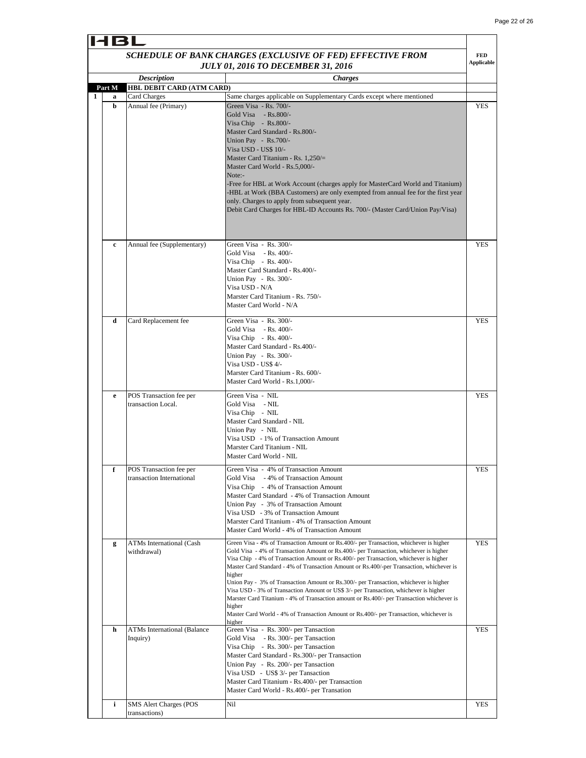**FED** 

 $\mathbf{I}$ 

# HBL *SCHEDULE OF BANK CHARGES (EXCLUSIVE OF FED) EFFECTIVE FROM*

|   |             |                                                      | <b>JULY 01, 2016 TO DECEMBER 31, 2016</b>                                                                                                                                                                                                                                                                                                                                                                                                                                                                                                                                                                                                                                                                                                                                  | <b>Applicable</b> |
|---|-------------|------------------------------------------------------|----------------------------------------------------------------------------------------------------------------------------------------------------------------------------------------------------------------------------------------------------------------------------------------------------------------------------------------------------------------------------------------------------------------------------------------------------------------------------------------------------------------------------------------------------------------------------------------------------------------------------------------------------------------------------------------------------------------------------------------------------------------------------|-------------------|
|   |             | <b>Description</b>                                   | <i><b>Charges</b></i>                                                                                                                                                                                                                                                                                                                                                                                                                                                                                                                                                                                                                                                                                                                                                      |                   |
|   | Part M      | HBL DEBIT CARD (ATM CARD)                            |                                                                                                                                                                                                                                                                                                                                                                                                                                                                                                                                                                                                                                                                                                                                                                            |                   |
| 1 | a<br>b      | Card Charges<br>Annual fee (Primary)                 | Same charges applicable on Supplementary Cards except where mentioned<br>Green Visa - Rs. 700/-<br>Gold Visa - Rs.800/-<br>Visa Chip - Rs.800/-<br>Master Card Standard - Rs.800/-<br>Union Pay - Rs.700/-<br>Visa USD - US\$ 10/-<br>Master Card Titanium - Rs. $1,250/=$<br>Master Card World - Rs.5,000/-<br>Note:-<br>-Free for HBL at Work Account (charges apply for MasterCard World and Titanium)<br>-HBL at Work (BBA Customers) are only exempted from annual fee for the first year<br>only. Charges to apply from subsequent year.<br>Debit Card Charges for HBL-ID Accounts Rs. 700/- (Master Card/Union Pay/Visa)                                                                                                                                            | YES               |
|   | $\mathbf c$ | Annual fee (Supplementary)                           | Green Visa - Rs. 300/-<br>Gold Visa $-Rs. 400/-$<br>Visa Chip - Rs. $400/-$<br>Master Card Standard - Rs.400/-<br>Union Pay - Rs. 300/-<br>Visa USD - N/A<br>Marster Card Titanium - Rs. 750/-<br>Master Card World - N/A                                                                                                                                                                                                                                                                                                                                                                                                                                                                                                                                                  | <b>YES</b>        |
|   | d           | Card Replacement fee                                 | Green Visa - Rs. 300/-<br>Gold Visa - Rs. 400/-<br>Visa Chip - Rs. $400/-$<br>Master Card Standard - Rs.400/-<br>Union Pay - Rs. 300/-<br>Visa USD - US\$ 4/-<br>Marster Card Titanium - Rs. 600/-<br>Master Card World - Rs.1,000/-                                                                                                                                                                                                                                                                                                                                                                                                                                                                                                                                       | <b>YES</b>        |
|   | e           | POS Transaction fee per<br>transaction Local.        | Green Visa - NIL<br>Gold Visa - NIL<br>Visa Chip - NIL<br>Master Card Standard - NIL<br>Union Pay - NIL<br>Visa USD - 1% of Transaction Amount<br>Marster Card Titanium - NIL<br>Master Card World - NIL                                                                                                                                                                                                                                                                                                                                                                                                                                                                                                                                                                   | <b>YES</b>        |
|   | f           | POS Transaction fee per<br>transaction International | Green Visa - 4% of Transaction Amount<br>Gold Visa - 4% of Transaction Amount<br>Visa Chip - 4% of Transaction Amount<br>Master Card Standard - 4% of Transaction Amount<br>Union Pay - 3% of Transaction Amount<br>Visa USD - 3% of Transaction Amount<br>Marster Card Titanium - 4% of Transaction Amount<br>Master Card World - 4% of Transaction Amount                                                                                                                                                                                                                                                                                                                                                                                                                | <b>YES</b>        |
|   | g           | ATMs International (Cash<br>withdrawal)              | Green Visa - 4% of Transaction Amount or Rs.400/- per Transaction, whichever is higher<br>Gold Visa - 4% of Transaction Amount or Rs.400/- per Transaction, whichever is higher<br>Visa Chip - 4% of Transaction Amount or Rs.400/- per Transaction, whichever is higher<br>Master Card Standard - 4% of Transaction Amount or Rs.400/-per Transaction, whichever is<br>higher<br>Union Pay - 3% of Transaction Amount or Rs.300/- per Transaction, whichever is higher<br>Visa USD - 3% of Transaction Amount or US\$ 3/- per Transaction, whichever is higher<br>Marster Card Titanium - 4% of Transaction amount or Rs.400/- per Transaction whichever is<br>higher<br>Master Card World - 4% of Transaction Amount or Rs.400/- per Transaction, whichever is<br>higher | <b>YES</b>        |
|   | h           | <b>ATMs International (Balance</b><br>Inquiry)       | Green Visa - Rs. 300/- per Tansaction<br>Gold Visa - Rs. 300/- per Tansaction<br>Visa Chip - Rs. 300/- per Tansaction<br>Master Card Standard - Rs.300/- per Transaction<br>Union Pay - Rs. 200/- per Tansaction<br>Visa USD - US\$ 3/- per Tansaction<br>Master Card Titanium - Rs.400/- per Transaction<br>Master Card World - Rs.400/- per Transation                                                                                                                                                                                                                                                                                                                                                                                                                   | YES               |
|   | i           | <b>SMS Alert Charges (POS</b><br>transactions)       | Nil                                                                                                                                                                                                                                                                                                                                                                                                                                                                                                                                                                                                                                                                                                                                                                        | YES               |
|   |             |                                                      |                                                                                                                                                                                                                                                                                                                                                                                                                                                                                                                                                                                                                                                                                                                                                                            |                   |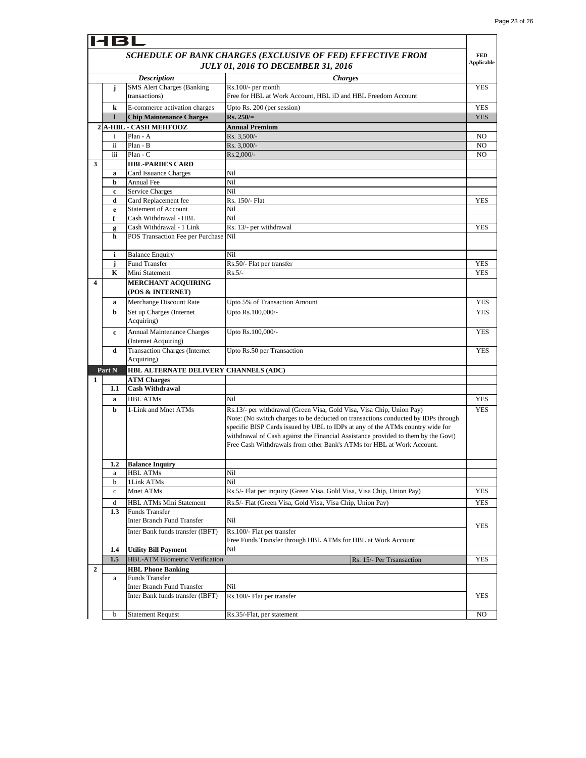$\mathbf{r}$ 

|                  | HBL              |                                                                |                                                                                                                                                                                                                                                                                                                                                                                                          |                   |
|------------------|------------------|----------------------------------------------------------------|----------------------------------------------------------------------------------------------------------------------------------------------------------------------------------------------------------------------------------------------------------------------------------------------------------------------------------------------------------------------------------------------------------|-------------------|
|                  |                  |                                                                | SCHEDULE OF BANK CHARGES (EXCLUSIVE OF FED) EFFECTIVE FROM                                                                                                                                                                                                                                                                                                                                               | <b>FED</b>        |
|                  |                  |                                                                | <b>JULY 01, 2016 TO DECEMBER 31, 2016</b>                                                                                                                                                                                                                                                                                                                                                                | <b>Applicable</b> |
|                  |                  |                                                                |                                                                                                                                                                                                                                                                                                                                                                                                          |                   |
|                  |                  | <b>Description</b><br>SMS Alert Charges (Banking               | <b>Charges</b>                                                                                                                                                                                                                                                                                                                                                                                           |                   |
|                  | j                | transactions)                                                  | Rs.100/- per month<br>Free for HBL at Work Account, HBL iD and HBL Freedom Account                                                                                                                                                                                                                                                                                                                       | <b>YES</b>        |
|                  |                  |                                                                |                                                                                                                                                                                                                                                                                                                                                                                                          |                   |
|                  | k                | E-commerce activation charges                                  | Upto Rs. 200 (per session)                                                                                                                                                                                                                                                                                                                                                                               | <b>YES</b>        |
|                  | $\mathbf{I}$     | <b>Chip Maintenance Charges</b>                                | $Rs. 250/=$                                                                                                                                                                                                                                                                                                                                                                                              | <b>YES</b>        |
|                  |                  | 2 A-HBL - CASH MEHFOOZ                                         | <b>Annual Premium</b>                                                                                                                                                                                                                                                                                                                                                                                    |                   |
|                  | $\mathbf{i}$     | Plan - A                                                       | Rs. 3,500/-                                                                                                                                                                                                                                                                                                                                                                                              | N <sub>O</sub>    |
|                  | ii               | Plan - B<br>$Plan - C$                                         | Rs. 3,000/-                                                                                                                                                                                                                                                                                                                                                                                              | N <sub>O</sub>    |
| 3                | iii              |                                                                | Rs.2,000/-                                                                                                                                                                                                                                                                                                                                                                                               | NO                |
|                  |                  | <b>HBL-PARDES CARD</b><br>Card Issuance Charges                | Nil                                                                                                                                                                                                                                                                                                                                                                                                      |                   |
|                  | a<br>b           | <b>Annual Fee</b>                                              | Nil                                                                                                                                                                                                                                                                                                                                                                                                      |                   |
|                  | c                | <b>Service Charges</b>                                         | Nil                                                                                                                                                                                                                                                                                                                                                                                                      |                   |
|                  | d                | Card Replacement fee                                           | Rs. 150/- Flat                                                                                                                                                                                                                                                                                                                                                                                           | <b>YES</b>        |
|                  | e                | <b>Statement of Account</b>                                    | Nil                                                                                                                                                                                                                                                                                                                                                                                                      |                   |
|                  | f                | Cash Withdrawal - HBL                                          | Nil                                                                                                                                                                                                                                                                                                                                                                                                      |                   |
|                  | g                | Cash Withdrawal - 1 Link                                       | Rs. 13/- per withdrawal                                                                                                                                                                                                                                                                                                                                                                                  | <b>YES</b>        |
|                  | h                | POS Transaction Fee per Purchase                               | Nil                                                                                                                                                                                                                                                                                                                                                                                                      |                   |
|                  |                  |                                                                |                                                                                                                                                                                                                                                                                                                                                                                                          |                   |
|                  | i                | <b>Balance Enquiry</b>                                         | Nil                                                                                                                                                                                                                                                                                                                                                                                                      |                   |
|                  | j                | Fund Transfer                                                  | Rs.50/- Flat per transfer                                                                                                                                                                                                                                                                                                                                                                                | YES               |
|                  | K                | Mini Statement                                                 | $Rs.5/-$                                                                                                                                                                                                                                                                                                                                                                                                 | <b>YES</b>        |
| $\boldsymbol{4}$ |                  | <b>MERCHANT ACQUIRING</b>                                      |                                                                                                                                                                                                                                                                                                                                                                                                          |                   |
|                  |                  | (POS & INTERNET)                                               |                                                                                                                                                                                                                                                                                                                                                                                                          |                   |
|                  | a                | Merchange Discount Rate                                        | Upto 5% of Transaction Amount                                                                                                                                                                                                                                                                                                                                                                            | <b>YES</b>        |
|                  | b                | Set up Charges (Internet<br>Acquiring)                         | Upto Rs.100,000/-                                                                                                                                                                                                                                                                                                                                                                                        | YES               |
|                  | c                | Annual Maintenance Charges<br>(Internet Acquiring)             | Upto Rs.100,000/-                                                                                                                                                                                                                                                                                                                                                                                        | <b>YES</b>        |
|                  | d                | <b>Transaction Charges (Internet</b><br>Acquiring)             | Upto Rs.50 per Transaction                                                                                                                                                                                                                                                                                                                                                                               | <b>YES</b>        |
|                  | Part N           | HBL ALTERNATE DELIVERY CHANNELS (ADC)                          |                                                                                                                                                                                                                                                                                                                                                                                                          |                   |
| 1                |                  | <b>ATM Charges</b>                                             |                                                                                                                                                                                                                                                                                                                                                                                                          |                   |
|                  | 1.1              | <b>Cash Withdrawal</b>                                         |                                                                                                                                                                                                                                                                                                                                                                                                          |                   |
|                  | a                | <b>HBL ATMs</b>                                                | Nil                                                                                                                                                                                                                                                                                                                                                                                                      | <b>YES</b>        |
|                  | b                | 1-Link and Mnet ATMs                                           | Rs.13/- per withdrawal (Green Visa, Gold Visa, Visa Chip, Union Pay)<br>Note: (No switch charges to be deducted on transactions conducted by IDPs through<br>specific BISP Cards issued by UBL to IDPs at any of the ATMs country wide for<br>withdrawal of Cash against the Financial Assistance provided to them by the Govt)<br>Free Cash Withdrawals from other Bank's ATMs for HBL at Work Account. | <b>YES</b>        |
|                  | 1.2              | <b>Balance Inquiry</b>                                         |                                                                                                                                                                                                                                                                                                                                                                                                          |                   |
|                  | a                | HBL ATMs                                                       | Nil                                                                                                                                                                                                                                                                                                                                                                                                      |                   |
|                  | b                | 1Link ATMs                                                     | Nil                                                                                                                                                                                                                                                                                                                                                                                                      |                   |
|                  | $\mathbf c$      | Mnet ATMs                                                      | Rs.5/- Flat per inquiry (Green Visa, Gold Visa, Visa Chip, Union Pay)                                                                                                                                                                                                                                                                                                                                    | <b>YES</b>        |
|                  | d                | <b>HBL ATMs Mini Statement</b>                                 | Rs.5/- Flat (Green Visa, Gold Visa, Visa Chip, Union Pay)                                                                                                                                                                                                                                                                                                                                                | <b>YES</b>        |
|                  | 1.3              | Funds Transfer<br><b>Inter Branch Fund Transfer</b>            | Nil                                                                                                                                                                                                                                                                                                                                                                                                      | <b>YES</b>        |
|                  |                  | Inter Bank funds transfer (IBFT)                               | Rs.100/- Flat per transfer<br>Free Funds Transfer through HBL ATMs for HBL at Work Account                                                                                                                                                                                                                                                                                                               |                   |
|                  | $1.4\phantom{0}$ | <b>Utility Bill Payment</b>                                    | Nil                                                                                                                                                                                                                                                                                                                                                                                                      |                   |
|                  | 1.5              | HBL-ATM Biometric Verification                                 | Rs. 15/- Per Trsansaction                                                                                                                                                                                                                                                                                                                                                                                | <b>YES</b>        |
| $\overline{2}$   |                  | <b>HBL Phone Banking</b>                                       |                                                                                                                                                                                                                                                                                                                                                                                                          |                   |
|                  | a                | Funds Transfer                                                 |                                                                                                                                                                                                                                                                                                                                                                                                          |                   |
|                  |                  | Inter Branch Fund Transfer<br>Inter Bank funds transfer (IBFT) | Nil                                                                                                                                                                                                                                                                                                                                                                                                      | YES               |
|                  |                  |                                                                | Rs.100/- Flat per transfer                                                                                                                                                                                                                                                                                                                                                                               |                   |
|                  | b                | <b>Statement Request</b>                                       | Rs.35/-Flat, per statement                                                                                                                                                                                                                                                                                                                                                                               | NO                |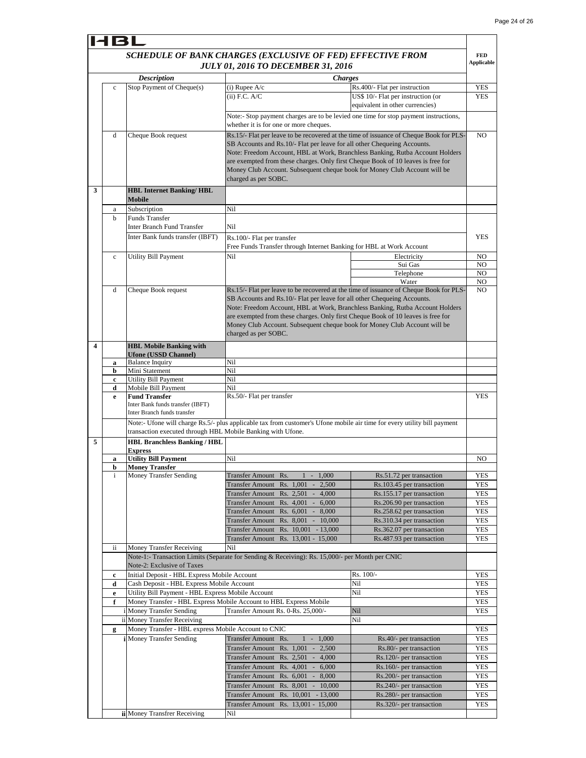T.

|   |              |                                                             |                                                                                                                          |                                                                                        | <b>FED</b>           |  |
|---|--------------|-------------------------------------------------------------|--------------------------------------------------------------------------------------------------------------------------|----------------------------------------------------------------------------------------|----------------------|--|
|   |              |                                                             | SCHEDULE OF BANK CHARGES (EXCLUSIVE OF FED) EFFECTIVE FROM<br><b>JULY 01, 2016 TO DECEMBER 31, 2016</b>                  |                                                                                        | <b>Applicable</b>    |  |
|   |              | <b>Description</b>                                          |                                                                                                                          | <i><b>Charges</b></i>                                                                  |                      |  |
|   | $\mathbf c$  | Stop Payment of Cheque(s)                                   | $(i)$ Rupee $A/c$                                                                                                        | Rs.400/- Flat per instruction                                                          | <b>YES</b>           |  |
|   |              |                                                             | $(ii)$ F.C. A/C                                                                                                          | US\$ 10/- Flat per instruction (or                                                     | <b>YES</b>           |  |
|   |              |                                                             |                                                                                                                          | equivalent in other currencies)                                                        |                      |  |
|   |              |                                                             | Note:- Stop payment charges are to be levied one time for stop payment instructions,                                     |                                                                                        |                      |  |
|   |              |                                                             | whether it is for one or more cheques.                                                                                   |                                                                                        |                      |  |
|   | d            | Cheque Book request                                         |                                                                                                                          | Rs.15/- Flat per leave to be recovered at the time of issuance of Cheque Book for PLS- | N <sub>O</sub>       |  |
|   |              |                                                             | SB Accounts and Rs.10/- Flat per leave for all other Chequeing Accounts.                                                 |                                                                                        |                      |  |
|   |              |                                                             | Note: Freedom Account, HBL at Work, Branchless Banking, Rutba Account Holders                                            |                                                                                        |                      |  |
|   |              |                                                             | are exempted from these charges. Only first Cheque Book of 10 leaves is free for                                         |                                                                                        |                      |  |
|   |              |                                                             | Money Club Account. Subsequent cheque book for Money Club Account will be                                                |                                                                                        |                      |  |
|   |              |                                                             | charged as per SOBC.                                                                                                     |                                                                                        |                      |  |
| 3 |              | <b>HBL Internet Banking/HBL</b>                             |                                                                                                                          |                                                                                        |                      |  |
|   |              | Mobile                                                      |                                                                                                                          |                                                                                        |                      |  |
|   | a            | Subscription                                                | Nil                                                                                                                      |                                                                                        |                      |  |
|   | h            | Funds Transfer                                              |                                                                                                                          |                                                                                        |                      |  |
|   |              | <b>Inter Branch Fund Transfer</b>                           | Nil                                                                                                                      |                                                                                        |                      |  |
|   |              | Inter Bank funds transfer (IBFT)                            | Rs.100/- Flat per transfer                                                                                               |                                                                                        | <b>YES</b>           |  |
|   |              |                                                             | Free Funds Transfer through Internet Banking for HBL at Work Account                                                     |                                                                                        |                      |  |
|   | $\mathbf c$  | Utility Bill Payment                                        | Nil                                                                                                                      | Electricity                                                                            | NO                   |  |
|   |              |                                                             |                                                                                                                          | Sui Gas                                                                                | NO                   |  |
|   |              |                                                             |                                                                                                                          | Telephone<br>Water                                                                     | N <sub>O</sub><br>NO |  |
|   | d            | Cheque Book request                                         |                                                                                                                          | Rs.15/- Flat per leave to be recovered at the time of issuance of Cheque Book for PLS- | NO                   |  |
|   |              |                                                             | SB Accounts and Rs.10/- Flat per leave for all other Chequeing Accounts.                                                 |                                                                                        |                      |  |
|   |              |                                                             | Note: Freedom Account, HBL at Work, Branchless Banking, Rutba Account Holders                                            |                                                                                        |                      |  |
|   |              |                                                             | are exempted from these charges. Only first Cheque Book of 10 leaves is free for                                         |                                                                                        |                      |  |
|   |              |                                                             | Money Club Account. Subsequent cheque book for Money Club Account will be                                                |                                                                                        |                      |  |
|   |              |                                                             | charged as per SOBC.                                                                                                     |                                                                                        |                      |  |
| 4 |              | <b>HBL Mobile Banking with</b>                              |                                                                                                                          |                                                                                        |                      |  |
|   |              | <b>Ufone (USSD Channel)</b>                                 |                                                                                                                          |                                                                                        |                      |  |
|   | a            | <b>Balance Inquiry</b>                                      | Nil                                                                                                                      |                                                                                        |                      |  |
|   | b            | Mini Statement                                              | Nil                                                                                                                      |                                                                                        |                      |  |
|   | c            | <b>Utility Bill Payment</b>                                 | Nil                                                                                                                      |                                                                                        |                      |  |
|   | d            | Mobile Bill Payment                                         | Nil                                                                                                                      |                                                                                        |                      |  |
|   | e            | <b>Fund Transfer</b>                                        | Rs.50/- Flat per transfer                                                                                                |                                                                                        | <b>YES</b>           |  |
|   |              | Inter Bank funds transfer (IBFT)                            |                                                                                                                          |                                                                                        |                      |  |
|   |              | Inter Branch funds transfer                                 |                                                                                                                          |                                                                                        |                      |  |
|   |              |                                                             | Note:- Ufone will charge Rs.5/- plus applicable tax from customer's Ufone mobile air time for every utility bill payment |                                                                                        |                      |  |
|   |              | transaction executed through HBL Mobile Banking with Ufone. |                                                                                                                          |                                                                                        |                      |  |
| 5 |              | <b>HBL Branchless Banking / HBL</b>                         |                                                                                                                          |                                                                                        |                      |  |
|   | a            | <b>Express</b><br><b>Utility Bill Payment</b>               | Nil                                                                                                                      |                                                                                        | NO                   |  |
|   | b            | <b>Money Transfer</b>                                       |                                                                                                                          |                                                                                        |                      |  |
|   | $\mathbf{i}$ | Money Transfer Sending                                      | Transfer Amount Rs.<br>$1 - 1,000$                                                                                       | Rs.51.72 per transaction                                                               | YES                  |  |
|   |              |                                                             | Transfer Amount Rs. 1,001 -<br>2,500                                                                                     | Rs.103.45 per transaction                                                              | YES                  |  |
|   |              |                                                             | Transfer Amount Rs. 2,501 - 4,000                                                                                        | Rs.155.17 per transaction                                                              | YES                  |  |
|   |              |                                                             | Transfer Amount Rs. 4,001 - 6,000                                                                                        | Rs.206.90 per transaction                                                              | YES                  |  |
|   |              |                                                             | Transfer Amount Rs. 6,001 - 8,000                                                                                        | Rs.258.62 per transaction                                                              | <b>YES</b>           |  |
|   |              |                                                             | <b>Transfer Amount</b><br>Rs. 8,001 - 10,000                                                                             | Rs.310.34 per transaction                                                              | YES                  |  |
|   |              |                                                             | Transfer Amount Rs. 10,001 - 13,000                                                                                      | Rs.362.07 per transaction                                                              | YES                  |  |
|   |              |                                                             | Transfer Amount Rs. 13,001 - 15,000                                                                                      | Rs.487.93 per transaction                                                              | <b>YES</b>           |  |
|   | ii.          | <b>Money Transfer Receiving</b>                             | Nil                                                                                                                      |                                                                                        |                      |  |
|   |              |                                                             | Note-1:- Transaction Limits (Separate for Sending & Receiving): Rs. 15,000/- per Month per CNIC                          |                                                                                        |                      |  |
|   |              | Note-2: Exclusive of Taxes                                  |                                                                                                                          |                                                                                        |                      |  |
|   | c            | Initial Deposit - HBL Express Mobile Account                |                                                                                                                          | Rs. 100/-                                                                              | <b>YES</b>           |  |
|   | d            | Cash Deposit - HBL Express Mobile Account                   |                                                                                                                          | Nil                                                                                    | YES                  |  |
|   | e            | Utility Bill Payment - HBL Express Mobile Account           |                                                                                                                          | Nil                                                                                    | <b>YES</b>           |  |
|   | f            |                                                             | Money Transfer - HBL Express Mobile Account to HBL Express Mobile                                                        |                                                                                        | YES                  |  |
|   |              | i Money Transfer Sending                                    | Transfer Amount Rs. 0-Rs. 25,000/-                                                                                       | Nil                                                                                    | YES                  |  |
|   |              | ii Money Transfer Receiving                                 |                                                                                                                          | Nil                                                                                    |                      |  |
|   | g            | Money Transfer - HBL express Mobile Account to CNIC         |                                                                                                                          |                                                                                        | YES                  |  |
|   |              | <i>i</i> Money Transfer Sending                             | <b>Transfer Amount</b><br>$1 - 1,000$<br>Rs.                                                                             | Rs.40/- per transaction                                                                | <b>YES</b>           |  |
|   |              |                                                             | <b>Transfer Amount</b><br>Rs. $1,001 - 2,500$                                                                            | Rs.80/- per transaction                                                                | YES                  |  |
|   |              |                                                             | Transfer Amount Rs. 2,501 - 4,000                                                                                        | Rs.120/- per transaction                                                               | YES                  |  |
|   |              |                                                             | Transfer Amount Rs. 4,001 - 6,000                                                                                        | Rs.160/- per transaction                                                               | YES                  |  |
|   |              |                                                             | Transfer Amount Rs. 6,001 - 8,000                                                                                        | Rs.200/- per transaction                                                               | <b>YES</b>           |  |
|   |              |                                                             | Transfer Amount Rs. 8,001 - 10,000                                                                                       | Rs.240/- per transaction                                                               | YES                  |  |
|   |              |                                                             | Transfer Amount Rs. 10,001 - 13,000                                                                                      | Rs.280/- per transaction                                                               | <b>YES</b>           |  |
|   |              |                                                             | Transfer Amount Rs. 13,001 - 15,000                                                                                      | Rs.320/- per transaction                                                               | YES                  |  |
|   |              | ii Money Transfrer Receiving                                | Nil                                                                                                                      |                                                                                        |                      |  |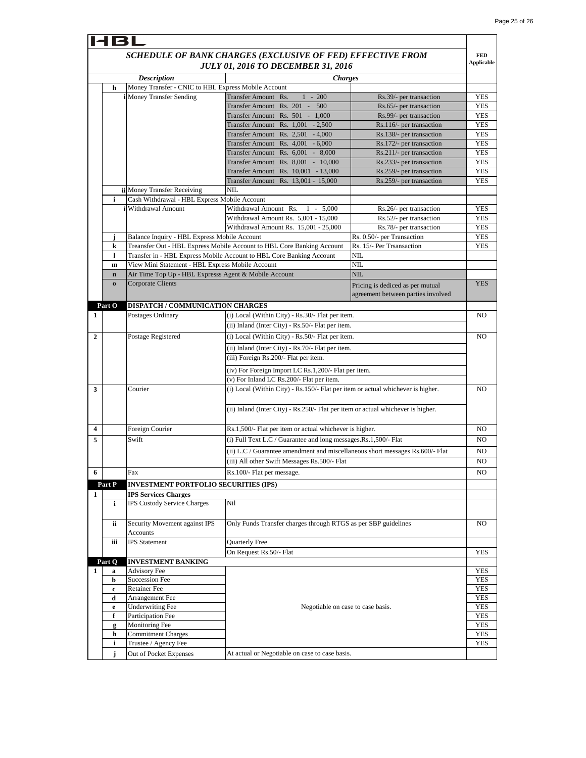|   | <b>HBL</b>  |                                                       |                                                                                                         |                                                                        |                                 |
|---|-------------|-------------------------------------------------------|---------------------------------------------------------------------------------------------------------|------------------------------------------------------------------------|---------------------------------|
|   |             |                                                       | SCHEDULE OF BANK CHARGES (EXCLUSIVE OF FED) EFFECTIVE FROM<br><b>JULY 01, 2016 TO DECEMBER 31, 2016</b> |                                                                        | <b>FED</b><br><b>Applicable</b> |
|   |             | <b>Description</b>                                    | <i>Charges</i>                                                                                          |                                                                        |                                 |
|   | h           | Money Transfer - CNIC to HBL Express Mobile Account   |                                                                                                         |                                                                        |                                 |
|   |             | <i>i</i> Money Transfer Sending                       | Transfer Amount Rs.<br>$1 - 200$                                                                        | Rs.39/- per transaction                                                | YES                             |
|   |             |                                                       | Transfer Amount Rs. 201 -<br>500                                                                        | Rs.65/- per transaction                                                | <b>YES</b>                      |
|   |             |                                                       | Transfer Amount Rs. 501 - 1,000<br>Transfer Amount Rs. $1,001 - 2,500$                                  | Rs.99/- per transaction<br>Rs.116/- per transaction                    | <b>YES</b><br>YES               |
|   |             |                                                       | Transfer Amount Rs. 2,501 - 4,000                                                                       | Rs.138/- per transaction                                               | <b>YES</b>                      |
|   |             |                                                       | Transfer Amount Rs. 4,001 - 6,000                                                                       | Rs.172/- per transaction                                               | YES                             |
|   |             |                                                       | Transfer Amount Rs. 6,001 - 8,000                                                                       | Rs.211/- per transaction                                               | YES                             |
|   |             |                                                       | Transfer Amount Rs. 8,001 - 10,000                                                                      | Rs.233/- per transaction                                               | YES                             |
|   |             |                                                       | Transfer Amount Rs. 10,001 - 13,000                                                                     | Rs.259/- per transaction                                               | YES                             |
|   |             |                                                       | Transfer Amount Rs. 13,001 - 15,000                                                                     | Rs.259/- per transaction                                               | <b>YES</b>                      |
|   |             | ii Money Transfer Receiving                           | NIL                                                                                                     |                                                                        |                                 |
|   | i           | Cash Withdrawal - HBL Express Mobile Account          |                                                                                                         |                                                                        |                                 |
|   |             | i Withdrawal Amount                                   | Withdrawal Amount Rs.<br>$1 - 5,000$<br>Withdrawal Amount Rs. 5,001 - 15,000                            | Rs.26/- per transaction                                                | YES                             |
|   |             |                                                       | Withdrawal Amount Rs. 15,001 - 25,000                                                                   | Rs.52/- per transaction<br>Rs.78/- per transaction                     | YES<br>YES                      |
|   | Ĵ           | Balance Inquiry - HBL Express Mobile Account          |                                                                                                         | Rs. 0.50/- per Transaction                                             | YES                             |
|   | k           |                                                       | Treansfer Out - HBL Express Mobile Account to HBL Core Banking Account                                  | Rs. 15/- Per Trsansaction                                              | <b>YES</b>                      |
|   | 1           |                                                       | Transfer in - HBL Express Mobile Account to HBL Core Banking Account                                    | NIL                                                                    |                                 |
|   | m           | View Mini Statement - HBL Express Mobile Account      |                                                                                                         | NIL                                                                    |                                 |
|   | $\mathbf n$ | Air Time Top Up - HBL Expresss Agent & Mobile Account |                                                                                                         | NIL                                                                    |                                 |
|   | $\bf o$     | <b>Corporate Clients</b>                              |                                                                                                         | Pricing is dediced as per mutual<br>agreement between parties involved | <b>YES</b>                      |
|   | Part O      | DISPATCH / COMMUNICATION CHARGES                      |                                                                                                         |                                                                        |                                 |
| 1 |             | Postages Ordinary                                     | (i) Local (Within City) - Rs.30/- Flat per item.                                                        |                                                                        | NO                              |
|   |             |                                                       | (ii) Inland (Inter City) - Rs.50/- Flat per item.                                                       |                                                                        |                                 |
| 2 |             | Postage Registered                                    | (i) Local (Within City) - Rs.50/- Flat per item.                                                        |                                                                        | NO                              |
|   |             |                                                       | (ii) Inland (Inter City) - Rs.70/- Flat per item.                                                       |                                                                        |                                 |
|   |             |                                                       | (iii) Foreign Rs.200/- Flat per item.                                                                   |                                                                        |                                 |
|   |             |                                                       | (iv) For Foreign Import LC Rs.1,200/- Flat per item.                                                    |                                                                        |                                 |
|   |             |                                                       | (v) For Inland LC Rs.200/- Flat per item.                                                               |                                                                        |                                 |
| 3 |             | Courier                                               | (i) Local (Within City) - Rs.150/- Flat per item or actual whichever is higher.                         |                                                                        | NO                              |
|   |             |                                                       | (ii) Inland (Inter City) - Rs.250/- Flat per item or actual whichever is higher.                        |                                                                        |                                 |
| 4 |             | Foreign Courier                                       | Rs.1,500/- Flat per item or actual whichever is higher.                                                 |                                                                        | NO                              |
| 5 |             | Swift                                                 | (i) Full Text L.C / Guarantee and long messages. Rs. 1,500/- Flat                                       |                                                                        | NO                              |
|   |             |                                                       | (ii) L.C / Guarantee amendment and miscellaneous short messages Rs.600/- Flat                           |                                                                        | NO                              |
|   |             |                                                       | (iii) All other Swift Messages Rs.500/- Flat                                                            |                                                                        | NO                              |
| 6 |             | Fax                                                   | Rs.100/- Flat per message.                                                                              |                                                                        | NO                              |
|   | Part P      | <b>INVESTMENT PORTFOLIO SECURITIES (IPS)</b>          |                                                                                                         |                                                                        |                                 |
| 1 |             | <b>IPS Services Charges</b>                           |                                                                                                         |                                                                        |                                 |
|   | i           | <b>IPS Custody Service Charges</b>                    | Nil                                                                                                     |                                                                        |                                 |
|   |             |                                                       |                                                                                                         |                                                                        |                                 |
|   | ii          | Security Movement against IPS                         | Only Funds Transfer charges through RTGS as per SBP guidelines                                          |                                                                        | NO.                             |
|   |             | Accounts                                              |                                                                                                         |                                                                        |                                 |
|   | iii         | <b>IPS</b> Statement                                  | Quarterly Free                                                                                          |                                                                        |                                 |
|   |             |                                                       | On Request Rs.50/- Flat                                                                                 |                                                                        | <b>YES</b>                      |
|   | Part Q      | <b>INVESTMENT BANKING</b>                             |                                                                                                         |                                                                        |                                 |
| 1 | $\bf{a}$    | <b>Advisory Fee</b>                                   |                                                                                                         |                                                                        | YES                             |
|   | b           | <b>Succession Fee</b><br>Retainer Fee                 |                                                                                                         |                                                                        | <b>YES</b><br><b>YES</b>        |
|   | c<br>d      | Arrangement Fee                                       |                                                                                                         |                                                                        | <b>YES</b>                      |
|   | e           | <b>Underwriting Fee</b>                               | Negotiable on case to case basis.                                                                       |                                                                        | YES                             |
|   | f           | Participation Fee                                     |                                                                                                         |                                                                        | <b>YES</b>                      |
|   | g           | Monitoring Fee                                        |                                                                                                         |                                                                        | YES                             |
|   | h           | <b>Commitment Charges</b>                             |                                                                                                         |                                                                        | <b>YES</b>                      |
|   | i           | Trustee / Agency Fee                                  |                                                                                                         |                                                                        | <b>YES</b>                      |
|   | j           | Out of Pocket Expenses                                | At actual or Negotiable on case to case basis.                                                          |                                                                        |                                 |